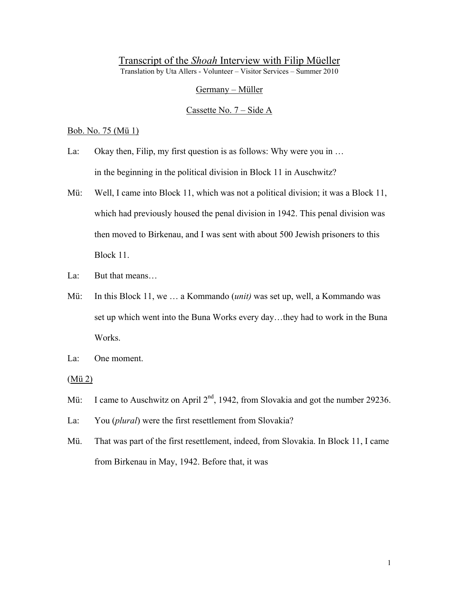# Transcript of the *Shoah* Interview with Filip Müeller Translation by Uta Allers - Volunteer – Visitor Services – Summer 2010

Germany – Müller

Cassette No. 7 – Side A

Bob. No. 75 (Mü 1)

- La: Okay then, Filip, my first question is as follows: Why were you in ... in the beginning in the political division in Block 11 in Auschwitz?
- Mü: Well, I came into Block 11, which was not a political division; it was a Block 11, which had previously housed the penal division in 1942. This penal division was then moved to Birkenau, and I was sent with about 500 Jewish prisoners to this Block 11.
- La: But that means…
- Mü: In this Block 11, we … a Kommando (*unit)* was set up, well, a Kommando was set up which went into the Buna Works every day…they had to work in the Buna Works.
- La: One moment.
- (Mü 2)
- Mü: I came to Auschwitz on April 2<sup>nd</sup>, 1942, from Slovakia and got the number 29236.
- La: You (*plural*) were the first resettlement from Slovakia?
- Mü. That was part of the first resettlement, indeed, from Slovakia. In Block 11, I came from Birkenau in May, 1942. Before that, it was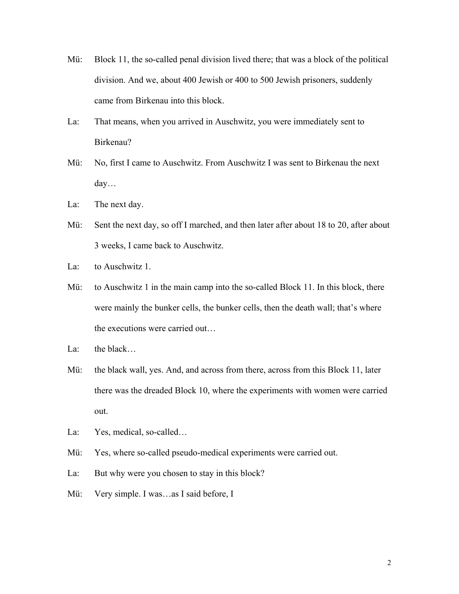- Mü: Block 11, the so-called penal division lived there; that was a block of the political division. And we, about 400 Jewish or 400 to 500 Jewish prisoners, suddenly came from Birkenau into this block.
- La: That means, when you arrived in Auschwitz, you were immediately sent to Birkenau?
- Mü: No, first I came to Auschwitz. From Auschwitz I was sent to Birkenau the next day…
- La: The next day.
- Mü: Sent the next day, so off I marched, and then later after about 18 to 20, after about 3 weeks, I came back to Auschwitz.
- La: to Auschwitz 1.
- Mü: to Auschwitz 1 in the main camp into the so-called Block 11. In this block, there were mainly the bunker cells, the bunker cells, then the death wall; that's where the executions were carried out…
- La: the black…
- Mü: the black wall, yes. And, and across from there, across from this Block 11, later there was the dreaded Block 10, where the experiments with women were carried out.
- La: Yes, medical, so-called...
- Mü: Yes, where so-called pseudo-medical experiments were carried out.
- La: But why were you chosen to stay in this block?
- Mü: Very simple. I was...as I said before, I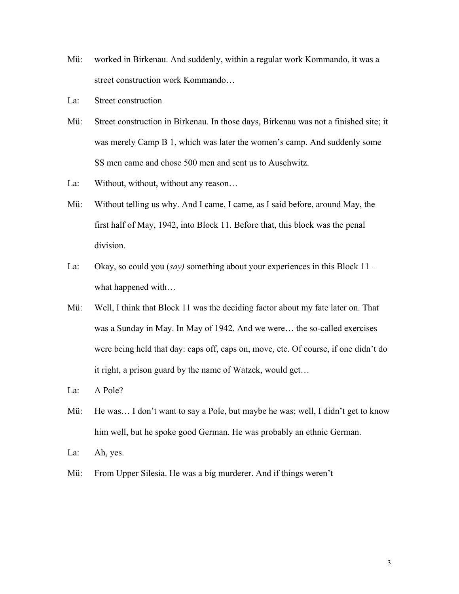- Mü: worked in Birkenau. And suddenly, within a regular work Kommando, it was a street construction work Kommando…
- La: Street construction
- Mü: Street construction in Birkenau. In those days, Birkenau was not a finished site; it was merely Camp B 1, which was later the women's camp. And suddenly some SS men came and chose 500 men and sent us to Auschwitz.
- La: Without, without, without any reason...
- Mü: Without telling us why. And I came, I came, as I said before, around May, the first half of May, 1942, into Block 11. Before that, this block was the penal division.
- La: Okay, so could you (*say)* something about your experiences in this Block 11 what happened with…
- Mü: Well, I think that Block 11 was the deciding factor about my fate later on. That was a Sunday in May. In May of 1942. And we were… the so-called exercises were being held that day: caps off, caps on, move, etc. Of course, if one didn't do it right, a prison guard by the name of Watzek, would get…
- La: A Pole?
- Mü: He was... I don't want to say a Pole, but maybe he was; well, I didn't get to know him well, but he spoke good German. He was probably an ethnic German.
- La: Ah, yes.
- Mü: From Upper Silesia. He was a big murderer. And if things weren't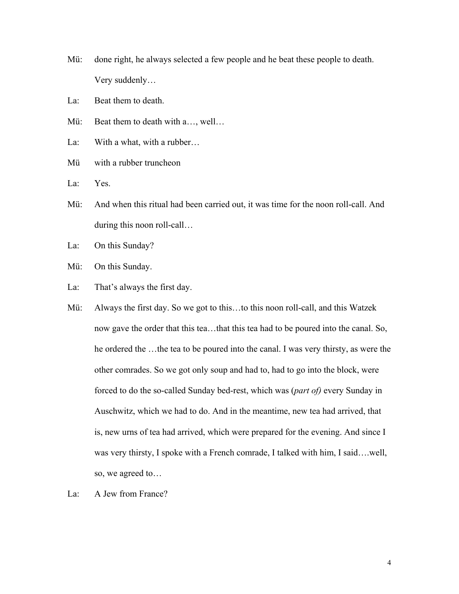Mü: done right, he always selected a few people and he beat these people to death. Very suddenly…

La: Beat them to death.

Mü: Beat them to death with a..., well...

La: With a what, with a rubber...

Mü with a rubber truncheon

La: Yes.

Mü: And when this ritual had been carried out, it was time for the noon roll-call. And during this noon roll-call…

La: On this Sunday?

- Mü: On this Sunday.
- La: That's always the first day.
- Mü: Always the first day. So we got to this…to this noon roll-call, and this Watzek now gave the order that this tea…that this tea had to be poured into the canal. So, he ordered the …the tea to be poured into the canal. I was very thirsty, as were the other comrades. So we got only soup and had to, had to go into the block, were forced to do the so-called Sunday bed-rest, which was (*part of)* every Sunday in Auschwitz, which we had to do. And in the meantime, new tea had arrived, that is, new urns of tea had arrived, which were prepared for the evening. And since I was very thirsty, I spoke with a French comrade, I talked with him, I said….well, so, we agreed to…
- La: A Jew from France?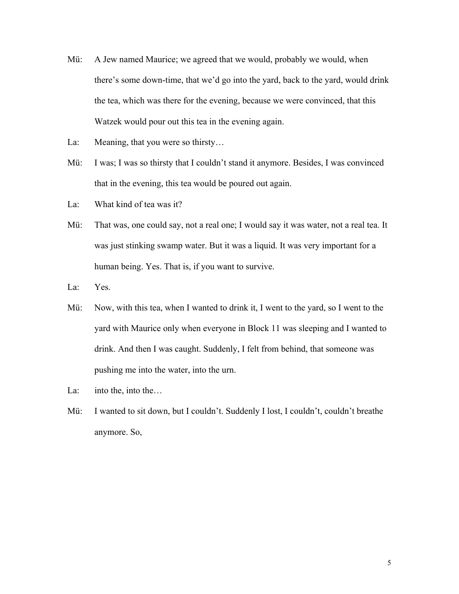- Mü: A Jew named Maurice; we agreed that we would, probably we would, when there's some down-time, that we'd go into the yard, back to the yard, would drink the tea, which was there for the evening, because we were convinced, that this Watzek would pour out this tea in the evening again.
- La: Meaning, that you were so thirsty...
- Mü: I was; I was so thirsty that I couldn't stand it anymore. Besides, I was convinced that in the evening, this tea would be poured out again.
- La: What kind of tea was it?
- Mü: That was, one could say, not a real one; I would say it was water, not a real tea. It was just stinking swamp water. But it was a liquid. It was very important for a human being. Yes. That is, if you want to survive.
- La: Yes.
- Mü: Now, with this tea, when I wanted to drink it, I went to the yard, so I went to the yard with Maurice only when everyone in Block 11 was sleeping and I wanted to drink. And then I was caught. Suddenly, I felt from behind, that someone was pushing me into the water, into the urn.
- La: into the, into the...
- Mü: I wanted to sit down, but I couldn't. Suddenly I lost, I couldn't, couldn't breathe anymore. So,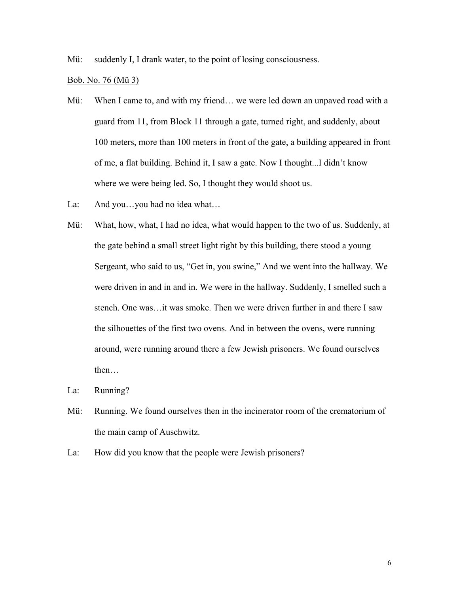Mü: suddenly I, I drank water, to the point of losing consciousness.

Bob. No. 76 (Mü 3)

- Mü: When I came to, and with my friend… we were led down an unpaved road with a guard from 11, from Block 11 through a gate, turned right, and suddenly, about 100 meters, more than 100 meters in front of the gate, a building appeared in front of me, a flat building. Behind it, I saw a gate. Now I thought...I didn't know where we were being led. So, I thought they would shoot us.
- La: And you...you had no idea what...
- Mü: What, how, what, I had no idea, what would happen to the two of us. Suddenly, at the gate behind a small street light right by this building, there stood a young Sergeant, who said to us, "Get in, you swine," And we went into the hallway. We were driven in and in and in. We were in the hallway. Suddenly, I smelled such a stench. One was…it was smoke. Then we were driven further in and there I saw the silhouettes of the first two ovens. And in between the ovens, were running around, were running around there a few Jewish prisoners. We found ourselves then…
- La: Running?
- Mü: Running. We found ourselves then in the incinerator room of the crematorium of the main camp of Auschwitz.
- La: How did you know that the people were Jewish prisoners?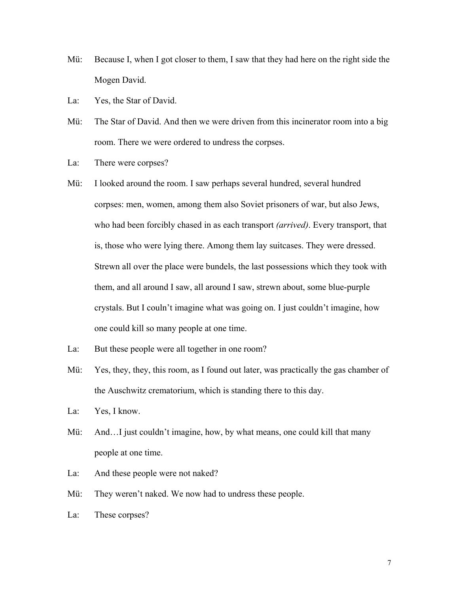- Mü: Because I, when I got closer to them, I saw that they had here on the right side the Mogen David.
- La: Yes, the Star of David.
- Mü: The Star of David. And then we were driven from this incinerator room into a big room. There we were ordered to undress the corpses.
- La: There were corpses?
- Mü: I looked around the room. I saw perhaps several hundred, several hundred corpses: men, women, among them also Soviet prisoners of war, but also Jews, who had been forcibly chased in as each transport *(arrived)*. Every transport, that is, those who were lying there. Among them lay suitcases. They were dressed. Strewn all over the place were bundels, the last possessions which they took with them, and all around I saw, all around I saw, strewn about, some blue-purple crystals. But I couln't imagine what was going on. I just couldn't imagine, how one could kill so many people at one time.
- La: But these people were all together in one room?
- Mü: Yes, they, they, this room, as I found out later, was practically the gas chamber of the Auschwitz crematorium, which is standing there to this day.
- La: Yes, I know.
- Mü: And...I just couldn't imagine, how, by what means, one could kill that many people at one time.
- La: And these people were not naked?
- Mü: They weren't naked. We now had to undress these people.
- La: These corpses?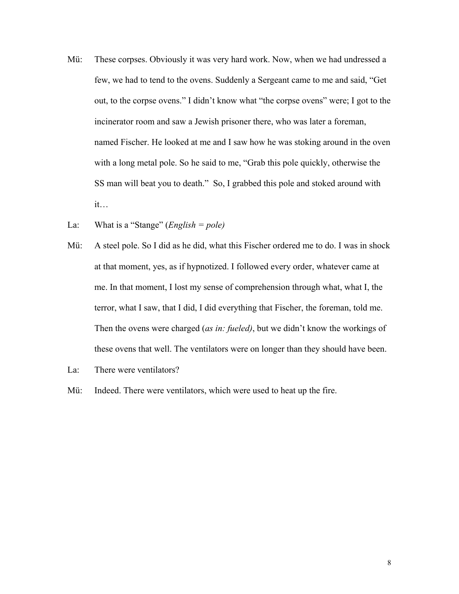- Mü: These corpses. Obviously it was very hard work. Now, when we had undressed a few, we had to tend to the ovens. Suddenly a Sergeant came to me and said, "Get out, to the corpse ovens." I didn't know what "the corpse ovens" were; I got to the incinerator room and saw a Jewish prisoner there, who was later a foreman, named Fischer. He looked at me and I saw how he was stoking around in the oven with a long metal pole. So he said to me, "Grab this pole quickly, otherwise the SS man will beat you to death." So, I grabbed this pole and stoked around with it…
- La: What is a "Stange" (*English = pole)*
- Mü: A steel pole. So I did as he did, what this Fischer ordered me to do. I was in shock at that moment, yes, as if hypnotized. I followed every order, whatever came at me. In that moment, I lost my sense of comprehension through what, what I, the terror, what I saw, that I did, I did everything that Fischer, the foreman, told me. Then the ovens were charged (*as in: fueled)*, but we didn't know the workings of these ovens that well. The ventilators were on longer than they should have been.
- La: There were ventilators?
- Mü: Indeed. There were ventilators, which were used to heat up the fire.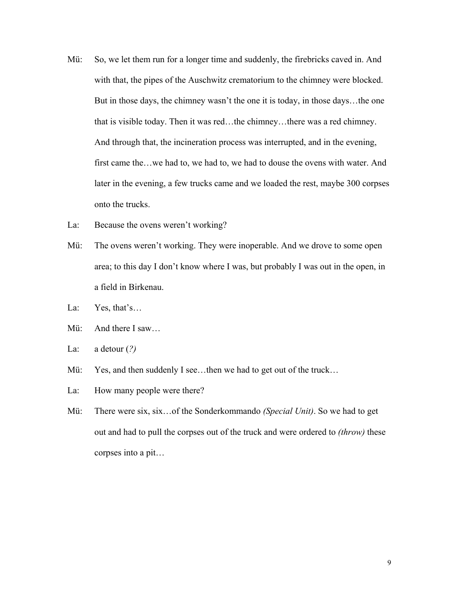- Mü: So, we let them run for a longer time and suddenly, the firebricks caved in. And with that, the pipes of the Auschwitz crematorium to the chimney were blocked. But in those days, the chimney wasn't the one it is today, in those days…the one that is visible today. Then it was red…the chimney…there was a red chimney. And through that, the incineration process was interrupted, and in the evening, first came the…we had to, we had to, we had to douse the ovens with water. And later in the evening, a few trucks came and we loaded the rest, maybe 300 corpses onto the trucks.
- La: Because the ovens weren't working?
- Mü: The ovens weren't working. They were inoperable. And we drove to some open area; to this day I don't know where I was, but probably I was out in the open, in a field in Birkenau.
- La: Yes, that's...
- Mü: And there I saw…
- La: a detour (*?)*
- Mü: Yes, and then suddenly I see...then we had to get out of the truck...
- La: How many people were there?
- Mü: There were six, six…of the Sonderkommando *(Special Unit)*. So we had to get out and had to pull the corpses out of the truck and were ordered to *(throw)* these corpses into a pit…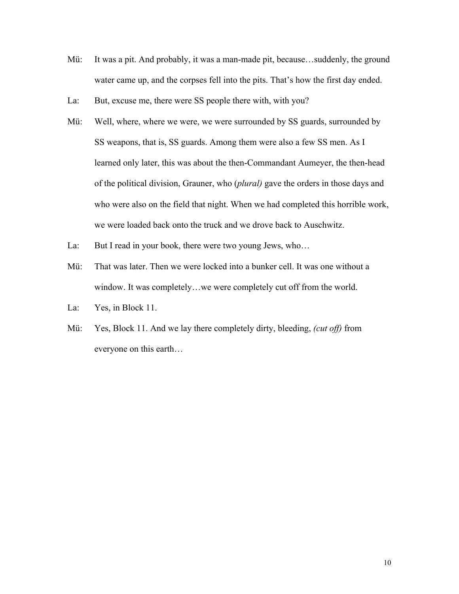- Mü: It was a pit. And probably, it was a man-made pit, because...suddenly, the ground water came up, and the corpses fell into the pits. That's how the first day ended.
- La: But, excuse me, there were SS people there with, with you?
- Mü: Well, where, where we were, we were surrounded by SS guards, surrounded by SS weapons, that is, SS guards. Among them were also a few SS men. As I learned only later, this was about the then-Commandant Aumeyer, the then-head of the political division, Grauner, who (*plural)* gave the orders in those days and who were also on the field that night. When we had completed this horrible work, we were loaded back onto the truck and we drove back to Auschwitz.
- La: But I read in your book, there were two young Jews, who...
- Mü: That was later. Then we were locked into a bunker cell. It was one without a window. It was completely…we were completely cut off from the world.
- La: Yes, in Block 11.
- Mü: Yes, Block 11. And we lay there completely dirty, bleeding, *(cut off)* from everyone on this earth…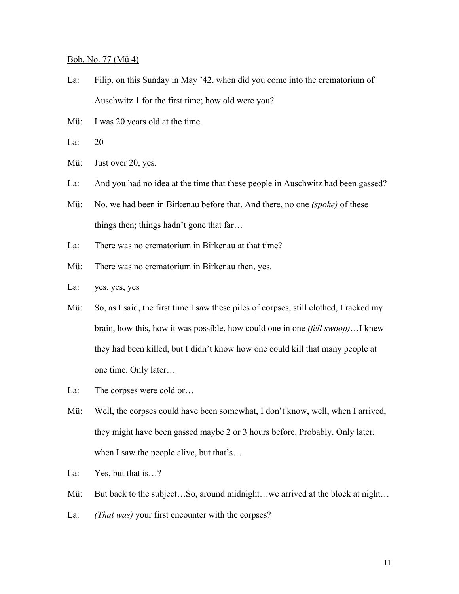## Bob. No. 77 (Mü 4)

- La: Filip, on this Sunday in May '42, when did you come into the crematorium of Auschwitz 1 for the first time; how old were you?
- Mü: I was 20 years old at the time.
- La: 20
- Mü: Just over 20, yes.
- La: And you had no idea at the time that these people in Auschwitz had been gassed?
- Mü: No, we had been in Birkenau before that. And there, no one *(spoke)* of these things then; things hadn't gone that far…
- La: There was no crematorium in Birkenau at that time?
- Mü: There was no crematorium in Birkenau then, yes.
- La: yes, yes, yes
- Mü: So, as I said, the first time I saw these piles of corpses, still clothed, I racked my brain, how this, how it was possible, how could one in one *(fell swoop)*…I knew they had been killed, but I didn't know how one could kill that many people at one time. Only later…
- La: The corpses were cold or...
- Mü: Well, the corpses could have been somewhat, I don't know, well, when I arrived, they might have been gassed maybe 2 or 3 hours before. Probably. Only later, when I saw the people alive, but that's...
- La: Yes, but that is...?
- Mü: But back to the subject...So, around midnight...we arrived at the block at night...
- La: *(That was)* your first encounter with the corpses?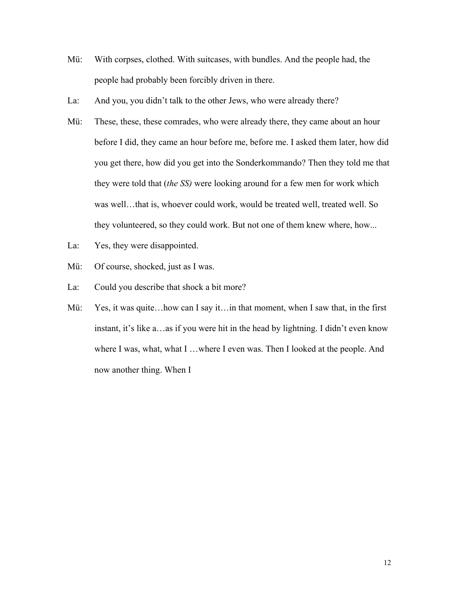- Mü: With corpses, clothed. With suitcases, with bundles. And the people had, the people had probably been forcibly driven in there.
- La: And you, you didn't talk to the other Jews, who were already there?
- Mü: These, these, these comrades, who were already there, they came about an hour before I did, they came an hour before me, before me. I asked them later, how did you get there, how did you get into the Sonderkommando? Then they told me that they were told that (*the SS)* were looking around for a few men for work which was well…that is, whoever could work, would be treated well, treated well. So they volunteered, so they could work. But not one of them knew where, how...
- La: Yes, they were disappointed.
- Mü: Of course, shocked, just as I was.
- La: Could you describe that shock a bit more?
- Mü: Yes, it was quite…how can I say it…in that moment, when I saw that, in the first instant, it's like a…as if you were hit in the head by lightning. I didn't even know where I was, what, what I ...where I even was. Then I looked at the people. And now another thing. When I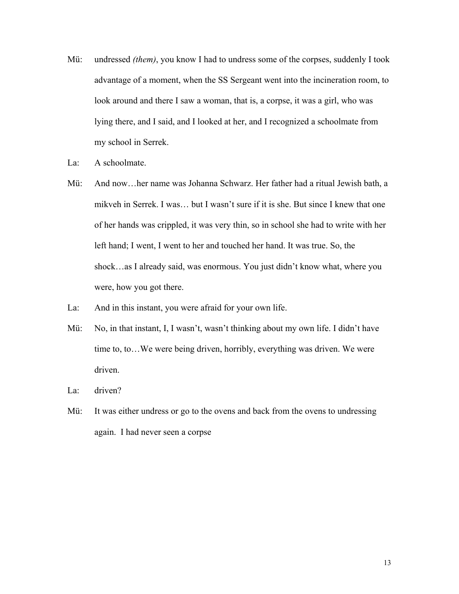- Mü: undressed *(them)*, you know I had to undress some of the corpses, suddenly I took advantage of a moment, when the SS Sergeant went into the incineration room, to look around and there I saw a woman, that is, a corpse, it was a girl, who was lying there, and I said, and I looked at her, and I recognized a schoolmate from my school in Serrek.
- La: A schoolmate.
- Mü: And now…her name was Johanna Schwarz. Her father had a ritual Jewish bath, a mikveh in Serrek. I was… but I wasn't sure if it is she. But since I knew that one of her hands was crippled, it was very thin, so in school she had to write with her left hand; I went, I went to her and touched her hand. It was true. So, the shock…as I already said, was enormous. You just didn't know what, where you were, how you got there.
- La: And in this instant, you were afraid for your own life.
- Mü: No, in that instant, I, I wasn't, wasn't thinking about my own life. I didn't have time to, to…We were being driven, horribly, everything was driven. We were driven.
- La: driven?
- Mü: It was either undress or go to the ovens and back from the ovens to undressing again. I had never seen a corpse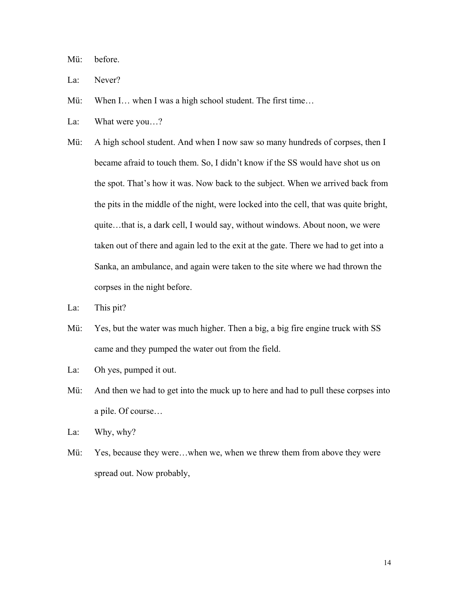Mü: before.

- La: Never?
- Mü: When I… when I was a high school student. The first time...
- La: What were you...?
- Mü: A high school student. And when I now saw so many hundreds of corpses, then I became afraid to touch them. So, I didn't know if the SS would have shot us on the spot. That's how it was. Now back to the subject. When we arrived back from the pits in the middle of the night, were locked into the cell, that was quite bright, quite…that is, a dark cell, I would say, without windows. About noon, we were taken out of there and again led to the exit at the gate. There we had to get into a Sanka, an ambulance, and again were taken to the site where we had thrown the corpses in the night before.
- La: This pit?
- Mü: Yes, but the water was much higher. Then a big, a big fire engine truck with SS came and they pumped the water out from the field.

La: Oh yes, pumped it out.

Mü: And then we had to get into the muck up to here and had to pull these corpses into a pile. Of course…

La: Why, why?

Mü: Yes, because they were...when we, when we threw them from above they were spread out. Now probably,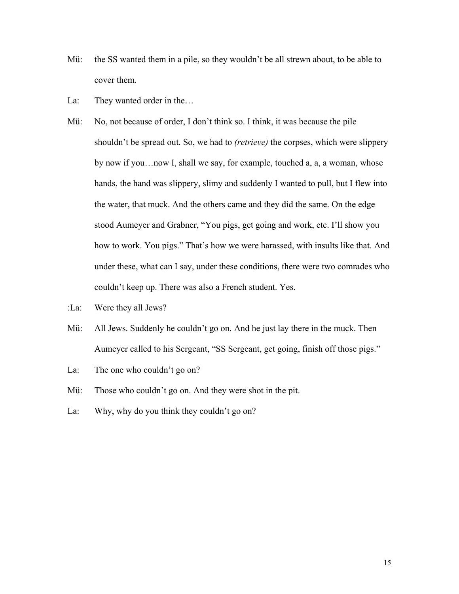- Mü: the SS wanted them in a pile, so they wouldn't be all strewn about, to be able to cover them.
- La: They wanted order in the...
- Mü: No, not because of order, I don't think so. I think, it was because the pile shouldn't be spread out. So, we had to *(retrieve)* the corpses, which were slippery by now if you…now I, shall we say, for example, touched a, a, a woman, whose hands, the hand was slippery, slimy and suddenly I wanted to pull, but I flew into the water, that muck. And the others came and they did the same. On the edge stood Aumeyer and Grabner, "You pigs, get going and work, etc. I'll show you how to work. You pigs." That's how we were harassed, with insults like that. And under these, what can I say, under these conditions, there were two comrades who couldn't keep up. There was also a French student. Yes.
- :La: Were they all Jews?
- Mü: All Jews. Suddenly he couldn't go on. And he just lay there in the muck. Then Aumeyer called to his Sergeant, "SS Sergeant, get going, finish off those pigs."
- La: The one who couldn't go on?
- Mü: Those who couldn't go on. And they were shot in the pit.
- La: Why, why do you think they couldn't go on?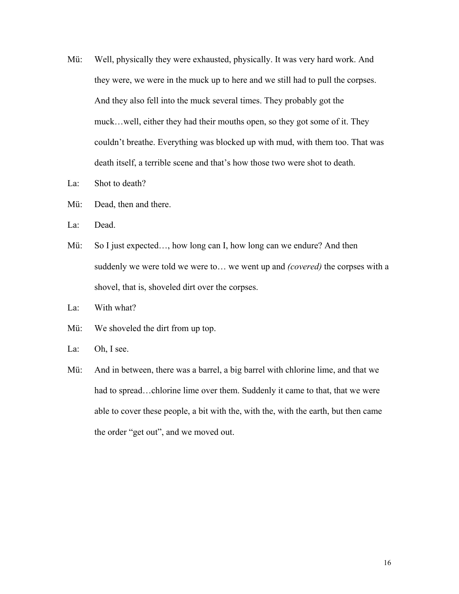- Mü: Well, physically they were exhausted, physically. It was very hard work. And they were, we were in the muck up to here and we still had to pull the corpses. And they also fell into the muck several times. They probably got the muck…well, either they had their mouths open, so they got some of it. They couldn't breathe. Everything was blocked up with mud, with them too. That was death itself, a terrible scene and that's how those two were shot to death.
- La: Shot to death?
- Mü: Dead, then and there.
- La: Dead.
- Mü: So I just expected..., how long can I, how long can we endure? And then suddenly we were told we were to… we went up and *(covered)* the corpses with a shovel, that is, shoveled dirt over the corpses.
- La: With what?
- Mü: We shoveled the dirt from up top.
- La: Oh, I see.
- Mü: And in between, there was a barrel, a big barrel with chlorine lime, and that we had to spread...chlorine lime over them. Suddenly it came to that, that we were able to cover these people, a bit with the, with the, with the earth, but then came the order "get out", and we moved out.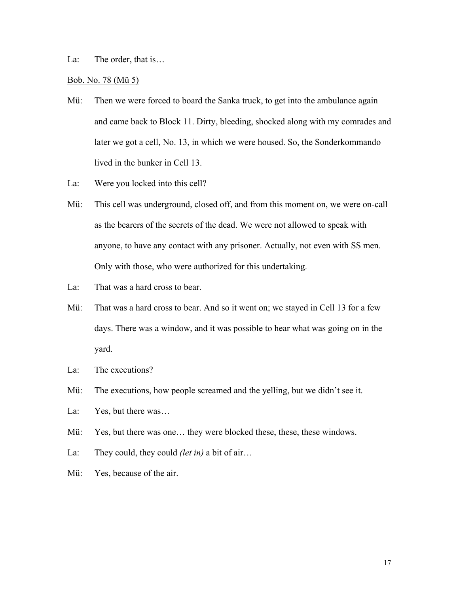La: The order, that is...

## Bob. No. 78 (Mü 5)

- Mü: Then we were forced to board the Sanka truck, to get into the ambulance again and came back to Block 11. Dirty, bleeding, shocked along with my comrades and later we got a cell, No. 13, in which we were housed. So, the Sonderkommando lived in the bunker in Cell 13.
- La: Were you locked into this cell?
- Mü: This cell was underground, closed off, and from this moment on, we were on-call as the bearers of the secrets of the dead. We were not allowed to speak with anyone, to have any contact with any prisoner. Actually, not even with SS men. Only with those, who were authorized for this undertaking.
- La: That was a hard cross to bear.
- Mü: That was a hard cross to bear. And so it went on; we stayed in Cell 13 for a few days. There was a window, and it was possible to hear what was going on in the yard.
- La: The executions?
- Mü: The executions, how people screamed and the yelling, but we didn't see it.
- La: Yes, but there was...
- Mü: Yes, but there was one... they were blocked these, these, these windows.
- La: They could, they could *(let in)* a bit of air…
- Mü: Yes, because of the air.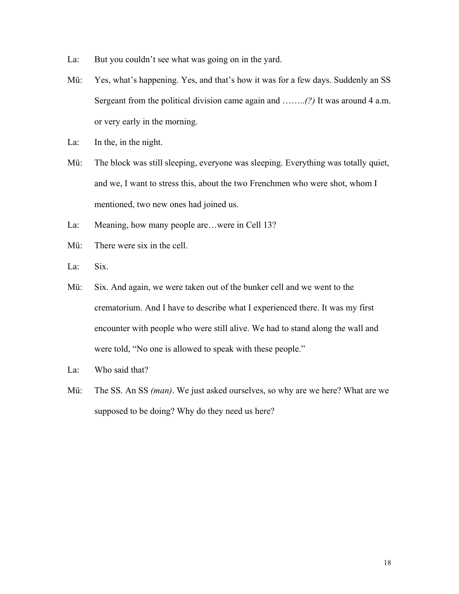- La: But you couldn't see what was going on in the yard.
- Mü: Yes, what's happening. Yes, and that's how it was for a few days. Suddenly an SS Sergeant from the political division came again and ……..*(?)* It was around 4 a.m. or very early in the morning.
- La: In the, in the night.
- Mü: The block was still sleeping, everyone was sleeping. Everything was totally quiet, and we, I want to stress this, about the two Frenchmen who were shot, whom I mentioned, two new ones had joined us.
- La: Meaning, how many people are...were in Cell 13?
- Mü: There were six in the cell.
- La: Six.
- Mü: Six. And again, we were taken out of the bunker cell and we went to the crematorium. And I have to describe what I experienced there. It was my first encounter with people who were still alive. We had to stand along the wall and were told, "No one is allowed to speak with these people."
- La: Who said that?
- Mü: The SS. An SS *(man)*. We just asked ourselves, so why are we here? What are we supposed to be doing? Why do they need us here?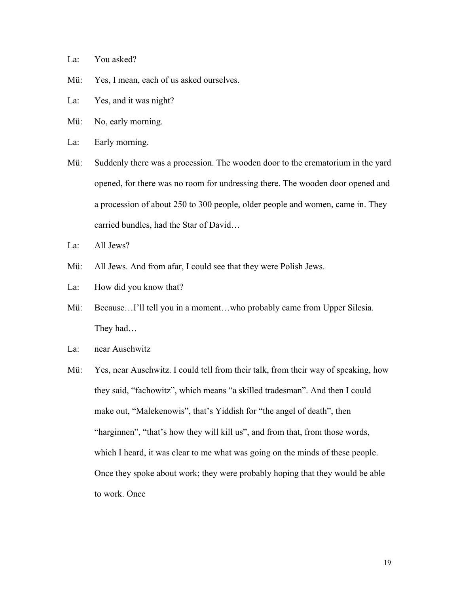- La: You asked?
- Mü: Yes, I mean, each of us asked ourselves.
- La: Yes, and it was night?
- Mü: No, early morning.
- La: Early morning.
- Mü: Suddenly there was a procession. The wooden door to the crematorium in the yard opened, for there was no room for undressing there. The wooden door opened and a procession of about 250 to 300 people, older people and women, came in. They carried bundles, had the Star of David…
- La: All Jews?
- Mü: All Jews. And from afar, I could see that they were Polish Jews.
- La: How did you know that?
- Mü: Because...I'll tell you in a moment...who probably came from Upper Silesia. They had…
- La: near Auschwitz
- Mü: Yes, near Auschwitz. I could tell from their talk, from their way of speaking, how they said, "fachowitz", which means "a skilled tradesman". And then I could make out, "Malekenowis", that's Yiddish for "the angel of death", then "harginnen", "that's how they will kill us", and from that, from those words, which I heard, it was clear to me what was going on the minds of these people. Once they spoke about work; they were probably hoping that they would be able to work. Once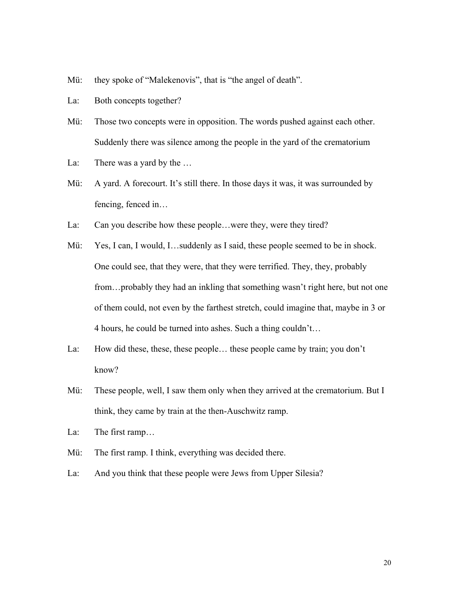- Mü: they spoke of "Malekenovis", that is "the angel of death".
- La: Both concepts together?
- Mü: Those two concepts were in opposition. The words pushed against each other. Suddenly there was silence among the people in the yard of the crematorium
- La: There was a yard by the …
- Mü: A yard. A forecourt. It's still there. In those days it was, it was surrounded by fencing, fenced in…
- La: Can you describe how these people...were they, were they tired?
- Mü: Yes, I can, I would, I...suddenly as I said, these people seemed to be in shock. One could see, that they were, that they were terrified. They, they, probably from…probably they had an inkling that something wasn't right here, but not one of them could, not even by the farthest stretch, could imagine that, maybe in 3 or 4 hours, he could be turned into ashes. Such a thing couldn't…
- La: How did these, these, these people… these people came by train; you don't know?
- Mü: These people, well, I saw them only when they arrived at the crematorium. But I think, they came by train at the then-Auschwitz ramp.
- La: The first ramp…
- Mü: The first ramp. I think, everything was decided there.
- La: And you think that these people were Jews from Upper Silesia?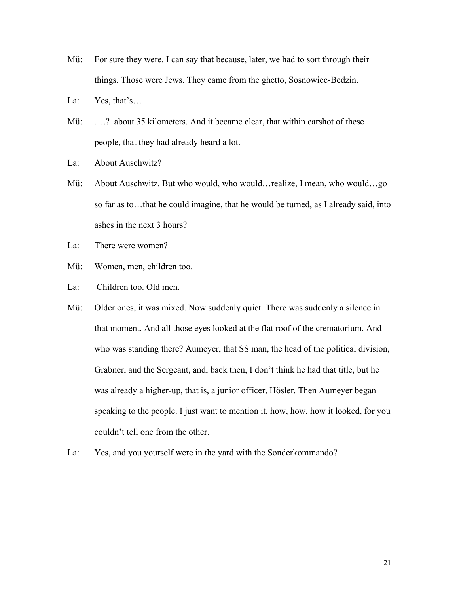- Mü: For sure they were. I can say that because, later, we had to sort through their things. Those were Jews. They came from the ghetto, Sosnowiec-Bedzin.
- La: Yes, that's...
- Mü: ....? about 35 kilometers. And it became clear, that within earshot of these people, that they had already heard a lot.
- La: About Auschwitz?
- Mü: About Auschwitz. But who would, who would…realize, I mean, who would…go so far as to…that he could imagine, that he would be turned, as I already said, into ashes in the next 3 hours?
- La: There were women?
- Mü: Women, men, children too.
- La: Children too. Old men.
- Mü: Older ones, it was mixed. Now suddenly quiet. There was suddenly a silence in that moment. And all those eyes looked at the flat roof of the crematorium. And who was standing there? Aumeyer, that SS man, the head of the political division, Grabner, and the Sergeant, and, back then, I don't think he had that title, but he was already a higher-up, that is, a junior officer, Hösler. Then Aumeyer began speaking to the people. I just want to mention it, how, how, how it looked, for you couldn't tell one from the other.
- La: Yes, and you yourself were in the yard with the Sonderkommando?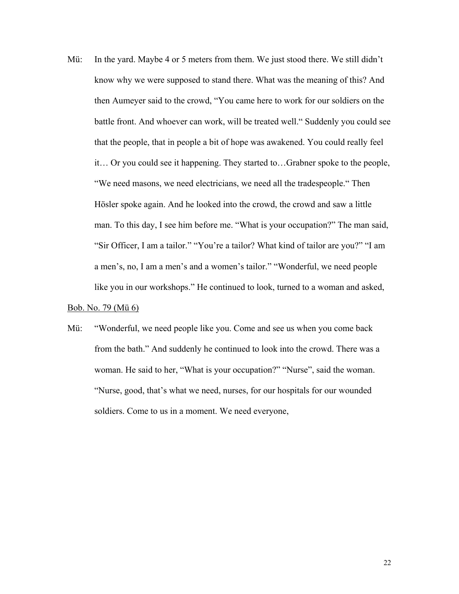Mü: In the yard. Maybe 4 or 5 meters from them. We just stood there. We still didn't know why we were supposed to stand there. What was the meaning of this? And then Aumeyer said to the crowd, "You came here to work for our soldiers on the battle front. And whoever can work, will be treated well." Suddenly you could see that the people, that in people a bit of hope was awakened. You could really feel it… Or you could see it happening. They started to…Grabner spoke to the people, "We need masons, we need electricians, we need all the tradespeople." Then Hösler spoke again. And he looked into the crowd, the crowd and saw a little man. To this day, I see him before me. "What is your occupation?" The man said, "Sir Officer, I am a tailor." "You're a tailor? What kind of tailor are you?" "I am a men's, no, I am a men's and a women's tailor." "Wonderful, we need people like you in our workshops." He continued to look, turned to a woman and asked,

# Bob. No. 79 (Mü 6)

Mü: "Wonderful, we need people like you. Come and see us when you come back from the bath." And suddenly he continued to look into the crowd. There was a woman. He said to her, "What is your occupation?" "Nurse", said the woman. "Nurse, good, that's what we need, nurses, for our hospitals for our wounded soldiers. Come to us in a moment. We need everyone,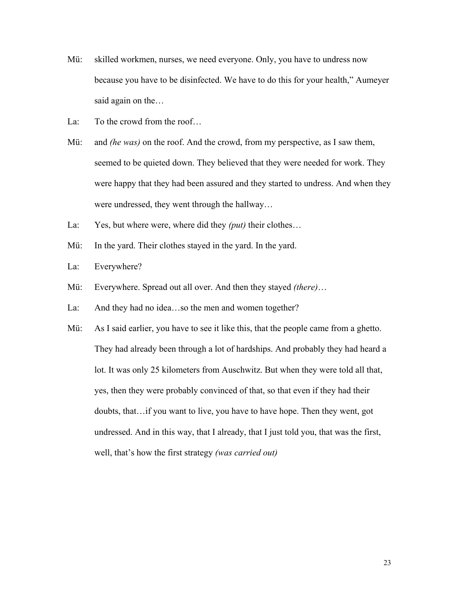- Mü: skilled workmen, nurses, we need everyone. Only, you have to undress now because you have to be disinfected. We have to do this for your health," Aumeyer said again on the…
- La: To the crowd from the roof...
- Mü: and *(he was)* on the roof. And the crowd, from my perspective, as I saw them, seemed to be quieted down. They believed that they were needed for work. They were happy that they had been assured and they started to undress. And when they were undressed, they went through the hallway…
- La: Yes, but where were, where did they *(put)* their clothes…
- Mü: In the yard. Their clothes stayed in the yard. In the yard.
- La: Everywhere?
- Mü: Everywhere. Spread out all over. And then they stayed *(there)*…
- La: And they had no idea…so the men and women together?
- Mü: As I said earlier, you have to see it like this, that the people came from a ghetto. They had already been through a lot of hardships. And probably they had heard a lot. It was only 25 kilometers from Auschwitz. But when they were told all that, yes, then they were probably convinced of that, so that even if they had their doubts, that…if you want to live, you have to have hope. Then they went, got undressed. And in this way, that I already, that I just told you, that was the first, well, that's how the first strategy *(was carried out)*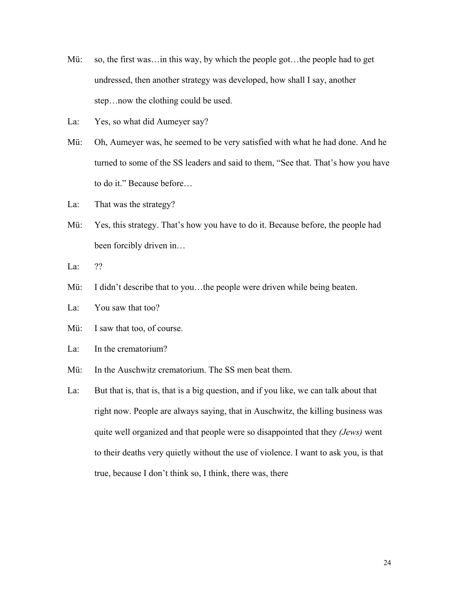- Mü: so, the first was... in this way, by which the people got... the people had to get undressed, then another strategy was developed, how shall I say, another step…now the clothing could be used.
- La: Yes, so what did Aumeyer say?
- Mü: Oh, Aumeyer was, he seemed to be very satisfied with what he had done. And he turned to some of the SS leaders and said to them, "See that. That's how you have to do it." Because before…
- La: That was the strategy?
- Mü: Yes, this strategy. That's how you have to do it. Because before, the people had been forcibly driven in…
- La: ??
- Mü: I didn't describe that to you...the people were driven while being beaten.
- La: You saw that too?
- Mü: I saw that too, of course.
- La: In the crematorium?
- Mü: In the Auschwitz crematorium. The SS men beat them.
- La: But that is, that is, that is a big question, and if you like, we can talk about that right now. People are always saying, that in Auschwitz, the killing business was quite well organized and that people were so disappointed that they *(Jews)* went to their deaths very quietly without the use of violence. I want to ask you, is that true, because I don't think so, I think, there was, there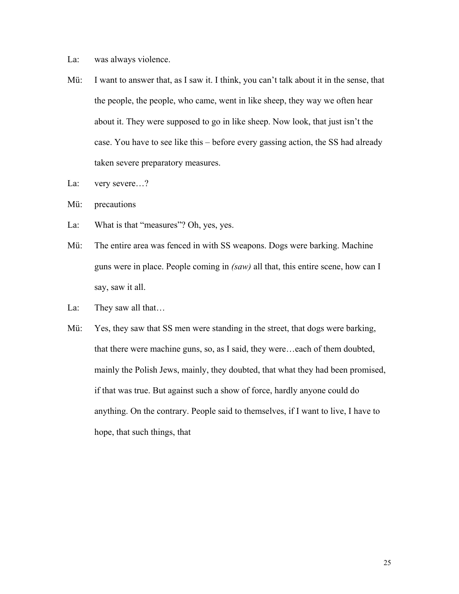- La: was always violence.
- Mü: I want to answer that, as I saw it. I think, you can't talk about it in the sense, that the people, the people, who came, went in like sheep, they way we often hear about it. They were supposed to go in like sheep. Now look, that just isn't the case. You have to see like this – before every gassing action, the SS had already taken severe preparatory measures.
- La: very severe...?
- Mü: precautions
- La: What is that "measures"? Oh, yes, yes.
- Mü: The entire area was fenced in with SS weapons. Dogs were barking. Machine guns were in place. People coming in *(saw)* all that, this entire scene, how can I say, saw it all.
- La: They saw all that...
- Mü: Yes, they saw that SS men were standing in the street, that dogs were barking, that there were machine guns, so, as I said, they were…each of them doubted, mainly the Polish Jews, mainly, they doubted, that what they had been promised, if that was true. But against such a show of force, hardly anyone could do anything. On the contrary. People said to themselves, if I want to live, I have to hope, that such things, that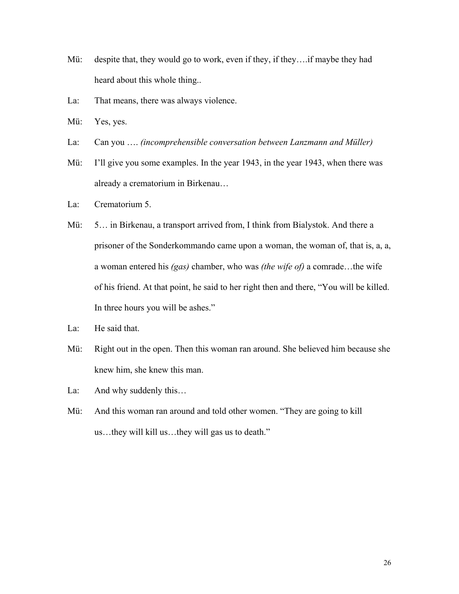- Mü: despite that, they would go to work, even if they, if they….if maybe they had heard about this whole thing..
- La: That means, there was always violence.
- Mü: Yes, yes.
- La: Can you …. *(incomprehensible conversation between Lanzmann and Müller)*
- Mü: I'll give you some examples. In the year 1943, in the year 1943, when there was already a crematorium in Birkenau…
- La: Crematorium 5.
- Mü: 5… in Birkenau, a transport arrived from, I think from Bialystok. And there a prisoner of the Sonderkommando came upon a woman, the woman of, that is, a, a, a woman entered his *(gas)* chamber, who was *(the wife of)* a comrade…the wife of his friend. At that point, he said to her right then and there, "You will be killed. In three hours you will be ashes."
- La: He said that.
- Mü: Right out in the open. Then this woman ran around. She believed him because she knew him, she knew this man.
- La: And why suddenly this...
- Mü: And this woman ran around and told other women. "They are going to kill us…they will kill us…they will gas us to death."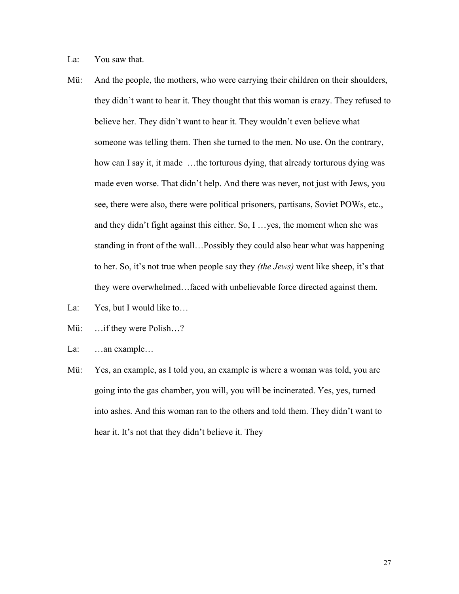La: You saw that.

- Mü: And the people, the mothers, who were carrying their children on their shoulders, they didn't want to hear it. They thought that this woman is crazy. They refused to believe her. They didn't want to hear it. They wouldn't even believe what someone was telling them. Then she turned to the men. No use. On the contrary, how can I say it, it made …the torturous dying, that already torturous dying was made even worse. That didn't help. And there was never, not just with Jews, you see, there were also, there were political prisoners, partisans, Soviet POWs, etc., and they didn't fight against this either. So, I …yes, the moment when she was standing in front of the wall…Possibly they could also hear what was happening to her. So, it's not true when people say they *(the Jews)* went like sheep, it's that they were overwhelmed…faced with unbelievable force directed against them.
- La: Yes, but I would like to...
- Mü: ... if they were Polish...?
- La: ...an example...
- Mü: Yes, an example, as I told you, an example is where a woman was told, you are going into the gas chamber, you will, you will be incinerated. Yes, yes, turned into ashes. And this woman ran to the others and told them. They didn't want to hear it. It's not that they didn't believe it. They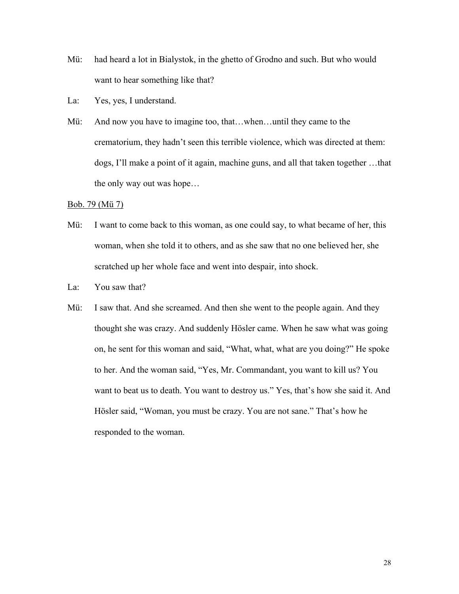- Mü: had heard a lot in Bialystok, in the ghetto of Grodno and such. But who would want to hear something like that?
- La: Yes, yes, I understand.
- Mü: And now you have to imagine too, that...when...until they came to the crematorium, they hadn't seen this terrible violence, which was directed at them: dogs, I'll make a point of it again, machine guns, and all that taken together …that the only way out was hope…

#### Bob. 79 (Mü 7)

- Mü: I want to come back to this woman, as one could say, to what became of her, this woman, when she told it to others, and as she saw that no one believed her, she scratched up her whole face and went into despair, into shock.
- La: You saw that?
- Mü: I saw that. And she screamed. And then she went to the people again. And they thought she was crazy. And suddenly Hösler came. When he saw what was going on, he sent for this woman and said, "What, what, what are you doing?" He spoke to her. And the woman said, "Yes, Mr. Commandant, you want to kill us? You want to beat us to death. You want to destroy us." Yes, that's how she said it. And Hösler said, "Woman, you must be crazy. You are not sane." That's how he responded to the woman.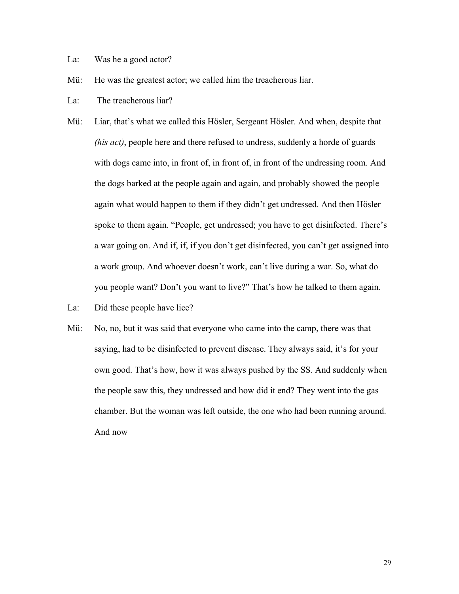- La: Was he a good actor?
- Mü: He was the greatest actor; we called him the treacherous liar.
- La: The treacherous liar?
- Mü: Liar, that's what we called this Hösler, Sergeant Hösler. And when, despite that *(his act)*, people here and there refused to undress, suddenly a horde of guards with dogs came into, in front of, in front of, in front of the undressing room. And the dogs barked at the people again and again, and probably showed the people again what would happen to them if they didn't get undressed. And then Hösler spoke to them again. "People, get undressed; you have to get disinfected. There's a war going on. And if, if, if you don't get disinfected, you can't get assigned into a work group. And whoever doesn't work, can't live during a war. So, what do you people want? Don't you want to live?" That's how he talked to them again.
- La: Did these people have lice?
- Mü: No, no, but it was said that everyone who came into the camp, there was that saying, had to be disinfected to prevent disease. They always said, it's for your own good. That's how, how it was always pushed by the SS. And suddenly when the people saw this, they undressed and how did it end? They went into the gas chamber. But the woman was left outside, the one who had been running around. And now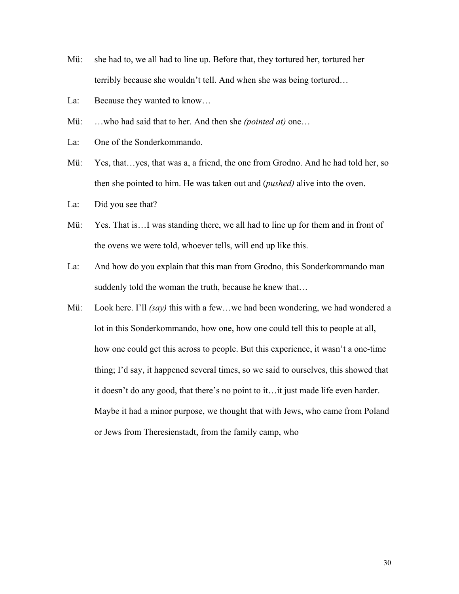- Mü: she had to, we all had to line up. Before that, they tortured her, tortured her terribly because she wouldn't tell. And when she was being tortured…
- La: Because they wanted to know…
- Mü: …who had said that to her. And then she *(pointed at)* one…
- La: One of the Sonderkommando.
- Mü: Yes, that…yes, that was a, a friend, the one from Grodno. And he had told her, so then she pointed to him. He was taken out and (*pushed)* alive into the oven.
- La: Did you see that?
- Mü: Yes. That is... I was standing there, we all had to line up for them and in front of the ovens we were told, whoever tells, will end up like this.
- La: And how do you explain that this man from Grodno, this Sonderkommando man suddenly told the woman the truth, because he knew that…
- Mü: Look here. I'll *(say)* this with a few…we had been wondering, we had wondered a lot in this Sonderkommando, how one, how one could tell this to people at all, how one could get this across to people. But this experience, it wasn't a one-time thing; I'd say, it happened several times, so we said to ourselves, this showed that it doesn't do any good, that there's no point to it…it just made life even harder. Maybe it had a minor purpose, we thought that with Jews, who came from Poland or Jews from Theresienstadt, from the family camp, who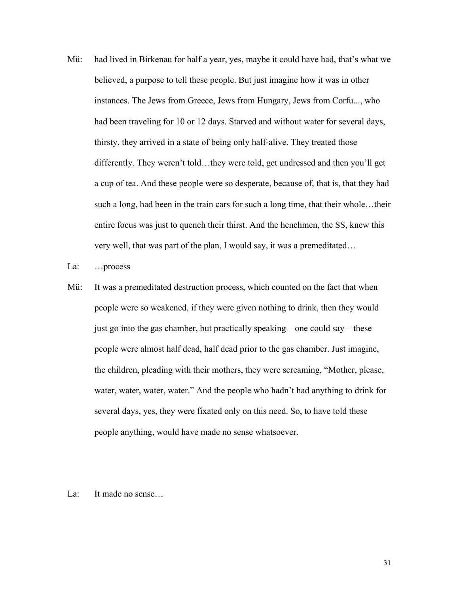- Mü: had lived in Birkenau for half a year, yes, maybe it could have had, that's what we believed, a purpose to tell these people. But just imagine how it was in other instances. The Jews from Greece, Jews from Hungary, Jews from Corfu..., who had been traveling for 10 or 12 days. Starved and without water for several days, thirsty, they arrived in a state of being only half-alive. They treated those differently. They weren't told…they were told, get undressed and then you'll get a cup of tea. And these people were so desperate, because of, that is, that they had such a long, had been in the train cars for such a long time, that their whole…their entire focus was just to quench their thirst. And the henchmen, the SS, knew this very well, that was part of the plan, I would say, it was a premeditated…
- La: …process
- Mü: It was a premeditated destruction process, which counted on the fact that when people were so weakened, if they were given nothing to drink, then they would just go into the gas chamber, but practically speaking – one could say – these people were almost half dead, half dead prior to the gas chamber. Just imagine, the children, pleading with their mothers, they were screaming, "Mother, please, water, water, water, water." And the people who hadn't had anything to drink for several days, yes, they were fixated only on this need. So, to have told these people anything, would have made no sense whatsoever.
- La: It made no sense...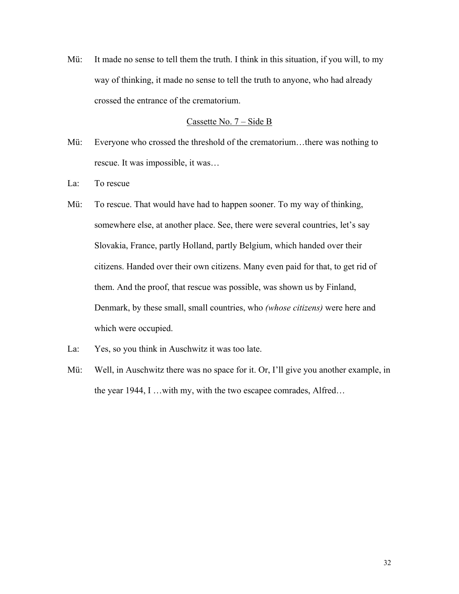Mü: It made no sense to tell them the truth. I think in this situation, if you will, to my way of thinking, it made no sense to tell the truth to anyone, who had already crossed the entrance of the crematorium.

### Cassette No. 7 – Side B

- Mü: Everyone who crossed the threshold of the crematorium…there was nothing to rescue. It was impossible, it was…
- La: To rescue
- Mü: To rescue. That would have had to happen sooner. To my way of thinking, somewhere else, at another place. See, there were several countries, let's say Slovakia, France, partly Holland, partly Belgium, which handed over their citizens. Handed over their own citizens. Many even paid for that, to get rid of them. And the proof, that rescue was possible, was shown us by Finland, Denmark, by these small, small countries, who *(whose citizens)* were here and which were occupied.
- La: Yes, so you think in Auschwitz it was too late.
- Mü: Well, in Auschwitz there was no space for it. Or, I'll give you another example, in the year 1944, I …with my, with the two escapee comrades, Alfred…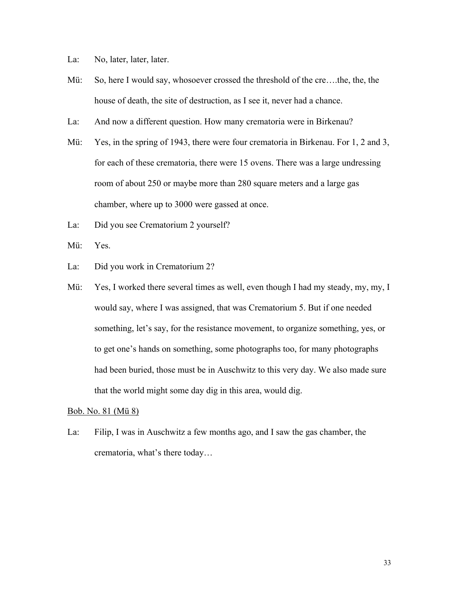- La: No, later, later, later.
- Mü: So, here I would say, whosoever crossed the threshold of the cre….the, the, the house of death, the site of destruction, as I see it, never had a chance.
- La: And now a different question. How many crematoria were in Birkenau?
- Mü: Yes, in the spring of 1943, there were four crematoria in Birkenau. For 1, 2 and 3, for each of these crematoria, there were 15 ovens. There was a large undressing room of about 250 or maybe more than 280 square meters and a large gas chamber, where up to 3000 were gassed at once.
- La: Did you see Crematorium 2 yourself?
- Mü: Yes.
- La: Did you work in Crematorium 2?
- Mü: Yes, I worked there several times as well, even though I had my steady, my, my, I would say, where I was assigned, that was Crematorium 5. But if one needed something, let's say, for the resistance movement, to organize something, yes, or to get one's hands on something, some photographs too, for many photographs had been buried, those must be in Auschwitz to this very day. We also made sure that the world might some day dig in this area, would dig.

# Bob. No. 81 (Mü 8)

La: Filip, I was in Auschwitz a few months ago, and I saw the gas chamber, the crematoria, what's there today…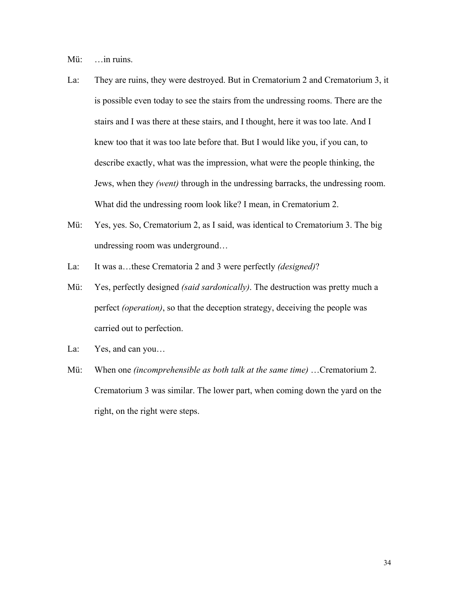Mü: ... in ruins.

- La: They are ruins, they were destroyed. But in Crematorium 2 and Crematorium 3, it is possible even today to see the stairs from the undressing rooms. There are the stairs and I was there at these stairs, and I thought, here it was too late. And I knew too that it was too late before that. But I would like you, if you can, to describe exactly, what was the impression, what were the people thinking, the Jews, when they *(went)* through in the undressing barracks, the undressing room. What did the undressing room look like? I mean, in Crematorium 2.
- Mü: Yes, yes. So, Crematorium 2, as I said, was identical to Crematorium 3. The big undressing room was underground…
- La: It was a…these Crematoria 2 and 3 were perfectly *(designed)*?
- Mü: Yes, perfectly designed *(said sardonically)*. The destruction was pretty much a perfect *(operation)*, so that the deception strategy, deceiving the people was carried out to perfection.
- La: Yes, and can you...
- Mü: When one *(incomprehensible as both talk at the same time)* …Crematorium 2. Crematorium 3 was similar. The lower part, when coming down the yard on the right, on the right were steps.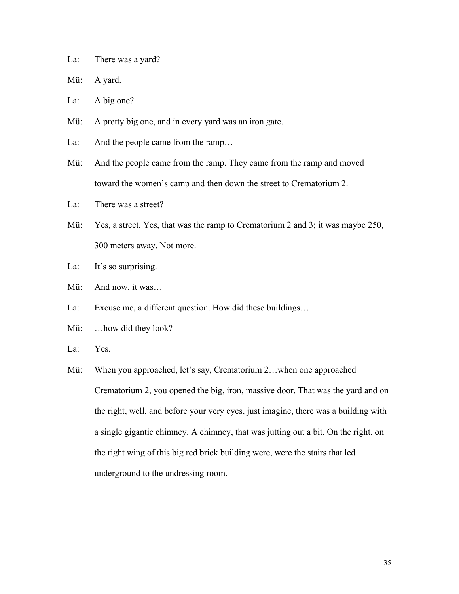La: There was a yard?

Mü: A yard.

La: A big one?

- Mü: A pretty big one, and in every yard was an iron gate.
- La: And the people came from the ramp...
- Mü: And the people came from the ramp. They came from the ramp and moved toward the women's camp and then down the street to Crematorium 2.
- La: There was a street?
- Mü: Yes, a street. Yes, that was the ramp to Crematorium 2 and 3; it was maybe 250, 300 meters away. Not more.
- La: It's so surprising.
- Mü: And now, it was…
- La: Excuse me, a different question. How did these buildings…
- Mü: ...how did they look?
- La: Yes.
- Mü: When you approached, let's say, Crematorium 2...when one approached Crematorium 2, you opened the big, iron, massive door. That was the yard and on the right, well, and before your very eyes, just imagine, there was a building with a single gigantic chimney. A chimney, that was jutting out a bit. On the right, on the right wing of this big red brick building were, were the stairs that led underground to the undressing room.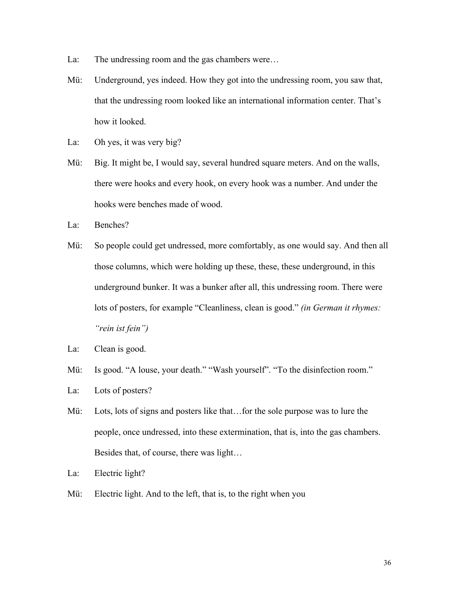- La: The undressing room and the gas chambers were...
- Mü: Underground, yes indeed. How they got into the undressing room, you saw that, that the undressing room looked like an international information center. That's how it looked.
- La: Oh yes, it was very big?
- Mü: Big. It might be, I would say, several hundred square meters. And on the walls, there were hooks and every hook, on every hook was a number. And under the hooks were benches made of wood.
- La: Benches?
- Mü: So people could get undressed, more comfortably, as one would say. And then all those columns, which were holding up these, these, these underground, in this underground bunker. It was a bunker after all, this undressing room. There were lots of posters, for example "Cleanliness, clean is good." *(in German it rhymes: "rein ist fein")*
- La: Clean is good.
- Mü: Is good. "A louse, your death." "Wash yourself". "To the disinfection room."
- La: Lots of posters?
- Mü: Lots, lots of signs and posters like that…for the sole purpose was to lure the people, once undressed, into these extermination, that is, into the gas chambers. Besides that, of course, there was light…
- La: Electric light?
- Mü: Electric light. And to the left, that is, to the right when you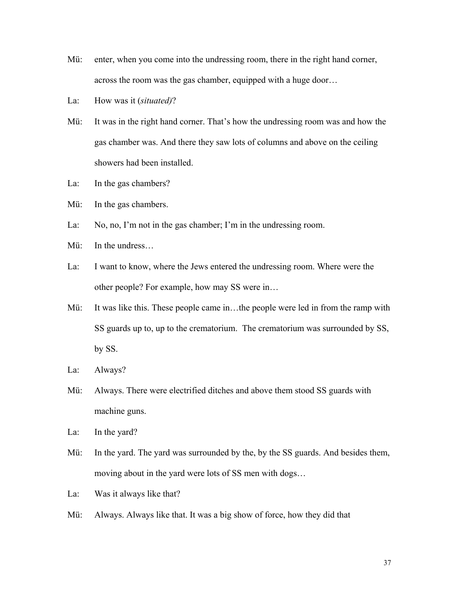- Mü: enter, when you come into the undressing room, there in the right hand corner, across the room was the gas chamber, equipped with a huge door…
- La: How was it (*situated)*?
- Mü: It was in the right hand corner. That's how the undressing room was and how the gas chamber was. And there they saw lots of columns and above on the ceiling showers had been installed.
- La: In the gas chambers?
- Mü: In the gas chambers.
- La: No, no, I'm not in the gas chamber; I'm in the undressing room.
- Mü: In the undress…
- La: I want to know, where the Jews entered the undressing room. Where were the other people? For example, how may SS were in…
- Mü: It was like this. These people came in...the people were led in from the ramp with SS guards up to, up to the crematorium. The crematorium was surrounded by SS, by SS.
- La: Always?
- Mü: Always. There were electrified ditches and above them stood SS guards with machine guns.
- La: In the yard?
- Mü: In the yard. The yard was surrounded by the, by the SS guards. And besides them, moving about in the yard were lots of SS men with dogs…
- La: Was it always like that?
- Mü: Always. Always like that. It was a big show of force, how they did that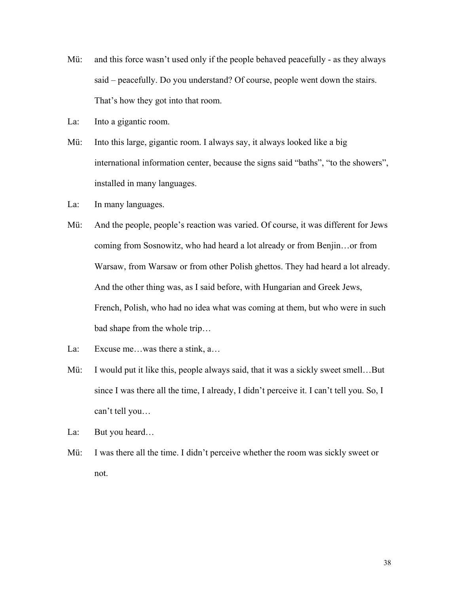- Mü: and this force wasn't used only if the people behaved peacefully as they always said – peacefully. Do you understand? Of course, people went down the stairs. That's how they got into that room.
- La: Into a gigantic room.
- Mü: Into this large, gigantic room. I always say, it always looked like a big international information center, because the signs said "baths", "to the showers", installed in many languages.
- La: In many languages.
- Mü: And the people, people's reaction was varied. Of course, it was different for Jews coming from Sosnowitz, who had heard a lot already or from Benjin…or from Warsaw, from Warsaw or from other Polish ghettos. They had heard a lot already. And the other thing was, as I said before, with Hungarian and Greek Jews, French, Polish, who had no idea what was coming at them, but who were in such bad shape from the whole trip…
- La: Excuse me...was there a stink, a...
- Mü: I would put it like this, people always said, that it was a sickly sweet smell...But since I was there all the time, I already, I didn't perceive it. I can't tell you. So, I can't tell you…
- La: But you heard...
- Mü: I was there all the time. I didn't perceive whether the room was sickly sweet or not.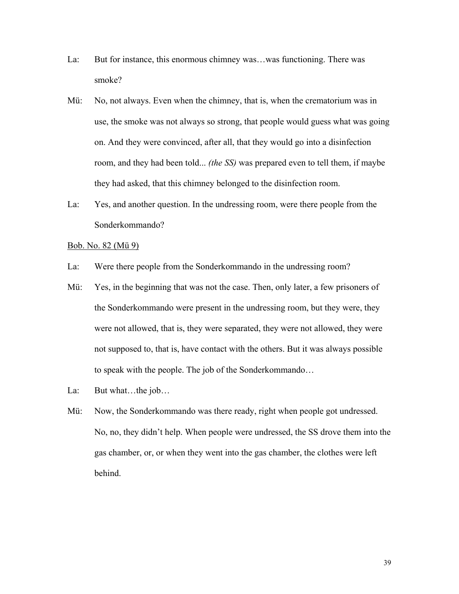- La: But for instance, this enormous chimney was…was functioning. There was smoke?
- Mü: No, not always. Even when the chimney, that is, when the crematorium was in use, the smoke was not always so strong, that people would guess what was going on. And they were convinced, after all, that they would go into a disinfection room, and they had been told... *(the SS)* was prepared even to tell them, if maybe they had asked, that this chimney belonged to the disinfection room.
- La: Yes, and another question. In the undressing room, were there people from the Sonderkommando?

#### Bob. No. 82 (Mü 9)

- La: Were there people from the Sonderkommando in the undressing room?
- Mü: Yes, in the beginning that was not the case. Then, only later, a few prisoners of the Sonderkommando were present in the undressing room, but they were, they were not allowed, that is, they were separated, they were not allowed, they were not supposed to, that is, have contact with the others. But it was always possible to speak with the people. The job of the Sonderkommando…
- La: But what...the job...
- Mü: Now, the Sonderkommando was there ready, right when people got undressed. No, no, they didn't help. When people were undressed, the SS drove them into the gas chamber, or, or when they went into the gas chamber, the clothes were left behind.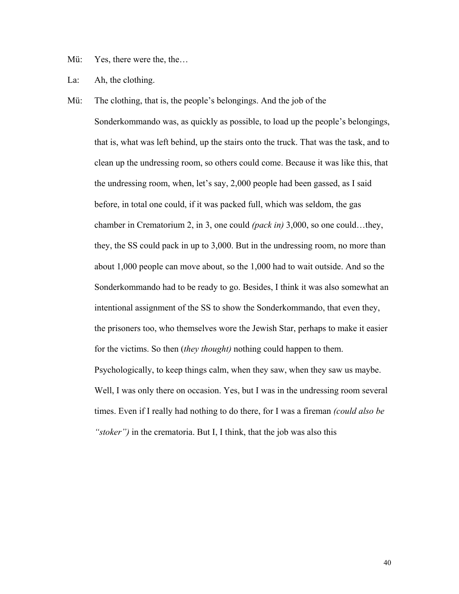Mü: Yes, there were the, the...

La: Ah, the clothing.

Mü: The clothing, that is, the people's belongings. And the job of the Sonderkommando was, as quickly as possible, to load up the people's belongings, that is, what was left behind, up the stairs onto the truck. That was the task, and to clean up the undressing room, so others could come. Because it was like this, that the undressing room, when, let's say, 2,000 people had been gassed, as I said before, in total one could, if it was packed full, which was seldom, the gas chamber in Crematorium 2, in 3, one could *(pack in)* 3,000, so one could…they, they, the SS could pack in up to 3,000. But in the undressing room, no more than about 1,000 people can move about, so the 1,000 had to wait outside. And so the Sonderkommando had to be ready to go. Besides, I think it was also somewhat an intentional assignment of the SS to show the Sonderkommando, that even they, the prisoners too, who themselves wore the Jewish Star, perhaps to make it easier for the victims. So then (*they thought)* nothing could happen to them. Psychologically, to keep things calm, when they saw, when they saw us maybe. Well, I was only there on occasion. Yes, but I was in the undressing room several times. Even if I really had nothing to do there, for I was a fireman *(could also be "stoker")* in the crematoria. But I, I think, that the job was also this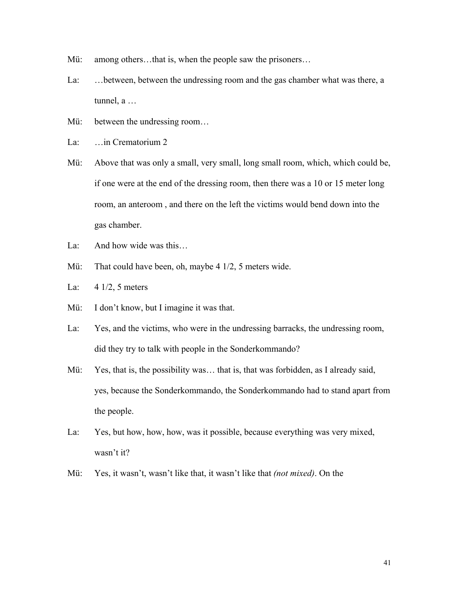- Mü: among others...that is, when the people saw the prisoners...
- La: …between, between the undressing room and the gas chamber what was there, a tunnel, a …
- Mü: between the undressing room...

La: ... in Crematorium 2

- Mü: Above that was only a small, very small, long small room, which, which could be, if one were at the end of the dressing room, then there was a 10 or 15 meter long room, an anteroom , and there on the left the victims would bend down into the gas chamber.
- La: And how wide was this…
- Mü: That could have been, oh, maybe 4 1/2, 5 meters wide.
- La: 4 1/2, 5 meters
- Mü: I don't know, but I imagine it was that.
- La: Yes, and the victims, who were in the undressing barracks, the undressing room, did they try to talk with people in the Sonderkommando?
- Mü: Yes, that is, the possibility was... that is, that was forbidden, as I already said, yes, because the Sonderkommando, the Sonderkommando had to stand apart from the people.
- La: Yes, but how, how, how, was it possible, because everything was very mixed, wasn't it?
- Mü: Yes, it wasn't, wasn't like that, it wasn't like that *(not mixed)*. On the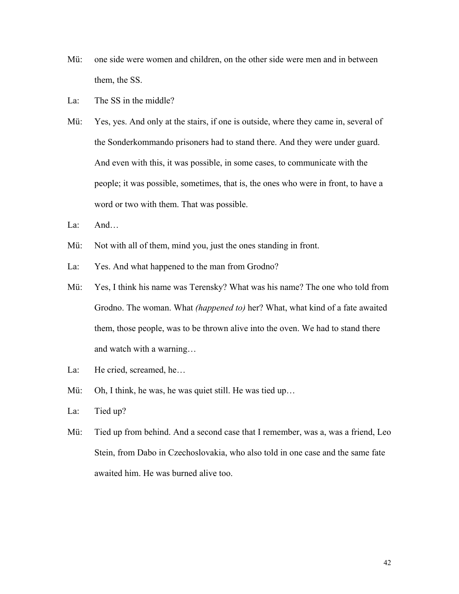- Mü: one side were women and children, on the other side were men and in between them, the SS.
- La: The SS in the middle?
- Mü: Yes, yes. And only at the stairs, if one is outside, where they came in, several of the Sonderkommando prisoners had to stand there. And they were under guard. And even with this, it was possible, in some cases, to communicate with the people; it was possible, sometimes, that is, the ones who were in front, to have a word or two with them. That was possible.
- La: And…
- Mü: Not with all of them, mind you, just the ones standing in front.
- La: Yes. And what happened to the man from Grodno?
- Mü: Yes, I think his name was Terensky? What was his name? The one who told from Grodno. The woman. What *(happened to)* her? What, what kind of a fate awaited them, those people, was to be thrown alive into the oven. We had to stand there and watch with a warning…
- La: He cried, screamed, he...
- Mü: Oh, I think, he was, he was quiet still. He was tied up...
- La: Tied up?
- Mü: Tied up from behind. And a second case that I remember, was a, was a friend, Leo Stein, from Dabo in Czechoslovakia, who also told in one case and the same fate awaited him. He was burned alive too.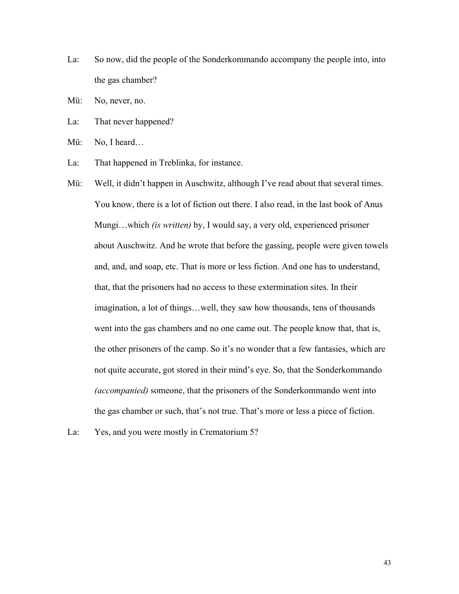- La: So now, did the people of the Sonderkommando accompany the people into, into the gas chamber?
- Mü: No, never, no.
- La: That never happened?
- Mü: No, I heard...
- La: That happened in Treblinka, for instance.
- Mü: Well, it didn't happen in Auschwitz, although I've read about that several times. You know, there is a lot of fiction out there. I also read, in the last book of Anus Mungi…which *(is written)* by, I would say, a very old, experienced prisoner about Auschwitz. And he wrote that before the gassing, people were given towels and, and, and soap, etc. That is more or less fiction. And one has to understand, that, that the prisoners had no access to these extermination sites. In their imagination, a lot of things…well, they saw how thousands, tens of thousands went into the gas chambers and no one came out. The people know that, that is, the other prisoners of the camp. So it's no wonder that a few fantasies, which are not quite accurate, got stored in their mind's eye. So, that the Sonderkommando *(accompanied)* someone, that the prisoners of the Sonderkommando went into the gas chamber or such, that's not true. That's more or less a piece of fiction.
- La: Yes, and you were mostly in Crematorium 5?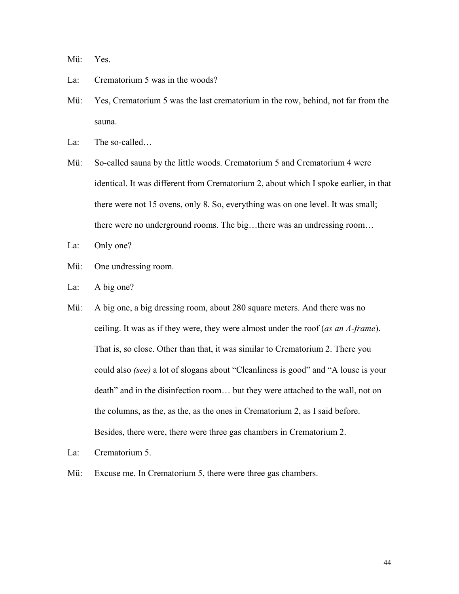Mü: Yes.

- La: Crematorium 5 was in the woods?
- Mü: Yes, Crematorium 5 was the last crematorium in the row, behind, not far from the sauna.
- La: The so-called...
- Mü: So-called sauna by the little woods. Crematorium 5 and Crematorium 4 were identical. It was different from Crematorium 2, about which I spoke earlier, in that there were not 15 ovens, only 8. So, everything was on one level. It was small; there were no underground rooms. The big…there was an undressing room…
- La: Only one?
- Mü: One undressing room.
- La: A big one?
- Mü: A big one, a big dressing room, about 280 square meters. And there was no ceiling. It was as if they were, they were almost under the roof (*as an A-frame*). That is, so close. Other than that, it was similar to Crematorium 2. There you could also *(see)* a lot of slogans about "Cleanliness is good" and "A louse is your death" and in the disinfection room… but they were attached to the wall, not on the columns, as the, as the, as the ones in Crematorium 2, as I said before. Besides, there were, there were three gas chambers in Crematorium 2.
- La: Crematorium 5.
- Mü: Excuse me. In Crematorium 5, there were three gas chambers.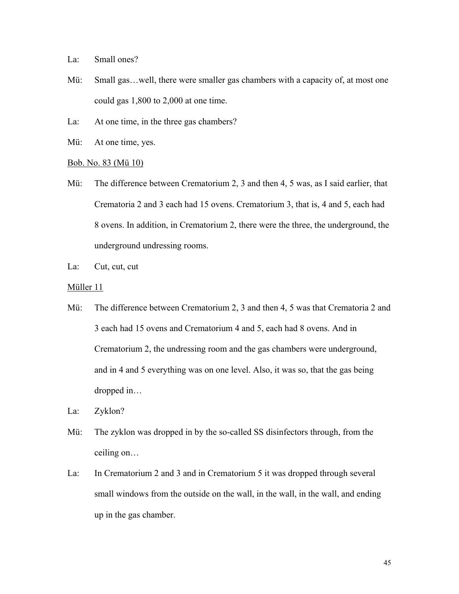La: Small ones?

- Mü: Small gas…well, there were smaller gas chambers with a capacity of, at most one could gas 1,800 to 2,000 at one time.
- La: At one time, in the three gas chambers?
- Mü: At one time, yes.
- Bob. No. 83 (Mü 10)
- Mü: The difference between Crematorium 2, 3 and then 4, 5 was, as I said earlier, that Crematoria 2 and 3 each had 15 ovens. Crematorium 3, that is, 4 and 5, each had 8 ovens. In addition, in Crematorium 2, there were the three, the underground, the underground undressing rooms.
- La: Cut, cut, cut
- Müller 11
- Mü: The difference between Crematorium 2, 3 and then 4, 5 was that Crematoria 2 and 3 each had 15 ovens and Crematorium 4 and 5, each had 8 ovens. And in Crematorium 2, the undressing room and the gas chambers were underground, and in 4 and 5 everything was on one level. Also, it was so, that the gas being dropped in…
- La: Zyklon?
- Mü: The zyklon was dropped in by the so-called SS disinfectors through, from the ceiling on…
- La: In Crematorium 2 and 3 and in Crematorium 5 it was dropped through several small windows from the outside on the wall, in the wall, in the wall, and ending up in the gas chamber.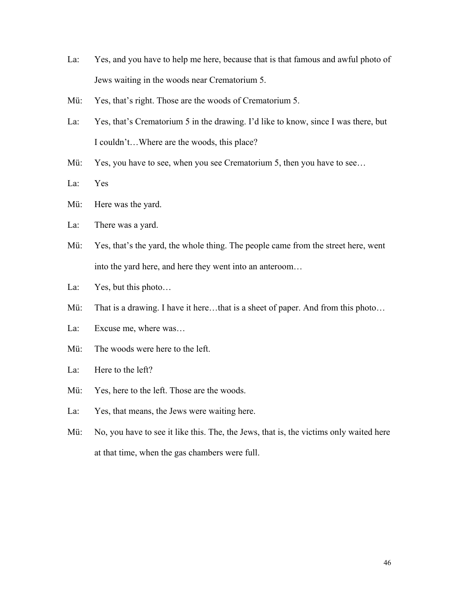- La: Yes, and you have to help me here, because that is that famous and awful photo of Jews waiting in the woods near Crematorium 5.
- Mü: Yes, that's right. Those are the woods of Crematorium 5.
- La: Yes, that's Crematorium 5 in the drawing. I'd like to know, since I was there, but I couldn't…Where are the woods, this place?
- Mü: Yes, you have to see, when you see Crematorium 5, then you have to see...
- La: Yes
- Mü: Here was the yard.
- La: There was a yard.
- Mü: Yes, that's the yard, the whole thing. The people came from the street here, went into the yard here, and here they went into an anteroom…
- La: Yes, but this photo...
- Mü: That is a drawing. I have it here...that is a sheet of paper. And from this photo...
- La: Excuse me, where was…
- Mü: The woods were here to the left.
- La: Here to the left?
- Mü: Yes, here to the left. Those are the woods.
- La: Yes, that means, the Jews were waiting here.
- Mü: No, you have to see it like this. The, the Jews, that is, the victims only waited here at that time, when the gas chambers were full.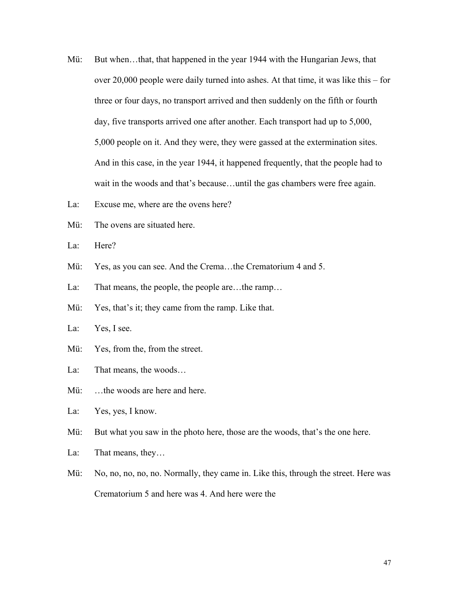- Mü: But when…that, that happened in the year 1944 with the Hungarian Jews, that over 20,000 people were daily turned into ashes. At that time, it was like this – for three or four days, no transport arrived and then suddenly on the fifth or fourth day, five transports arrived one after another. Each transport had up to 5,000, 5,000 people on it. And they were, they were gassed at the extermination sites. And in this case, in the year 1944, it happened frequently, that the people had to wait in the woods and that's because...until the gas chambers were free again.
- La: Excuse me, where are the ovens here?
- Mü: The ovens are situated here.
- La: Here?
- Mü: Yes, as you can see. And the Crema...the Crematorium 4 and 5.
- La: That means, the people, the people are…the ramp…
- Mü: Yes, that's it; they came from the ramp. Like that.
- La: Yes, I see.
- Mü: Yes, from the, from the street.
- La: That means, the woods…
- Mü: ...the woods are here and here.
- La: Yes, yes, I know.
- Mü: But what you saw in the photo here, those are the woods, that's the one here.
- La: That means, they...
- Mü: No, no, no, no, no. Normally, they came in. Like this, through the street. Here was Crematorium 5 and here was 4. And here were the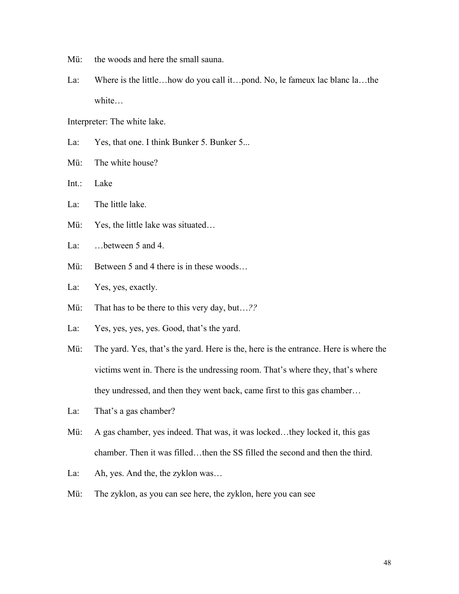- Mü: the woods and here the small sauna.
- La: Where is the little...how do you call it...pond. No, le fameux lac blanc la...the white…

Interpreter: The white lake.

- La: Yes, that one. I think Bunker 5. Bunker 5...
- Mü: The white house?
- Int.: Lake
- La: The little lake.
- Mü: Yes, the little lake was situated...
- La: ... between 5 and 4.
- Mü: Between 5 and 4 there is in these woods...
- La: Yes, yes, exactly.
- Mü: That has to be there to this very day, but…*??*
- La: Yes, yes, yes, yes. Good, that's the yard.
- Mü: The yard. Yes, that's the yard. Here is the, here is the entrance. Here is where the victims went in. There is the undressing room. That's where they, that's where they undressed, and then they went back, came first to this gas chamber…
- La: That's a gas chamber?
- Mü: A gas chamber, yes indeed. That was, it was locked...they locked it, this gas chamber. Then it was filled…then the SS filled the second and then the third.
- La: Ah, yes. And the, the zyklon was...
- Mü: The zyklon, as you can see here, the zyklon, here you can see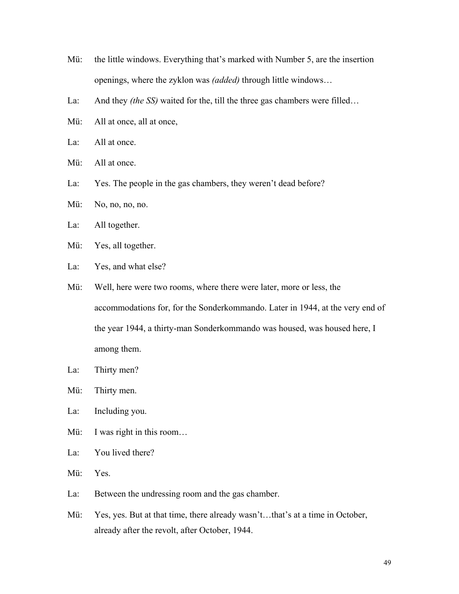- Mü: the little windows. Everything that's marked with Number 5, are the insertion openings, where the zyklon was *(added)* through little windows…
- La: And they *(the SS)* waited for the, till the three gas chambers were filled…
- Mü: All at once, all at once,
- La: All at once.
- Mü: All at once.
- La: Yes. The people in the gas chambers, they weren't dead before?
- Mü: No, no, no, no.
- La: All together.
- Mü: Yes, all together.
- La: Yes, and what else?
- Mü: Well, here were two rooms, where there were later, more or less, the accommodations for, for the Sonderkommando. Later in 1944, at the very end of the year 1944, a thirty-man Sonderkommando was housed, was housed here, I among them.
- La: Thirty men?
- Mü: Thirty men.
- La: Including you.
- Mü: I was right in this room...
- La: You lived there?
- Mü: Yes.
- La: Between the undressing room and the gas chamber.
- Mü: Yes, yes. But at that time, there already wasn't...that's at a time in October, already after the revolt, after October, 1944.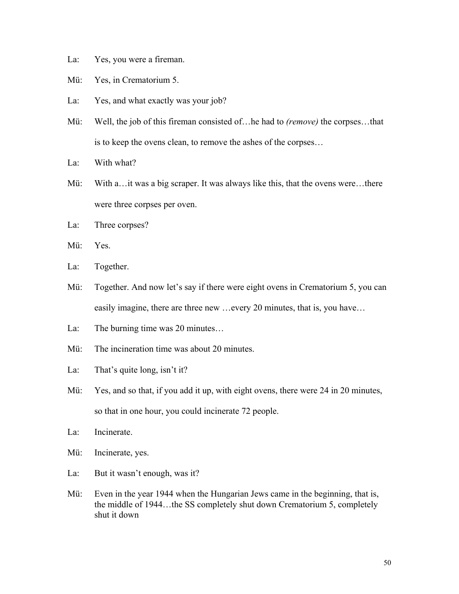- La: Yes, you were a fireman.
- Mü: Yes, in Crematorium 5.
- La: Yes, and what exactly was your job?
- Mü: Well, the job of this fireman consisted of…he had to *(remove)* the corpses…that is to keep the ovens clean, to remove the ashes of the corpses…
- La: With what?
- Mü: With a…it was a big scraper. It was always like this, that the ovens were…there were three corpses per oven.
- La: Three corpses?
- Mü: Yes.
- La: Together.
- Mü: Together. And now let's say if there were eight ovens in Crematorium 5, you can easily imagine, there are three new …every 20 minutes, that is, you have…
- La: The burning time was 20 minutes...
- Mü: The incineration time was about 20 minutes
- La: That's quite long, isn't it?
- Mü: Yes, and so that, if you add it up, with eight ovens, there were 24 in 20 minutes, so that in one hour, you could incinerate 72 people.
- La: Incinerate.
- Mü: Incinerate, yes.
- La: But it wasn't enough, was it?
- Mü: Even in the year 1944 when the Hungarian Jews came in the beginning, that is, the middle of 1944…the SS completely shut down Crematorium 5, completely shut it down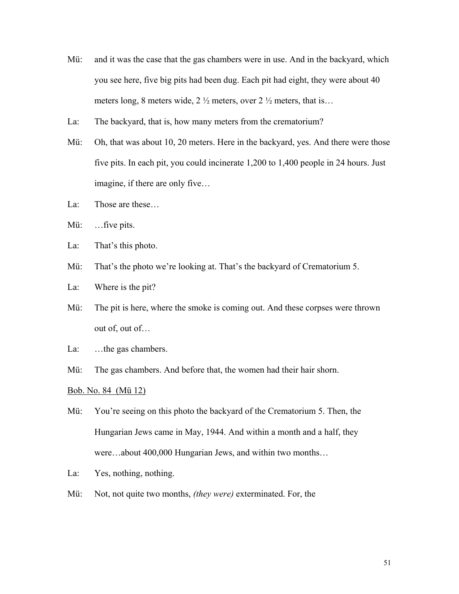- Mü: and it was the case that the gas chambers were in use. And in the backyard, which you see here, five big pits had been dug. Each pit had eight, they were about 40 meters long, 8 meters wide,  $2\frac{1}{2}$  meters, over  $2\frac{1}{2}$  meters, that is...
- La: The backyard, that is, how many meters from the crematorium?
- Mü: Oh, that was about 10, 20 meters. Here in the backyard, yes. And there were those five pits. In each pit, you could incinerate 1,200 to 1,400 people in 24 hours. Just imagine, if there are only five…
- La: Those are these…
- Mü: ...five pits.
- La: That's this photo.
- Mü: That's the photo we're looking at. That's the backyard of Crematorium 5.
- La: Where is the pit?
- Mü: The pit is here, where the smoke is coming out. And these corpses were thrown out of, out of…
- La: ...the gas chambers.
- Mü: The gas chambers. And before that, the women had their hair shorn.

Bob. No. 84 (Mü 12)

- Mü: You're seeing on this photo the backyard of the Crematorium 5. Then, the Hungarian Jews came in May, 1944. And within a month and a half, they were…about 400,000 Hungarian Jews, and within two months…
- La: Yes, nothing, nothing.
- Mü: Not, not quite two months, *(they were)* exterminated. For, the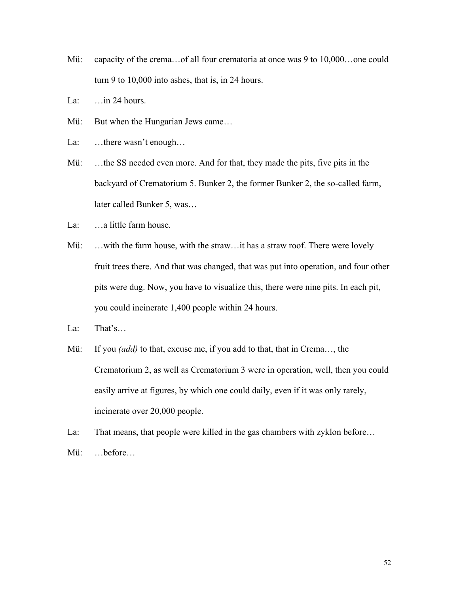- Mü: capacity of the crema...of all four crematoria at once was 9 to 10,000...one could turn 9 to 10,000 into ashes, that is, in 24 hours.
- La: …in 24 hours.
- Mü: But when the Hungarian Jews came...
- La: ...there wasn't enough...
- Mü: …the SS needed even more. And for that, they made the pits, five pits in the backyard of Crematorium 5. Bunker 2, the former Bunker 2, the so-called farm, later called Bunker 5, was…
- La: ...a little farm house.
- Mü: …with the farm house, with the straw…it has a straw roof. There were lovely fruit trees there. And that was changed, that was put into operation, and four other pits were dug. Now, you have to visualize this, there were nine pits. In each pit, you could incinerate 1,400 people within 24 hours.
- La: That's…
- Mü: If you *(add)* to that, excuse me, if you add to that, that in Crema…, the Crematorium 2, as well as Crematorium 3 were in operation, well, then you could easily arrive at figures, by which one could daily, even if it was only rarely, incinerate over 20,000 people.
- La: That means, that people were killed in the gas chambers with zyklon before... Mü: …before…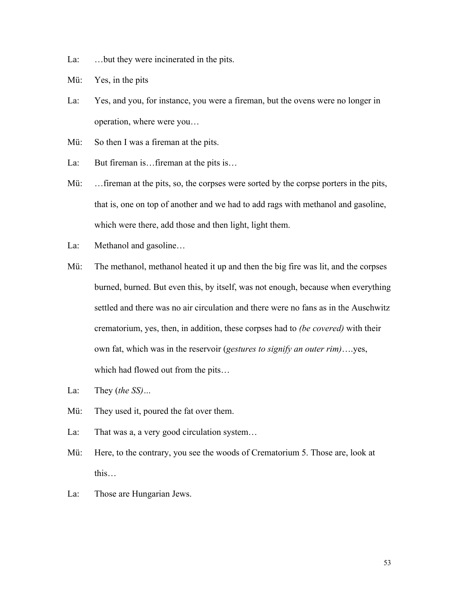- La: …but they were incinerated in the pits.
- Mü: Yes, in the pits
- La: Yes, and you, for instance, you were a fireman, but the ovens were no longer in operation, where were you…
- Mü: So then I was a fireman at the pits.
- La: But fireman is…fireman at the pits is…
- Mü: ... fireman at the pits, so, the corpses were sorted by the corpse porters in the pits, that is, one on top of another and we had to add rags with methanol and gasoline, which were there, add those and then light, light them.
- La: Methanol and gasoline…
- Mü: The methanol, methanol heated it up and then the big fire was lit, and the corpses burned, burned. But even this, by itself, was not enough, because when everything settled and there was no air circulation and there were no fans as in the Auschwitz crematorium, yes, then, in addition, these corpses had to *(be covered)* with their own fat, which was in the reservoir (*gestures to signify an outer rim)*….yes, which had flowed out from the pits…
- La: They (*the SS)…*
- Mü: They used it, poured the fat over them.
- La: That was a, a very good circulation system...
- Mü: Here, to the contrary, you see the woods of Crematorium 5. Those are, look at this…
- La: Those are Hungarian Jews.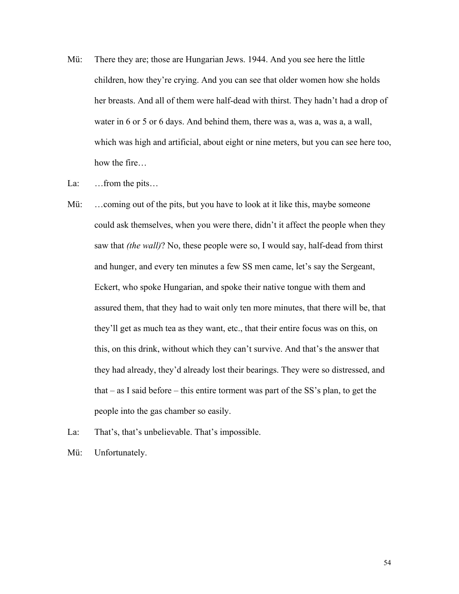- Mü: There they are; those are Hungarian Jews. 1944. And you see here the little children, how they're crying. And you can see that older women how she holds her breasts. And all of them were half-dead with thirst. They hadn't had a drop of water in 6 or 5 or 6 days. And behind them, there was a, was a, was a, a wall, which was high and artificial, about eight or nine meters, but you can see here too, how the fire…
- La: …from the pits…
- Mü: ... coming out of the pits, but you have to look at it like this, maybe someone could ask themselves, when you were there, didn't it affect the people when they saw that *(the wall)*? No, these people were so, I would say, half-dead from thirst and hunger, and every ten minutes a few SS men came, let's say the Sergeant, Eckert, who spoke Hungarian, and spoke their native tongue with them and assured them, that they had to wait only ten more minutes, that there will be, that they'll get as much tea as they want, etc., that their entire focus was on this, on this, on this drink, without which they can't survive. And that's the answer that they had already, they'd already lost their bearings. They were so distressed, and that – as I said before – this entire torment was part of the SS's plan, to get the people into the gas chamber so easily.
- La: That's, that's unbelievable. That's impossible.
- Mü: Unfortunately.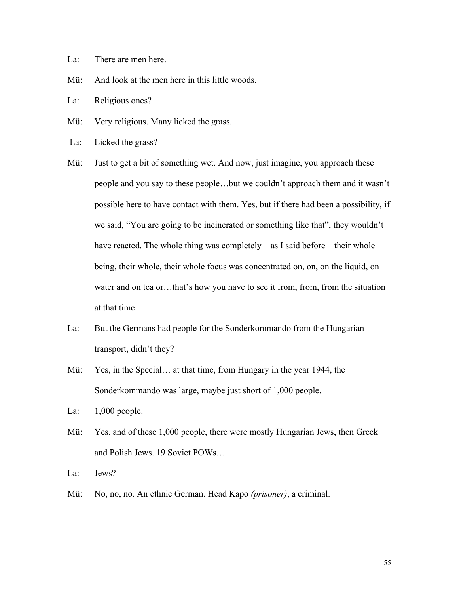- La: There are men here.
- Mü: And look at the men here in this little woods.
- La: Religious ones?
- Mü: Very religious. Many licked the grass.
- La: Licked the grass?
- Mü: Just to get a bit of something wet. And now, just imagine, you approach these people and you say to these people…but we couldn't approach them and it wasn't possible here to have contact with them. Yes, but if there had been a possibility, if we said, "You are going to be incinerated or something like that", they wouldn't have reacted. The whole thing was completely – as I said before – their whole being, their whole, their whole focus was concentrated on, on, on the liquid, on water and on tea or…that's how you have to see it from, from, from the situation at that time
- La: But the Germans had people for the Sonderkommando from the Hungarian transport, didn't they?
- Mü: Yes, in the Special… at that time, from Hungary in the year 1944, the Sonderkommando was large, maybe just short of 1,000 people.
- La: 1,000 people.
- Mü: Yes, and of these 1,000 people, there were mostly Hungarian Jews, then Greek and Polish Jews. 19 Soviet POWs…

La: Jews?

Mü: No, no, no. An ethnic German. Head Kapo *(prisoner)*, a criminal.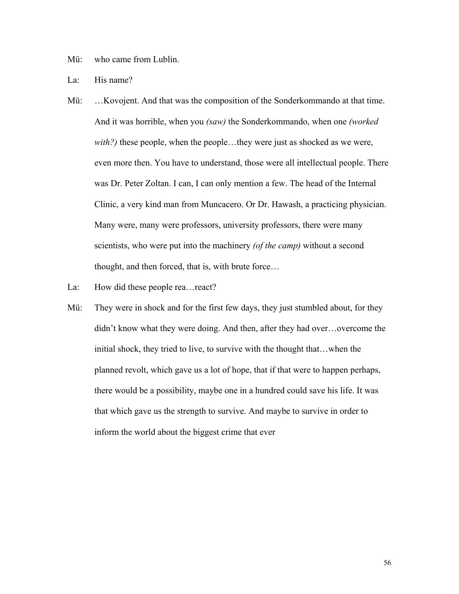Mü: who came from Lublin.

La: His name?

- Mü: …Kovojent. And that was the composition of the Sonderkommando at that time. And it was horrible, when you *(saw)* the Sonderkommando, when one *(worked with?)* these people, when the people…they were just as shocked as we were, even more then. You have to understand, those were all intellectual people. There was Dr. Peter Zoltan. I can, I can only mention a few. The head of the Internal Clinic, a very kind man from Muncacero. Or Dr. Hawash, a practicing physician. Many were, many were professors, university professors, there were many scientists, who were put into the machinery *(of the camp)* without a second thought, and then forced, that is, with brute force…
- La: How did these people rea...react?
- Mü: They were in shock and for the first few days, they just stumbled about, for they didn't know what they were doing. And then, after they had over…overcome the initial shock, they tried to live, to survive with the thought that…when the planned revolt, which gave us a lot of hope, that if that were to happen perhaps, there would be a possibility, maybe one in a hundred could save his life. It was that which gave us the strength to survive. And maybe to survive in order to inform the world about the biggest crime that ever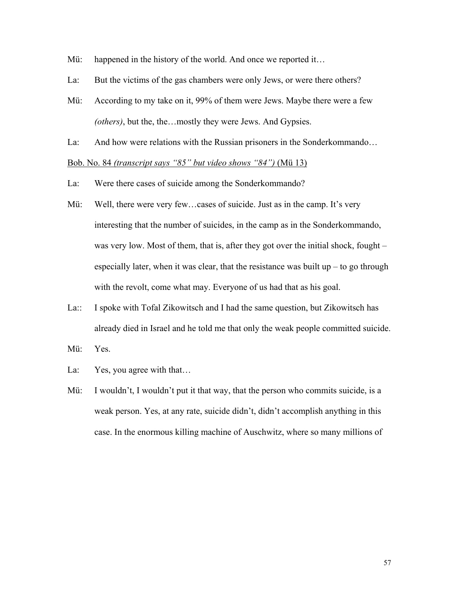- Mü: happened in the history of the world. And once we reported it...
- La: But the victims of the gas chambers were only Jews, or were there others?
- Mü: According to my take on it, 99% of them were Jews. Maybe there were a few *(others)*, but the, the…mostly they were Jews. And Gypsies.
- La: And how were relations with the Russian prisoners in the Sonderkommando…

Bob. No. 84 *(transcript says "85" but video shows "84")* (Mü 13)

- La: Were there cases of suicide among the Sonderkommando?
- Mü: Well, there were very few…cases of suicide. Just as in the camp. It's very interesting that the number of suicides, in the camp as in the Sonderkommando, was very low. Most of them, that is, after they got over the initial shock, fought – especially later, when it was clear, that the resistance was built  $up - to go through$ with the revolt, come what may. Everyone of us had that as his goal.
- La:: I spoke with Tofal Zikowitsch and I had the same question, but Zikowitsch has already died in Israel and he told me that only the weak people committed suicide.
- Mü: Yes.
- La: Yes, you agree with that...
- Mü: I wouldn't, I wouldn't put it that way, that the person who commits suicide, is a weak person. Yes, at any rate, suicide didn't, didn't accomplish anything in this case. In the enormous killing machine of Auschwitz, where so many millions of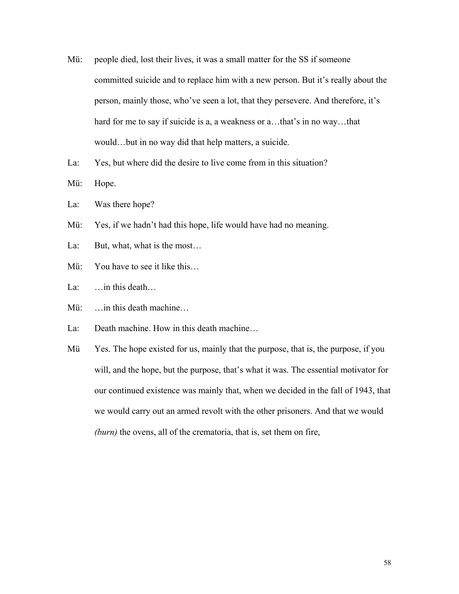- Mü: people died, lost their lives, it was a small matter for the SS if someone committed suicide and to replace him with a new person. But it's really about the person, mainly those, who've seen a lot, that they persevere. And therefore, it's hard for me to say if suicide is a, a weakness or a...that's in no way...that would…but in no way did that help matters, a suicide.
- La: Yes, but where did the desire to live come from in this situation?
- Mü: Hope.
- La: Was there hope?
- Mü: Yes, if we hadn't had this hope, life would have had no meaning.
- La: But, what, what is the most...
- Mü: You have to see it like this...
- La: ... in this death...
- Mü: …in this death machine…
- La: Death machine. How in this death machine…
- Mü Yes. The hope existed for us, mainly that the purpose, that is, the purpose, if you will, and the hope, but the purpose, that's what it was. The essential motivator for our continued existence was mainly that, when we decided in the fall of 1943, that we would carry out an armed revolt with the other prisoners. And that we would *(burn)* the ovens, all of the crematoria, that is, set them on fire,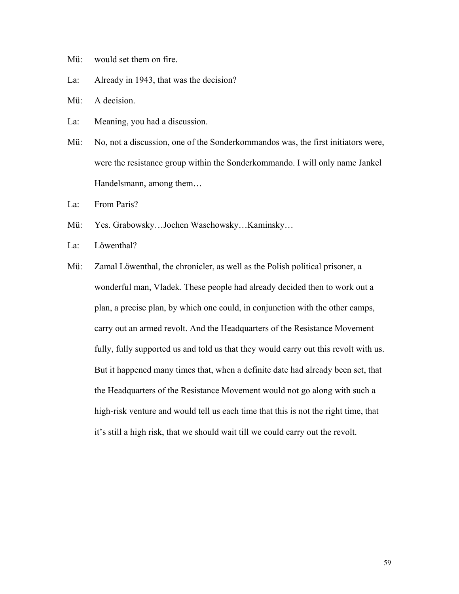- Mü: would set them on fire.
- La: Already in 1943, that was the decision?
- Mü: A decision.
- La: Meaning, you had a discussion.
- Mü: No, not a discussion, one of the Sonderkommandos was, the first initiators were, were the resistance group within the Sonderkommando. I will only name Jankel Handelsmann, among them…
- La: From Paris?
- Mü: Yes. Grabowsky…Jochen Waschowsky…Kaminsky…
- La: Löwenthal?
- Mü: Zamal Löwenthal, the chronicler, as well as the Polish political prisoner, a wonderful man, Vladek. These people had already decided then to work out a plan, a precise plan, by which one could, in conjunction with the other camps, carry out an armed revolt. And the Headquarters of the Resistance Movement fully, fully supported us and told us that they would carry out this revolt with us. But it happened many times that, when a definite date had already been set, that the Headquarters of the Resistance Movement would not go along with such a high-risk venture and would tell us each time that this is not the right time, that it's still a high risk, that we should wait till we could carry out the revolt.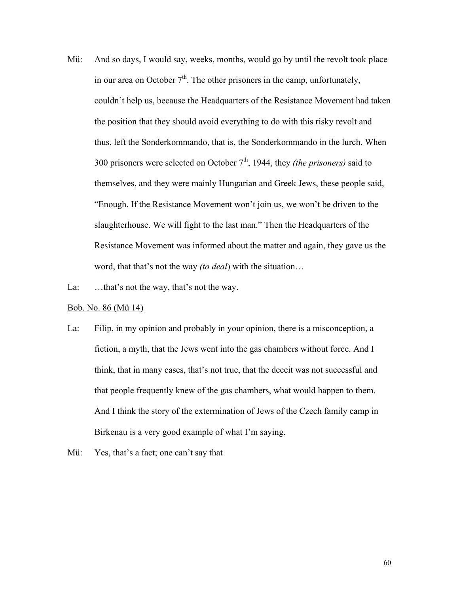Mü: And so days, I would say, weeks, months, would go by until the revolt took place in our area on October  $7<sup>th</sup>$ . The other prisoners in the camp, unfortunately, couldn't help us, because the Headquarters of the Resistance Movement had taken the position that they should avoid everything to do with this risky revolt and thus, left the Sonderkommando, that is, the Sonderkommando in the lurch. When 300 prisoners were selected on October 7th, 1944, they *(the prisoners)* said to themselves, and they were mainly Hungarian and Greek Jews, these people said, "Enough. If the Resistance Movement won't join us, we won't be driven to the slaughterhouse. We will fight to the last man." Then the Headquarters of the Resistance Movement was informed about the matter and again, they gave us the word, that that's not the way *(to deal*) with the situation…

La: ...that's not the way, that's not the way.

## Bob. No. 86 (Mü 14)

- La: Filip, in my opinion and probably in your opinion, there is a misconception, a fiction, a myth, that the Jews went into the gas chambers without force. And I think, that in many cases, that's not true, that the deceit was not successful and that people frequently knew of the gas chambers, what would happen to them. And I think the story of the extermination of Jews of the Czech family camp in Birkenau is a very good example of what I'm saying.
- Mü: Yes, that's a fact; one can't say that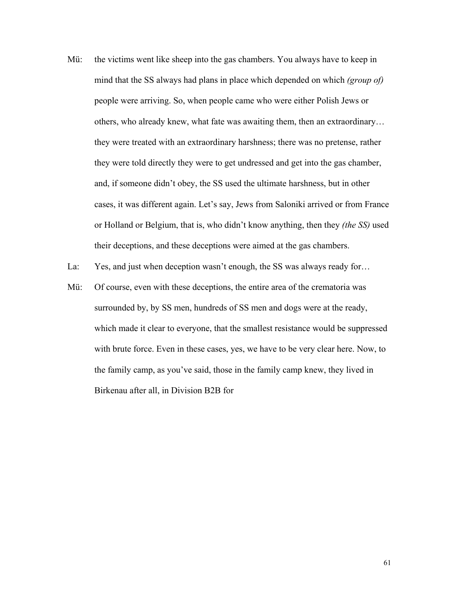Mü: the victims went like sheep into the gas chambers. You always have to keep in mind that the SS always had plans in place which depended on which *(group of)*  people were arriving. So, when people came who were either Polish Jews or others, who already knew, what fate was awaiting them, then an extraordinary… they were treated with an extraordinary harshness; there was no pretense, rather they were told directly they were to get undressed and get into the gas chamber, and, if someone didn't obey, the SS used the ultimate harshness, but in other cases, it was different again. Let's say, Jews from Saloniki arrived or from France or Holland or Belgium, that is, who didn't know anything, then they *(the SS)* used their deceptions, and these deceptions were aimed at the gas chambers.

La: Yes, and just when deception wasn't enough, the SS was always ready for...

Mü: Of course, even with these deceptions, the entire area of the crematoria was surrounded by, by SS men, hundreds of SS men and dogs were at the ready, which made it clear to everyone, that the smallest resistance would be suppressed with brute force. Even in these cases, yes, we have to be very clear here. Now, to the family camp, as you've said, those in the family camp knew, they lived in Birkenau after all, in Division B2B for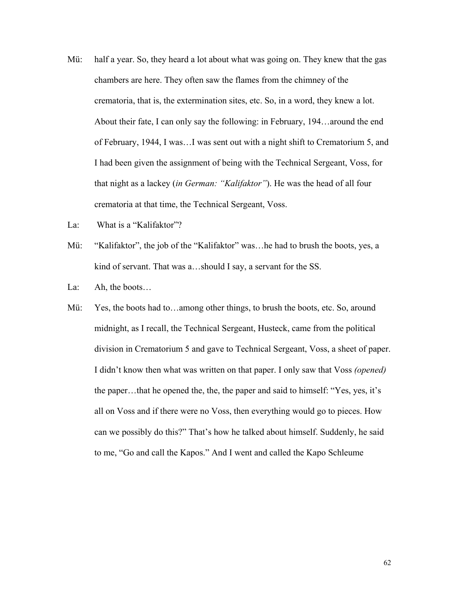- Mü: half a year. So, they heard a lot about what was going on. They knew that the gas chambers are here. They often saw the flames from the chimney of the crematoria, that is, the extermination sites, etc. So, in a word, they knew a lot. About their fate, I can only say the following: in February, 194…around the end of February, 1944, I was…I was sent out with a night shift to Crematorium 5, and I had been given the assignment of being with the Technical Sergeant, Voss, for that night as a lackey (*in German: "Kalifaktor"*). He was the head of all four crematoria at that time, the Technical Sergeant, Voss.
- La: What is a "Kalifaktor"?
- Mü: "Kalifaktor", the job of the "Kalifaktor" was…he had to brush the boots, yes, a kind of servant. That was a…should I say, a servant for the SS.
- La: Ah, the boots…
- Mü: Yes, the boots had to...among other things, to brush the boots, etc. So, around midnight, as I recall, the Technical Sergeant, Husteck, came from the political division in Crematorium 5 and gave to Technical Sergeant, Voss, a sheet of paper. I didn't know then what was written on that paper. I only saw that Voss *(opened)* the paper…that he opened the, the, the paper and said to himself: "Yes, yes, it's all on Voss and if there were no Voss, then everything would go to pieces. How can we possibly do this?" That's how he talked about himself. Suddenly, he said to me, "Go and call the Kapos." And I went and called the Kapo Schleume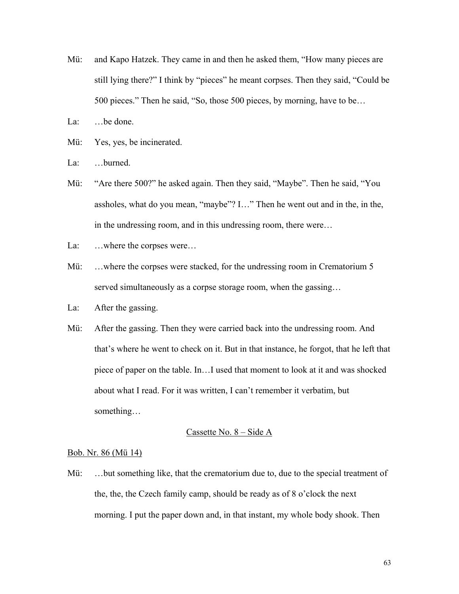- Mü: and Kapo Hatzek. They came in and then he asked them, "How many pieces are still lying there?" I think by "pieces" he meant corpses. Then they said, "Could be 500 pieces." Then he said, "So, those 500 pieces, by morning, have to be…
- La: ...be done.
- Mü: Yes, yes, be incinerated.
- La: ...burned.
- Mü: "Are there 500?" he asked again. Then they said, "Maybe". Then he said, "You assholes, what do you mean, "maybe"? I…" Then he went out and in the, in the, in the undressing room, and in this undressing room, there were…
- La: ...where the corpses were...
- Mü: ...where the corpses were stacked, for the undressing room in Crematorium 5 served simultaneously as a corpse storage room, when the gassing…
- La: After the gassing.
- Mü: After the gassing. Then they were carried back into the undressing room. And that's where he went to check on it. But in that instance, he forgot, that he left that piece of paper on the table. In…I used that moment to look at it and was shocked about what I read. For it was written, I can't remember it verbatim, but something…

# Cassette No. 8 – Side A

# Bob. Nr. 86 (Mü 14)

Mü: ...but something like, that the crematorium due to, due to the special treatment of the, the, the Czech family camp, should be ready as of 8 o'clock the next morning. I put the paper down and, in that instant, my whole body shook. Then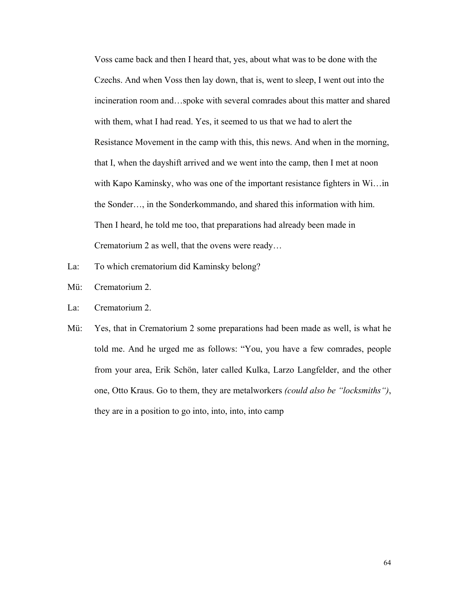Voss came back and then I heard that, yes, about what was to be done with the Czechs. And when Voss then lay down, that is, went to sleep, I went out into the incineration room and…spoke with several comrades about this matter and shared with them, what I had read. Yes, it seemed to us that we had to alert the Resistance Movement in the camp with this, this news. And when in the morning, that I, when the dayshift arrived and we went into the camp, then I met at noon with Kapo Kaminsky, who was one of the important resistance fighters in Wi... in the Sonder…, in the Sonderkommando, and shared this information with him. Then I heard, he told me too, that preparations had already been made in Crematorium 2 as well, that the ovens were ready…

- La: To which crematorium did Kaminsky belong?
- Mü: Crematorium 2.
- La: Crematorium 2.
- Mü: Yes, that in Crematorium 2 some preparations had been made as well, is what he told me. And he urged me as follows: "You, you have a few comrades, people from your area, Erik Schön, later called Kulka, Larzo Langfelder, and the other one, Otto Kraus. Go to them, they are metalworkers *(could also be "locksmiths")*, they are in a position to go into, into, into, into camp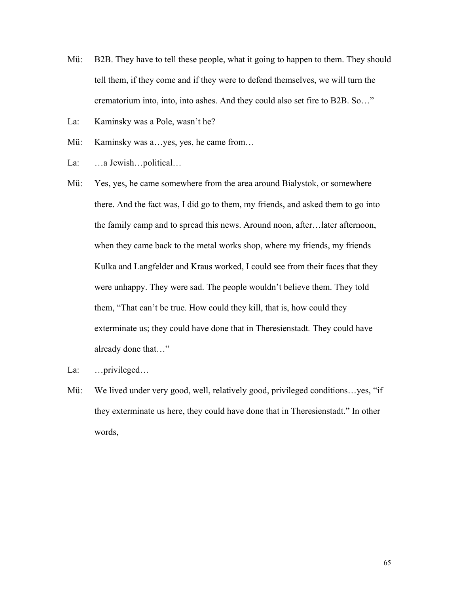- Mü: B2B. They have to tell these people, what it going to happen to them. They should tell them, if they come and if they were to defend themselves, we will turn the crematorium into, into, into ashes. And they could also set fire to B2B. So…"
- La: Kaminsky was a Pole, wasn't he?
- Mü: Kaminsky was a…yes, yes, he came from…
- La: …a Jewish…political…
- Mü: Yes, yes, he came somewhere from the area around Bialystok, or somewhere there. And the fact was, I did go to them, my friends, and asked them to go into the family camp and to spread this news. Around noon, after…later afternoon, when they came back to the metal works shop, where my friends, my friends Kulka and Langfelder and Kraus worked, I could see from their faces that they were unhappy. They were sad. The people wouldn't believe them. They told them, "That can't be true. How could they kill, that is, how could they exterminate us; they could have done that in Theresienstadt*.* They could have already done that…"
- La: …privileged…
- Mü: We lived under very good, well, relatively good, privileged conditions... yes, "if they exterminate us here, they could have done that in Theresienstadt." In other words,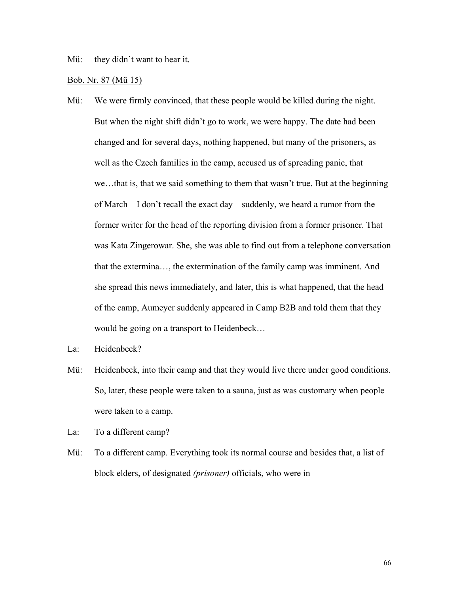Mü: they didn't want to hear it.

## Bob. Nr. 87 (Mü 15)

- Mü: We were firmly convinced, that these people would be killed during the night. But when the night shift didn't go to work, we were happy. The date had been changed and for several days, nothing happened, but many of the prisoners, as well as the Czech families in the camp, accused us of spreading panic, that we…that is, that we said something to them that wasn't true. But at the beginning of March – I don't recall the exact day – suddenly, we heard a rumor from the former writer for the head of the reporting division from a former prisoner. That was Kata Zingerowar. She, she was able to find out from a telephone conversation that the extermina…, the extermination of the family camp was imminent. And she spread this news immediately, and later, this is what happened, that the head of the camp, Aumeyer suddenly appeared in Camp B2B and told them that they would be going on a transport to Heidenbeck…
- La: Heidenbeck?
- Mü: Heidenbeck, into their camp and that they would live there under good conditions. So, later, these people were taken to a sauna, just as was customary when people were taken to a camp.
- La: To a different camp?
- Mü: To a different camp. Everything took its normal course and besides that, a list of block elders, of designated *(prisoner)* officials, who were in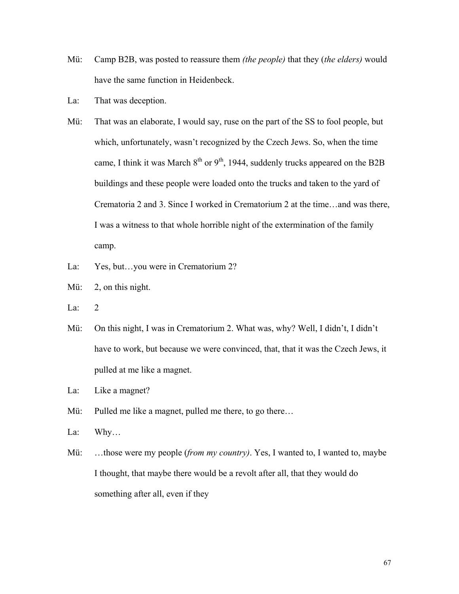- Mü: Camp B2B, was posted to reassure them *(the people)* that they (*the elders)* would have the same function in Heidenbeck.
- La: That was deception.
- Mü: That was an elaborate, I would say, ruse on the part of the SS to fool people, but which, unfortunately, wasn't recognized by the Czech Jews. So, when the time came, I think it was March  $8<sup>th</sup>$  or  $9<sup>th</sup>$ , 1944, suddenly trucks appeared on the B2B buildings and these people were loaded onto the trucks and taken to the yard of Crematoria 2 and 3. Since I worked in Crematorium 2 at the time…and was there, I was a witness to that whole horrible night of the extermination of the family camp.
- La: Yes, but...you were in Crematorium 2?
- Mü: 2, on this night.
- La: 2
- Mü: On this night, I was in Crematorium 2. What was, why? Well, I didn't, I didn't have to work, but because we were convinced, that, that it was the Czech Jews, it pulled at me like a magnet.
- La: Like a magnet?
- Mü: Pulled me like a magnet, pulled me there, to go there...
- La: Why…
- Mü: …those were my people (*from my country)*. Yes, I wanted to, I wanted to, maybe I thought, that maybe there would be a revolt after all, that they would do something after all, even if they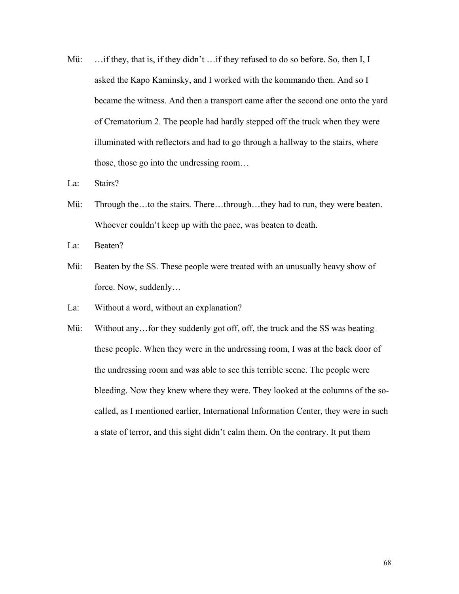Mü: ... if they, that is, if they didn't ... if they refused to do so before. So, then I, I asked the Kapo Kaminsky, and I worked with the kommando then. And so I became the witness. And then a transport came after the second one onto the yard of Crematorium 2. The people had hardly stepped off the truck when they were illuminated with reflectors and had to go through a hallway to the stairs, where those, those go into the undressing room…

La: Stairs?

Mü: Through the…to the stairs. There…through…they had to run, they were beaten. Whoever couldn't keep up with the pace, was beaten to death.

La: Beaten?

Mü: Beaten by the SS. These people were treated with an unusually heavy show of force. Now, suddenly…

La: Without a word, without an explanation?

Mü: Without any... for they suddenly got off, off, the truck and the SS was beating these people. When they were in the undressing room, I was at the back door of the undressing room and was able to see this terrible scene. The people were bleeding. Now they knew where they were. They looked at the columns of the socalled, as I mentioned earlier, International Information Center, they were in such a state of terror, and this sight didn't calm them. On the contrary. It put them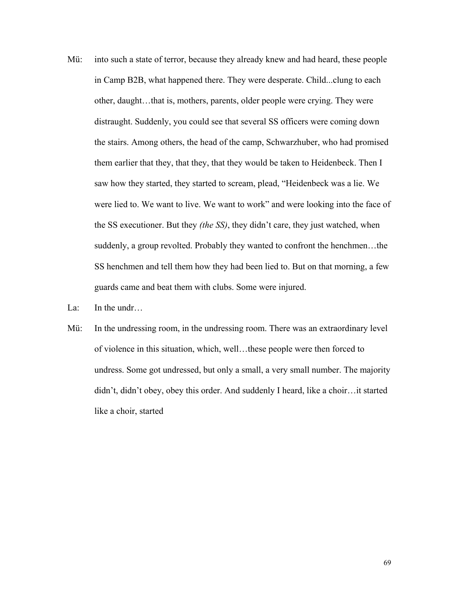- Mü: into such a state of terror, because they already knew and had heard, these people in Camp B2B, what happened there. They were desperate. Child...clung to each other, daught…that is, mothers, parents, older people were crying. They were distraught. Suddenly, you could see that several SS officers were coming down the stairs. Among others, the head of the camp, Schwarzhuber, who had promised them earlier that they, that they, that they would be taken to Heidenbeck. Then I saw how they started, they started to scream, plead, "Heidenbeck was a lie. We were lied to. We want to live. We want to work" and were looking into the face of the SS executioner. But they *(the SS)*, they didn't care, they just watched, when suddenly, a group revolted. Probably they wanted to confront the henchmen…the SS henchmen and tell them how they had been lied to. But on that morning, a few guards came and beat them with clubs. Some were injured.
- La: In the undr…
- Mü: In the undressing room, in the undressing room. There was an extraordinary level of violence in this situation, which, well…these people were then forced to undress. Some got undressed, but only a small, a very small number. The majority didn't, didn't obey, obey this order. And suddenly I heard, like a choir…it started like a choir, started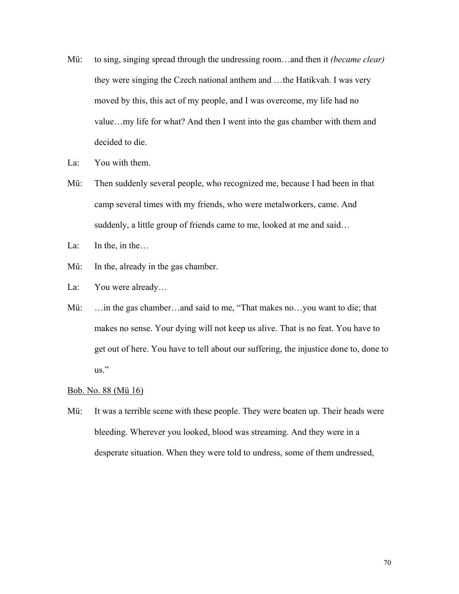- Mü: to sing, singing spread through the undressing room…and then it *(became clear)* they were singing the Czech national anthem and …the Hatikvah. I was very moved by this, this act of my people, and I was overcome, my life had no value…my life for what? And then I went into the gas chamber with them and decided to die.
- La: You with them.
- Mü: Then suddenly several people, who recognized me, because I had been in that camp several times with my friends, who were metalworkers, came. And suddenly, a little group of friends came to me, looked at me and said...
- La: In the, in the…
- Mü: In the, already in the gas chamber.
- La: You were already...
- Mü: ... in the gas chamber...and said to me, "That makes no...you want to die; that makes no sense. Your dying will not keep us alive. That is no feat. You have to get out of here. You have to tell about our suffering, the injustice done to, done to us."

## Bob. No. 88 (Mü 16)

Mü: It was a terrible scene with these people. They were beaten up. Their heads were bleeding. Wherever you looked, blood was streaming. And they were in a desperate situation. When they were told to undress, some of them undressed,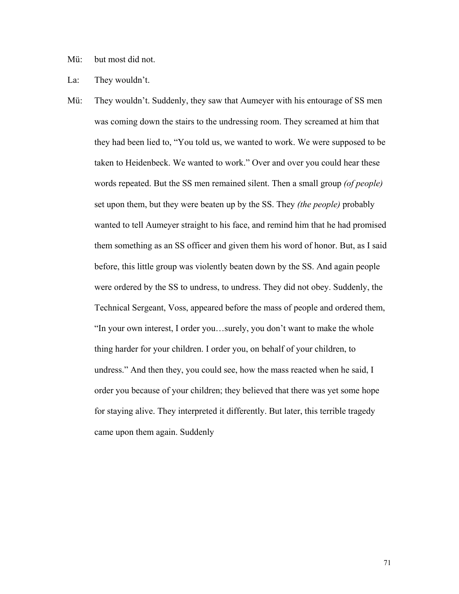Mü: but most did not.

La: They wouldn't.

Mü: They wouldn't. Suddenly, they saw that Aumeyer with his entourage of SS men was coming down the stairs to the undressing room. They screamed at him that they had been lied to, "You told us, we wanted to work. We were supposed to be taken to Heidenbeck. We wanted to work." Over and over you could hear these words repeated. But the SS men remained silent. Then a small group *(of people)* set upon them, but they were beaten up by the SS. They *(the people)* probably wanted to tell Aumeyer straight to his face, and remind him that he had promised them something as an SS officer and given them his word of honor. But, as I said before, this little group was violently beaten down by the SS. And again people were ordered by the SS to undress, to undress. They did not obey. Suddenly, the Technical Sergeant, Voss, appeared before the mass of people and ordered them, "In your own interest, I order you…surely, you don't want to make the whole thing harder for your children. I order you, on behalf of your children, to undress." And then they, you could see, how the mass reacted when he said, I order you because of your children; they believed that there was yet some hope for staying alive. They interpreted it differently. But later, this terrible tragedy came upon them again. Suddenly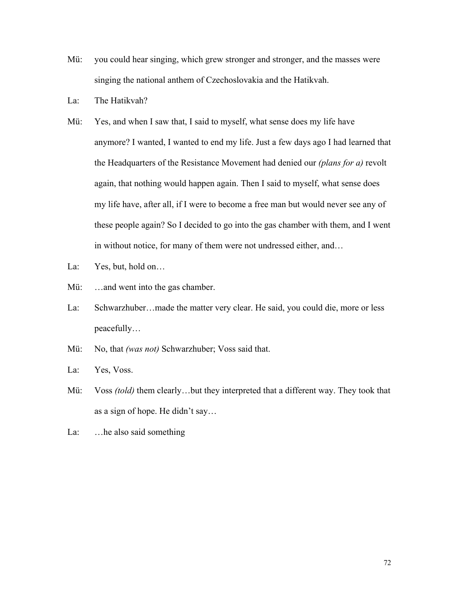- Mü: you could hear singing, which grew stronger and stronger, and the masses were singing the national anthem of Czechoslovakia and the Hatikvah.
- La: The Hatikvah?
- Mü: Yes, and when I saw that, I said to myself, what sense does my life have anymore? I wanted, I wanted to end my life. Just a few days ago I had learned that the Headquarters of the Resistance Movement had denied our *(plans for a)* revolt again, that nothing would happen again. Then I said to myself, what sense does my life have, after all, if I were to become a free man but would never see any of these people again? So I decided to go into the gas chamber with them, and I went in without notice, for many of them were not undressed either, and…
- La: Yes, but, hold on...
- Mü: ...and went into the gas chamber.
- La: Schwarzhuber…made the matter very clear. He said, you could die, more or less peacefully…
- Mü: No, that *(was not)* Schwarzhuber; Voss said that.
- La: Yes, Voss.
- Mü: Voss *(told)* them clearly...but they interpreted that a different way. They took that as a sign of hope. He didn't say…
- La: …he also said something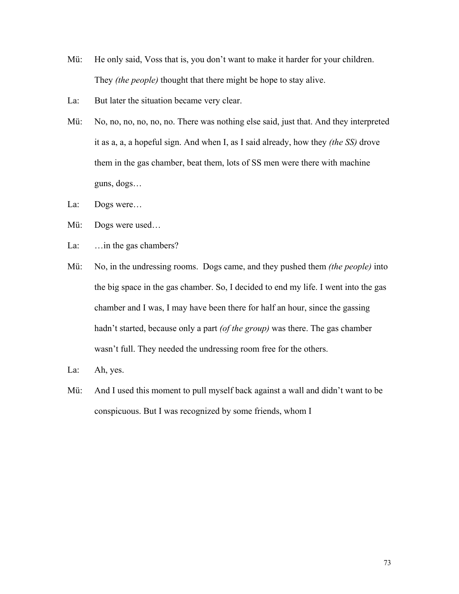- Mü: He only said, Voss that is, you don't want to make it harder for your children. They *(the people)* thought that there might be hope to stay alive.
- La: But later the situation became very clear.
- Mü: No, no, no, no, no, no. There was nothing else said, just that. And they interpreted it as a, a, a hopeful sign. And when I, as I said already, how they *(the SS)* drove them in the gas chamber, beat them, lots of SS men were there with machine guns, dogs…
- La: Dogs were…
- Mü: Dogs were used…
- La: ... in the gas chambers?
- Mü: No, in the undressing rooms. Dogs came, and they pushed them *(the people)* into the big space in the gas chamber. So, I decided to end my life. I went into the gas chamber and I was, I may have been there for half an hour, since the gassing hadn't started, because only a part *(of the group)* was there. The gas chamber wasn't full. They needed the undressing room free for the others.
- La: Ah, yes.
- Mü: And I used this moment to pull myself back against a wall and didn't want to be conspicuous. But I was recognized by some friends, whom I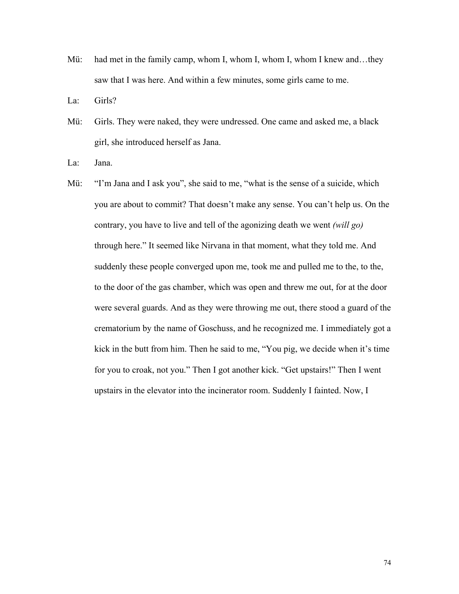Mü: had met in the family camp, whom I, whom I, whom I, whom I knew and...they saw that I was here. And within a few minutes, some girls came to me.

La: Girls?

Mü: Girls. They were naked, they were undressed. One came and asked me, a black girl, she introduced herself as Jana.

La: Jana.

Mü: "I'm Jana and I ask you", she said to me, "what is the sense of a suicide, which you are about to commit? That doesn't make any sense. You can't help us. On the contrary, you have to live and tell of the agonizing death we went *(will go)*  through here." It seemed like Nirvana in that moment, what they told me. And suddenly these people converged upon me, took me and pulled me to the, to the, to the door of the gas chamber, which was open and threw me out, for at the door were several guards. And as they were throwing me out, there stood a guard of the crematorium by the name of Goschuss, and he recognized me. I immediately got a kick in the butt from him. Then he said to me, "You pig, we decide when it's time for you to croak, not you." Then I got another kick. "Get upstairs!" Then I went upstairs in the elevator into the incinerator room. Suddenly I fainted. Now, I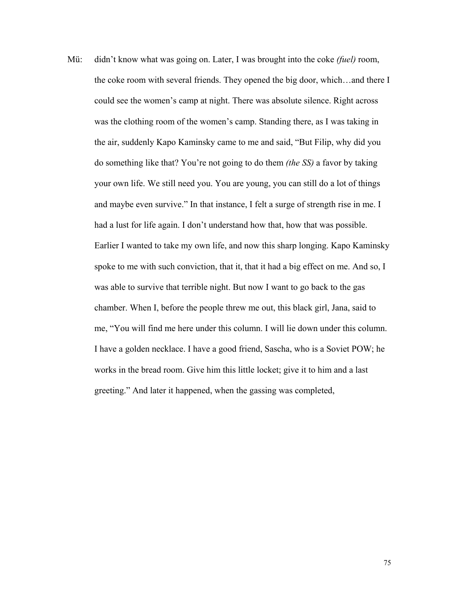Mü: didn't know what was going on. Later, I was brought into the coke *(fuel)* room, the coke room with several friends. They opened the big door, which…and there I could see the women's camp at night. There was absolute silence. Right across was the clothing room of the women's camp. Standing there, as I was taking in the air, suddenly Kapo Kaminsky came to me and said, "But Filip, why did you do something like that? You're not going to do them *(the SS)* a favor by taking your own life. We still need you. You are young, you can still do a lot of things and maybe even survive." In that instance, I felt a surge of strength rise in me. I had a lust for life again. I don't understand how that, how that was possible. Earlier I wanted to take my own life, and now this sharp longing. Kapo Kaminsky spoke to me with such conviction, that it, that it had a big effect on me. And so, I was able to survive that terrible night. But now I want to go back to the gas chamber. When I, before the people threw me out, this black girl, Jana, said to me, "You will find me here under this column. I will lie down under this column. I have a golden necklace. I have a good friend, Sascha, who is a Soviet POW; he works in the bread room. Give him this little locket; give it to him and a last greeting." And later it happened, when the gassing was completed,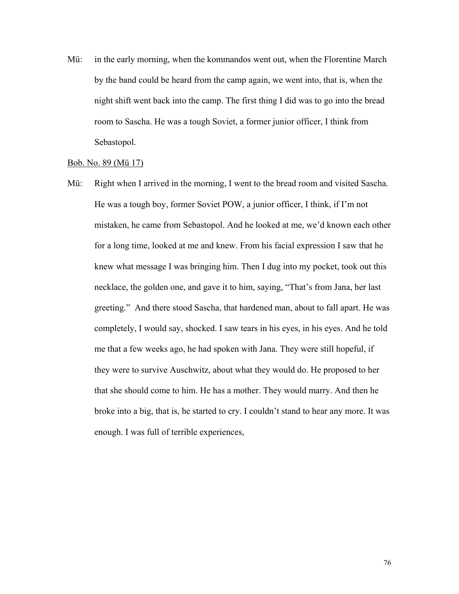Mü: in the early morning, when the kommandos went out, when the Florentine March by the band could be heard from the camp again, we went into, that is, when the night shift went back into the camp. The first thing I did was to go into the bread room to Sascha. He was a tough Soviet, a former junior officer, I think from Sebastopol.

#### Bob. No. 89 (Mü 17)

Mü: Right when I arrived in the morning, I went to the bread room and visited Sascha. He was a tough boy, former Soviet POW, a junior officer, I think, if I'm not mistaken, he came from Sebastopol. And he looked at me, we'd known each other for a long time, looked at me and knew. From his facial expression I saw that he knew what message I was bringing him. Then I dug into my pocket, took out this necklace, the golden one, and gave it to him, saying, "That's from Jana, her last greeting." And there stood Sascha, that hardened man, about to fall apart. He was completely, I would say, shocked. I saw tears in his eyes, in his eyes. And he told me that a few weeks ago, he had spoken with Jana. They were still hopeful, if they were to survive Auschwitz, about what they would do. He proposed to her that she should come to him. He has a mother. They would marry. And then he broke into a big, that is, he started to cry. I couldn't stand to hear any more. It was enough. I was full of terrible experiences,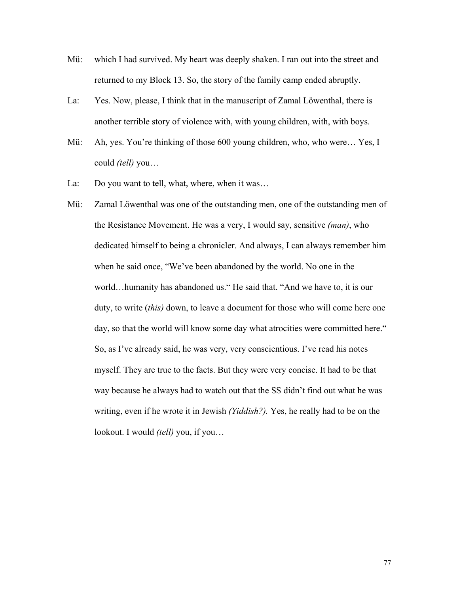- Mü: which I had survived. My heart was deeply shaken. I ran out into the street and returned to my Block 13. So, the story of the family camp ended abruptly.
- La: Yes. Now, please, I think that in the manuscript of Zamal Löwenthal, there is another terrible story of violence with, with young children, with, with boys.
- Mü: Ah, yes. You're thinking of those 600 young children, who, who were… Yes, I could *(tell)* you…
- La: Do you want to tell, what, where, when it was...
- Mü: Zamal Löwenthal was one of the outstanding men, one of the outstanding men of the Resistance Movement. He was a very, I would say, sensitive *(man)*, who dedicated himself to being a chronicler. And always, I can always remember him when he said once, "We've been abandoned by the world. No one in the world…humanity has abandoned us." He said that. "And we have to, it is our duty, to write (*this)* down, to leave a document for those who will come here one day, so that the world will know some day what atrocities were committed here." So, as I've already said, he was very, very conscientious. I've read his notes myself. They are true to the facts. But they were very concise. It had to be that way because he always had to watch out that the SS didn't find out what he was writing, even if he wrote it in Jewish *(Yiddish?).* Yes, he really had to be on the lookout. I would *(tell)* you, if you…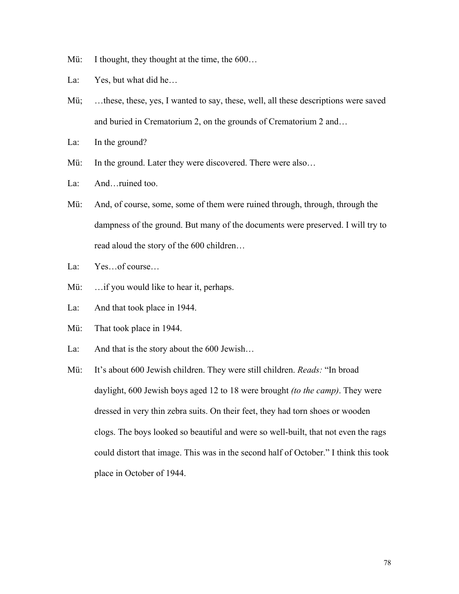- Mü: I thought, they thought at the time, the  $600...$
- La: Yes, but what did he...
- Mü; ...these, these, yes, I wanted to say, these, well, all these descriptions were saved and buried in Crematorium 2, on the grounds of Crematorium 2 and…
- La: In the ground?
- Mü: In the ground. Later they were discovered. There were also...
- La: And...ruined too.
- Mü: And, of course, some, some of them were ruined through, through, through the dampness of the ground. But many of the documents were preserved. I will try to read aloud the story of the 600 children…
- La: Yes…of course…
- Mü: ... if you would like to hear it, perhaps.
- La: And that took place in 1944.
- Mü: That took place in 1944.
- La: And that is the story about the 600 Jewish...
- Mü: It's about 600 Jewish children. They were still children. *Reads:* "In broad daylight, 600 Jewish boys aged 12 to 18 were brought *(to the camp)*. They were dressed in very thin zebra suits. On their feet, they had torn shoes or wooden clogs. The boys looked so beautiful and were so well-built, that not even the rags could distort that image. This was in the second half of October." I think this took place in October of 1944.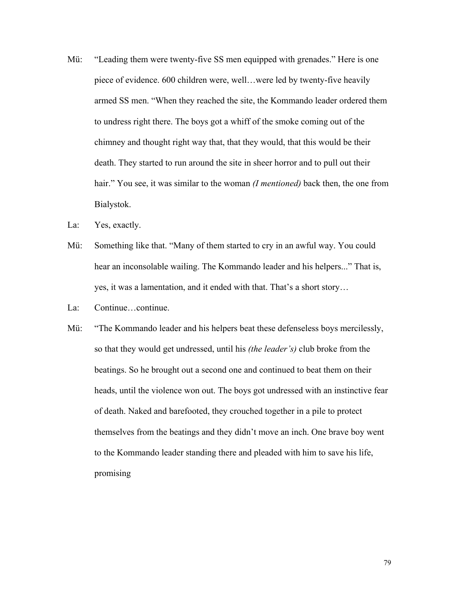- Mü: "Leading them were twenty-five SS men equipped with grenades." Here is one piece of evidence. 600 children were, well…were led by twenty-five heavily armed SS men. "When they reached the site, the Kommando leader ordered them to undress right there. The boys got a whiff of the smoke coming out of the chimney and thought right way that, that they would, that this would be their death. They started to run around the site in sheer horror and to pull out their hair." You see, it was similar to the woman *(I mentioned)* back then, the one from Bialystok.
- La: Yes, exactly.
- Mü: Something like that. "Many of them started to cry in an awful way. You could hear an inconsolable wailing. The Kommando leader and his helpers..." That is, yes, it was a lamentation, and it ended with that. That's a short story…
- La: Continue...continue.
- Mü: "The Kommando leader and his helpers beat these defenseless boys mercilessly, so that they would get undressed, until his *(the leader's)* club broke from the beatings. So he brought out a second one and continued to beat them on their heads, until the violence won out. The boys got undressed with an instinctive fear of death. Naked and barefooted, they crouched together in a pile to protect themselves from the beatings and they didn't move an inch. One brave boy went to the Kommando leader standing there and pleaded with him to save his life, promising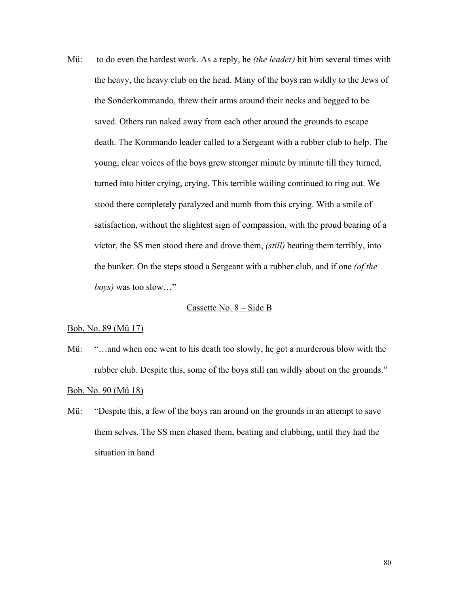Mü: to do even the hardest work. As a reply, he *(the leader)* hit him several times with the heavy, the heavy club on the head. Many of the boys ran wildly to the Jews of the Sonderkommando, threw their arms around their necks and begged to be saved. Others ran naked away from each other around the grounds to escape death. The Kommando leader called to a Sergeant with a rubber club to help. The young, clear voices of the boys grew stronger minute by minute till they turned, turned into bitter crying, crying. This terrible wailing continued to ring out. We stood there completely paralyzed and numb from this crying. With a smile of satisfaction, without the slightest sign of compassion, with the proud bearing of a victor, the SS men stood there and drove them, *(still)* beating them terribly, into the bunker. On the steps stood a Sergeant with a rubber club, and if one *(of the boys)* was too slow…"

# Cassette No. 8 – Side B

#### Bob. No. 89 (Mü 17)

Mü: "...and when one went to his death too slowly, he got a murderous blow with the rubber club. Despite this, some of the boys still ran wildly about on the grounds."

#### Bob. No. 90 (Mü 18)

Mü: "Despite this, a few of the boys ran around on the grounds in an attempt to save them selves. The SS men chased them, beating and clubbing, until they had the situation in hand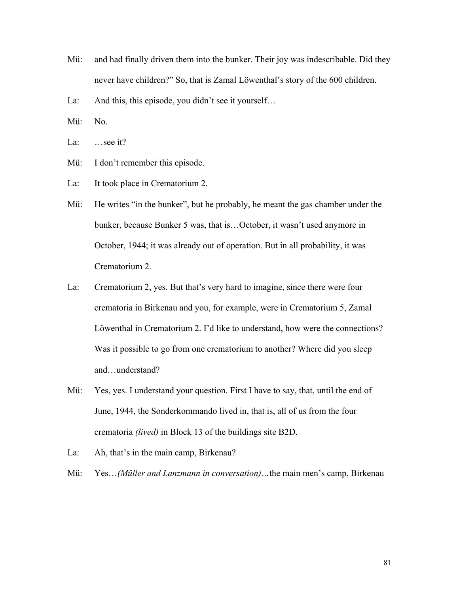Mü: and had finally driven them into the bunker. Their joy was indescribable. Did they never have children?" So, that is Zamal Löwenthal's story of the 600 children.

La: And this, this episode, you didn't see it yourself...

Mü: No.

La: ...see it?

- Mü: I don't remember this episode.
- La: It took place in Crematorium 2.
- Mü: He writes "in the bunker", but he probably, he meant the gas chamber under the bunker, because Bunker 5 was, that is…October, it wasn't used anymore in October, 1944; it was already out of operation. But in all probability, it was Crematorium 2.
- La: Crematorium 2, yes. But that's very hard to imagine, since there were four crematoria in Birkenau and you, for example, were in Crematorium 5, Zamal Löwenthal in Crematorium 2. I'd like to understand, how were the connections? Was it possible to go from one crematorium to another? Where did you sleep and…understand?
- Mü: Yes, yes. I understand your question. First I have to say, that, until the end of June, 1944, the Sonderkommando lived in, that is, all of us from the four crematoria *(lived)* in Block 13 of the buildings site B2D.
- La: Ah, that's in the main camp, Birkenau?
- Mü: Yes…*(Müller and Lanzmann in conversation)…*the main men's camp, Birkenau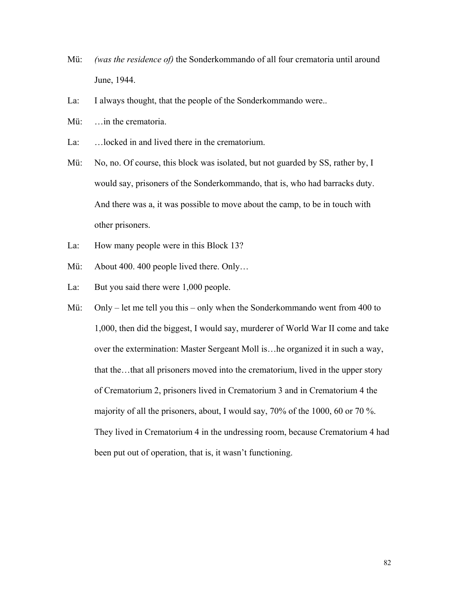- Mü: *(was the residence of)* the Sonderkommando of all four crematoria until around June, 1944.
- La: I always thought, that the people of the Sonderkommando were..
- Mü: ... in the crematoria.
- La: …locked in and lived there in the crematorium.
- Mü: No, no. Of course, this block was isolated, but not guarded by SS, rather by, I would say, prisoners of the Sonderkommando, that is, who had barracks duty. And there was a, it was possible to move about the camp, to be in touch with other prisoners.
- La: How many people were in this Block 13?
- Mü: About 400. 400 people lived there. Only...
- La: But you said there were 1,000 people.
- Mü: Only let me tell you this only when the Sonderkommando went from 400 to 1,000, then did the biggest, I would say, murderer of World War II come and take over the extermination: Master Sergeant Moll is…he organized it in such a way, that the…that all prisoners moved into the crematorium, lived in the upper story of Crematorium 2, prisoners lived in Crematorium 3 and in Crematorium 4 the majority of all the prisoners, about, I would say, 70% of the 1000, 60 or 70 %. They lived in Crematorium 4 in the undressing room, because Crematorium 4 had been put out of operation, that is, it wasn't functioning.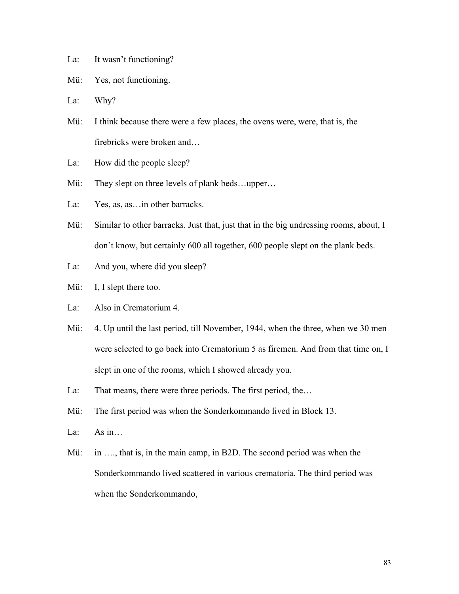- La: It wasn't functioning?
- Mü: Yes, not functioning.
- La: Why?
- Mü: I think because there were a few places, the ovens were, were, that is, the firebricks were broken and…
- La: How did the people sleep?
- Mü: They slept on three levels of plank beds...upper...
- La: Yes, as, as... in other barracks.
- Mü: Similar to other barracks. Just that, just that in the big undressing rooms, about, I don't know, but certainly 600 all together, 600 people slept on the plank beds.
- La: And you, where did you sleep?
- Mü: I, I slept there too.
- La: Also in Crematorium 4.
- Mü: 4. Up until the last period, till November, 1944, when the three, when we 30 men were selected to go back into Crematorium 5 as firemen. And from that time on, I slept in one of the rooms, which I showed already you.
- La: That means, there were three periods. The first period, the...
- Mü: The first period was when the Sonderkommando lived in Block 13.
- La: As  $in...$
- Mü: in ..., that is, in the main camp, in B2D. The second period was when the Sonderkommando lived scattered in various crematoria. The third period was when the Sonderkommando,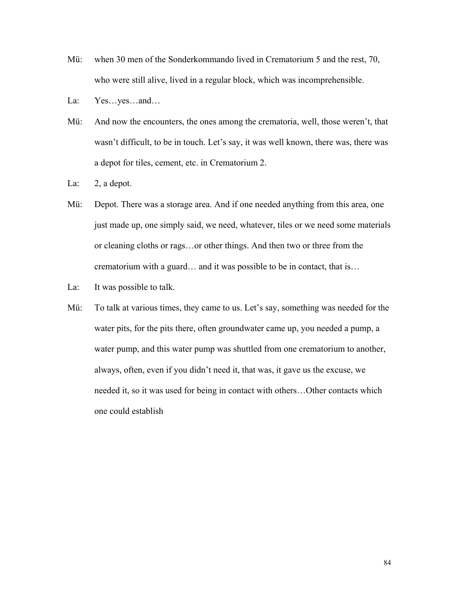- Mü: when 30 men of the Sonderkommando lived in Crematorium 5 and the rest, 70, who were still alive, lived in a regular block, which was incomprehensible.
- La: Yes…yes…and…
- Mü: And now the encounters, the ones among the crematoria, well, those weren't, that wasn't difficult, to be in touch. Let's say, it was well known, there was, there was a depot for tiles, cement, etc. in Crematorium 2.
- La: 2, a depot.
- Mü: Depot. There was a storage area. And if one needed anything from this area, one just made up, one simply said, we need, whatever, tiles or we need some materials or cleaning cloths or rags…or other things. And then two or three from the crematorium with a guard… and it was possible to be in contact, that is…
- La: It was possible to talk.
- Mü: To talk at various times, they came to us. Let's say, something was needed for the water pits, for the pits there, often groundwater came up, you needed a pump, a water pump, and this water pump was shuttled from one crematorium to another, always, often, even if you didn't need it, that was, it gave us the excuse, we needed it, so it was used for being in contact with others…Other contacts which one could establish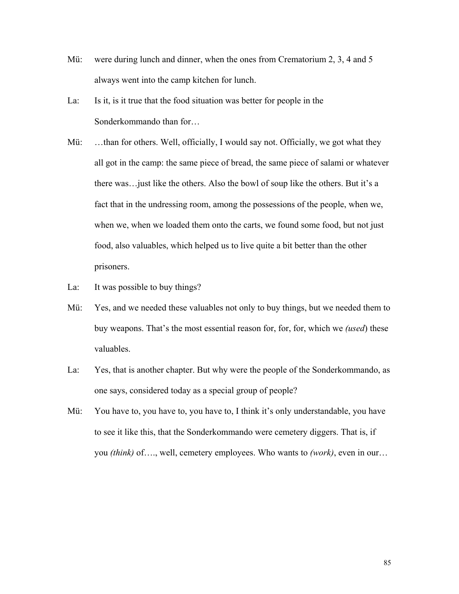- Mü: were during lunch and dinner, when the ones from Crematorium 2, 3, 4 and 5 always went into the camp kitchen for lunch.
- La: Is it, is it true that the food situation was better for people in the Sonderkommando than for…
- Mü: ...than for others. Well, officially, I would say not. Officially, we got what they all got in the camp: the same piece of bread, the same piece of salami or whatever there was…just like the others. Also the bowl of soup like the others. But it's a fact that in the undressing room, among the possessions of the people, when we, when we, when we loaded them onto the carts, we found some food, but not just food, also valuables, which helped us to live quite a bit better than the other prisoners.
- La: It was possible to buy things?
- Mü: Yes, and we needed these valuables not only to buy things, but we needed them to buy weapons. That's the most essential reason for, for, for, which we *(used*) these valuables.
- La: Yes, that is another chapter. But why were the people of the Sonderkommando, as one says, considered today as a special group of people?
- Mü: You have to, you have to, you have to, I think it's only understandable, you have to see it like this, that the Sonderkommando were cemetery diggers. That is, if you *(think)* of…., well, cemetery employees. Who wants to *(work)*, even in our…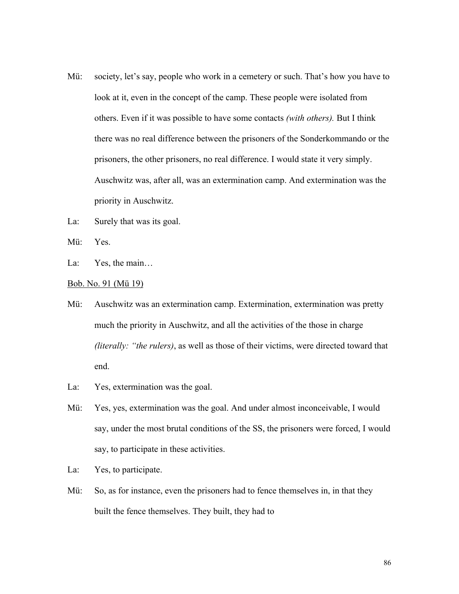- Mü: society, let's say, people who work in a cemetery or such. That's how you have to look at it, even in the concept of the camp. These people were isolated from others. Even if it was possible to have some contacts *(with others).* But I think there was no real difference between the prisoners of the Sonderkommando or the prisoners, the other prisoners, no real difference. I would state it very simply. Auschwitz was, after all, was an extermination camp. And extermination was the priority in Auschwitz.
- La: Surely that was its goal.
- Mü: Yes.
- La: Yes, the main...
- Bob. No. 91 (Mü 19)
- Mü: Auschwitz was an extermination camp. Extermination, extermination was pretty much the priority in Auschwitz, and all the activities of the those in charge *(literally: "the rulers)*, as well as those of their victims, were directed toward that end.
- La: Yes, extermination was the goal.
- Mü: Yes, yes, extermination was the goal. And under almost inconceivable, I would say, under the most brutal conditions of the SS, the prisoners were forced, I would say, to participate in these activities.
- La: Yes, to participate.
- Mü: So, as for instance, even the prisoners had to fence themselves in, in that they built the fence themselves. They built, they had to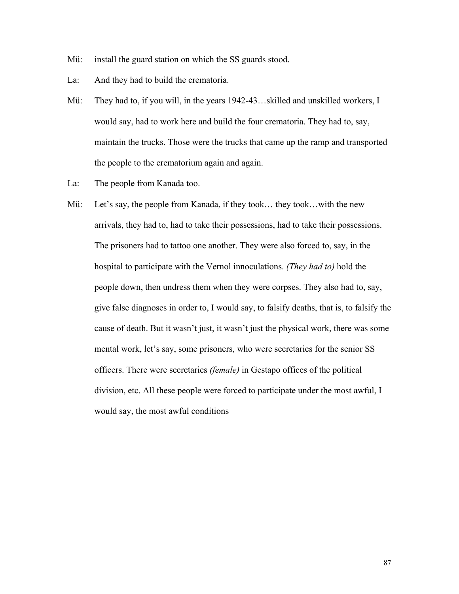- Mü: install the guard station on which the SS guards stood.
- La: And they had to build the crematoria.
- Mü: They had to, if you will, in the years 1942-43…skilled and unskilled workers, I would say, had to work here and build the four crematoria. They had to, say, maintain the trucks. Those were the trucks that came up the ramp and transported the people to the crematorium again and again.
- La: The people from Kanada too.
- Mü: Let's say, the people from Kanada, if they took... they took...with the new arrivals, they had to, had to take their possessions, had to take their possessions. The prisoners had to tattoo one another. They were also forced to, say, in the hospital to participate with the Vernol innoculations. *(They had to)* hold the people down, then undress them when they were corpses. They also had to, say, give false diagnoses in order to, I would say, to falsify deaths, that is, to falsify the cause of death. But it wasn't just, it wasn't just the physical work, there was some mental work, let's say, some prisoners, who were secretaries for the senior SS officers. There were secretaries *(female)* in Gestapo offices of the political division, etc. All these people were forced to participate under the most awful, I would say, the most awful conditions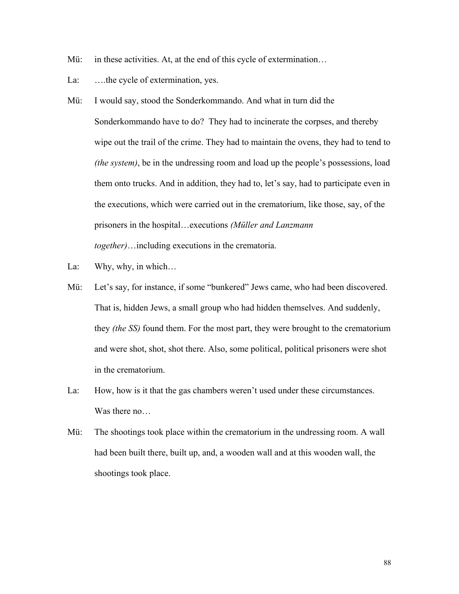- Mü: in these activities. At, at the end of this cycle of extermination...
- La: ...the cycle of extermination, yes.
- Mü: I would say, stood the Sonderkommando. And what in turn did the Sonderkommando have to do? They had to incinerate the corpses, and thereby wipe out the trail of the crime. They had to maintain the ovens, they had to tend to *(the system)*, be in the undressing room and load up the people's possessions, load them onto trucks. And in addition, they had to, let's say, had to participate even in the executions, which were carried out in the crematorium, like those, say, of the prisoners in the hospital…executions *(Müller and Lanzmann together)*…including executions in the crematoria.
- La: Why, why, in which...
- Mü: Let's say, for instance, if some "bunkered" Jews came, who had been discovered. That is, hidden Jews, a small group who had hidden themselves. And suddenly, they *(the SS)* found them. For the most part, they were brought to the crematorium and were shot, shot, shot there. Also, some political, political prisoners were shot in the crematorium.
- La: How, how is it that the gas chambers weren't used under these circumstances. Was there no…
- Mü: The shootings took place within the crematorium in the undressing room. A wall had been built there, built up, and, a wooden wall and at this wooden wall, the shootings took place.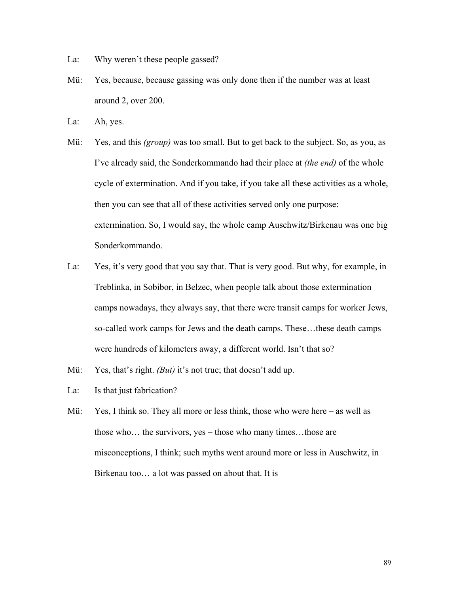- La: Why weren't these people gassed?
- Mü: Yes, because, because gassing was only done then if the number was at least around 2, over 200.
- La: Ah, yes.
- Mü: Yes, and this *(group)* was too small. But to get back to the subject. So, as you, as I've already said, the Sonderkommando had their place at *(the end)* of the whole cycle of extermination. And if you take, if you take all these activities as a whole, then you can see that all of these activities served only one purpose: extermination. So, I would say, the whole camp Auschwitz/Birkenau was one big Sonderkommando.
- La: Yes, it's very good that you say that. That is very good. But why, for example, in Treblinka, in Sobibor, in Belzec, when people talk about those extermination camps nowadays, they always say, that there were transit camps for worker Jews, so-called work camps for Jews and the death camps. These…these death camps were hundreds of kilometers away, a different world. Isn't that so?
- Mü: Yes, that's right. *(But)* it's not true; that doesn't add up.
- La: Is that just fabrication?
- Mü: Yes, I think so. They all more or less think, those who were here as well as those who… the survivors, yes – those who many times…those are misconceptions, I think; such myths went around more or less in Auschwitz, in Birkenau too… a lot was passed on about that. It is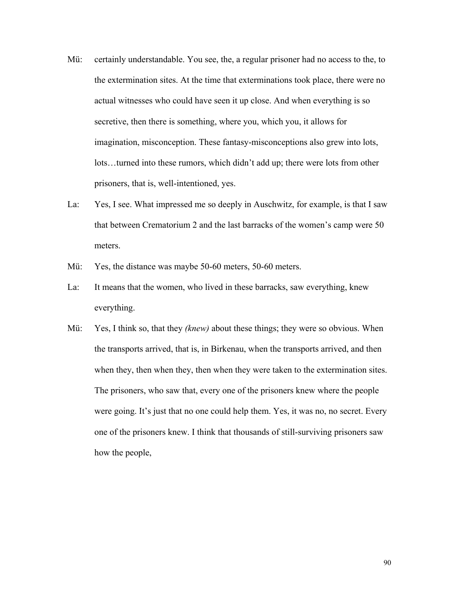- Mü: certainly understandable. You see, the, a regular prisoner had no access to the, to the extermination sites. At the time that exterminations took place, there were no actual witnesses who could have seen it up close. And when everything is so secretive, then there is something, where you, which you, it allows for imagination, misconception. These fantasy-misconceptions also grew into lots, lots…turned into these rumors, which didn't add up; there were lots from other prisoners, that is, well-intentioned, yes.
- La: Yes, I see. What impressed me so deeply in Auschwitz, for example, is that I saw that between Crematorium 2 and the last barracks of the women's camp were 50 meters.
- Mü: Yes, the distance was maybe 50-60 meters, 50-60 meters.
- La: It means that the women, who lived in these barracks, saw everything, knew everything.
- Mü: Yes, I think so, that they *(knew)* about these things; they were so obvious. When the transports arrived, that is, in Birkenau, when the transports arrived, and then when they, then when they, then when they were taken to the extermination sites. The prisoners, who saw that, every one of the prisoners knew where the people were going. It's just that no one could help them. Yes, it was no, no secret. Every one of the prisoners knew. I think that thousands of still-surviving prisoners saw how the people,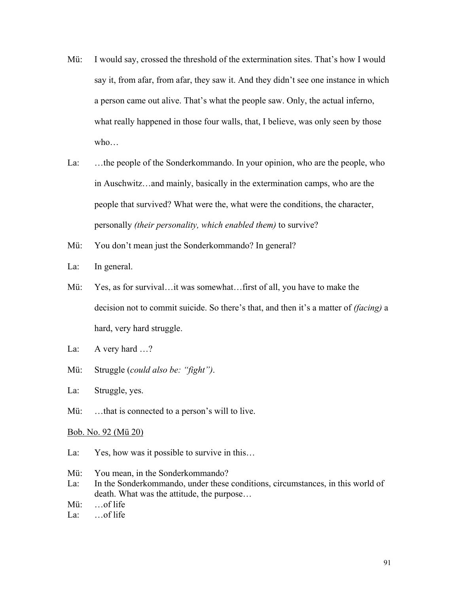- Mü: I would say, crossed the threshold of the extermination sites. That's how I would say it, from afar, from afar, they saw it. And they didn't see one instance in which a person came out alive. That's what the people saw. Only, the actual inferno, what really happened in those four walls, that, I believe, was only seen by those who…
- La: …the people of the Sonderkommando. In your opinion, who are the people, who in Auschwitz…and mainly, basically in the extermination camps, who are the people that survived? What were the, what were the conditions, the character, personally *(their personality, which enabled them)* to survive?
- Mü: You don't mean just the Sonderkommando? In general?
- La: In general.
- Mü: Yes, as for survival…it was somewhat…first of all, you have to make the decision not to commit suicide. So there's that, and then it's a matter of *(facing)* a hard, very hard struggle.
- La: A very hard ...?
- Mü: Struggle (*could also be: "fight")*.
- La: Struggle, yes.
- Mü: ...that is connected to a person's will to live.

#### Bob. No. 92 (Mü 20)

- La: Yes, how was it possible to survive in this...
- Mü: You mean, in the Sonderkommando?
- La: In the Sonderkommando, under these conditions, circumstances, in this world of death. What was the attitude, the purpose…
- Mü: …of life
- La: …of life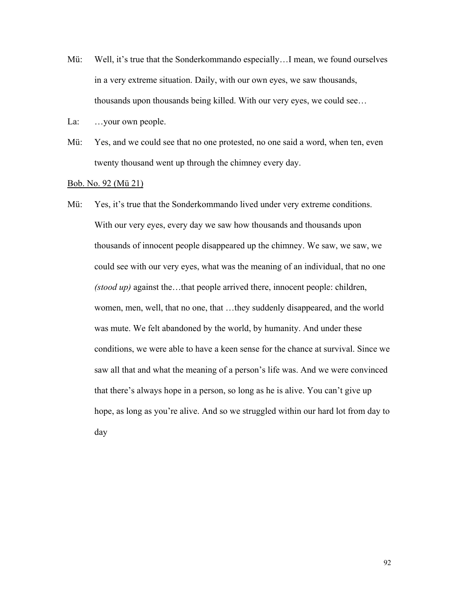- Mü: Well, it's true that the Sonderkommando especially…I mean, we found ourselves in a very extreme situation. Daily, with our own eyes, we saw thousands, thousands upon thousands being killed. With our very eyes, we could see…
- La: ...your own people.
- Mü: Yes, and we could see that no one protested, no one said a word, when ten, even twenty thousand went up through the chimney every day.

## Bob. No. 92 (Mü 21)

Mü: Yes, it's true that the Sonderkommando lived under very extreme conditions. With our very eyes, every day we saw how thousands and thousands upon thousands of innocent people disappeared up the chimney. We saw, we saw, we could see with our very eyes, what was the meaning of an individual, that no one *(stood up)* against the…that people arrived there, innocent people: children, women, men, well, that no one, that …they suddenly disappeared, and the world was mute. We felt abandoned by the world, by humanity. And under these conditions, we were able to have a keen sense for the chance at survival. Since we saw all that and what the meaning of a person's life was. And we were convinced that there's always hope in a person, so long as he is alive. You can't give up hope, as long as you're alive. And so we struggled within our hard lot from day to day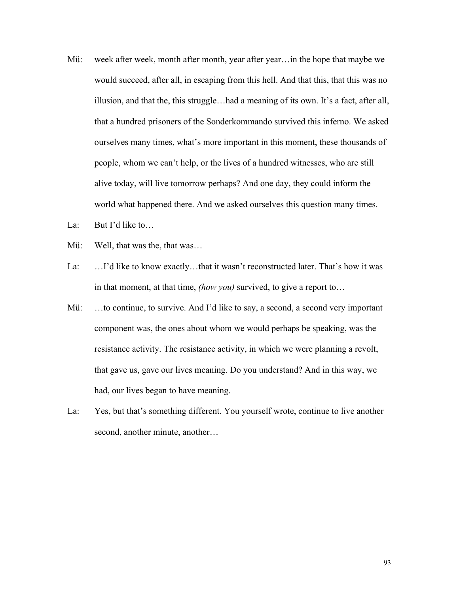- Mü: week after week, month after month, year after year…in the hope that maybe we would succeed, after all, in escaping from this hell. And that this, that this was no illusion, and that the, this struggle…had a meaning of its own. It's a fact, after all, that a hundred prisoners of the Sonderkommando survived this inferno. We asked ourselves many times, what's more important in this moment, these thousands of people, whom we can't help, or the lives of a hundred witnesses, who are still alive today, will live tomorrow perhaps? And one day, they could inform the world what happened there. And we asked ourselves this question many times.
- La: But I'd like to...
- Mü: Well, that was the, that was…
- La: …I'd like to know exactly…that it wasn't reconstructed later. That's how it was in that moment, at that time, *(how you)* survived, to give a report to…
- Mü: ...to continue, to survive. And I'd like to say, a second, a second very important component was, the ones about whom we would perhaps be speaking, was the resistance activity. The resistance activity, in which we were planning a revolt, that gave us, gave our lives meaning. Do you understand? And in this way, we had, our lives began to have meaning.
- La: Yes, but that's something different. You yourself wrote, continue to live another second, another minute, another...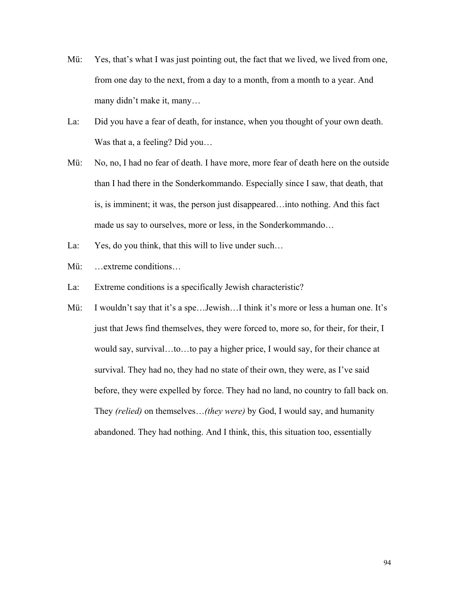- Mü: Yes, that's what I was just pointing out, the fact that we lived, we lived from one, from one day to the next, from a day to a month, from a month to a year. And many didn't make it, many…
- La: Did you have a fear of death, for instance, when you thought of your own death. Was that a, a feeling? Did you...
- Mü: No, no, I had no fear of death. I have more, more fear of death here on the outside than I had there in the Sonderkommando. Especially since I saw, that death, that is, is imminent; it was, the person just disappeared…into nothing. And this fact made us say to ourselves, more or less, in the Sonderkommando…
- La: Yes, do you think, that this will to live under such...
- Mü: …extreme conditions…
- La: Extreme conditions is a specifically Jewish characteristic?
- Mü: I wouldn't say that it's a spe... Jewish... I think it's more or less a human one. It's just that Jews find themselves, they were forced to, more so, for their, for their, I would say, survival…to…to pay a higher price, I would say, for their chance at survival. They had no, they had no state of their own, they were, as I've said before, they were expelled by force. They had no land, no country to fall back on. They *(relied)* on themselves…*(they were)* by God, I would say, and humanity abandoned. They had nothing. And I think, this, this situation too, essentially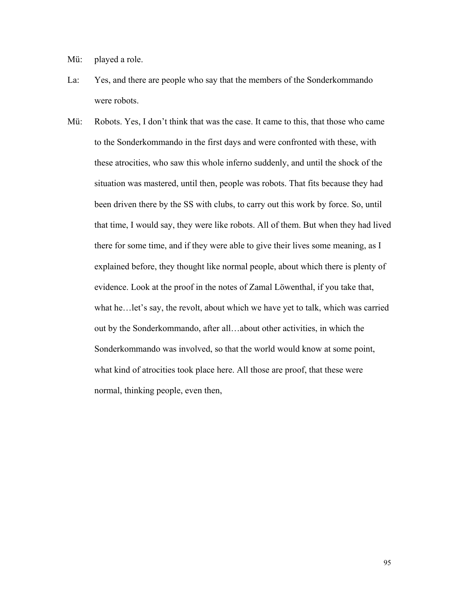Mü: played a role.

- La: Yes, and there are people who say that the members of the Sonderkommando were robots.
- Mü: Robots. Yes, I don't think that was the case. It came to this, that those who came to the Sonderkommando in the first days and were confronted with these, with these atrocities, who saw this whole inferno suddenly, and until the shock of the situation was mastered, until then, people was robots. That fits because they had been driven there by the SS with clubs, to carry out this work by force. So, until that time, I would say, they were like robots. All of them. But when they had lived there for some time, and if they were able to give their lives some meaning, as I explained before, they thought like normal people, about which there is plenty of evidence. Look at the proof in the notes of Zamal Löwenthal, if you take that, what he…let's say, the revolt, about which we have yet to talk, which was carried out by the Sonderkommando, after all…about other activities, in which the Sonderkommando was involved, so that the world would know at some point, what kind of atrocities took place here. All those are proof, that these were normal, thinking people, even then,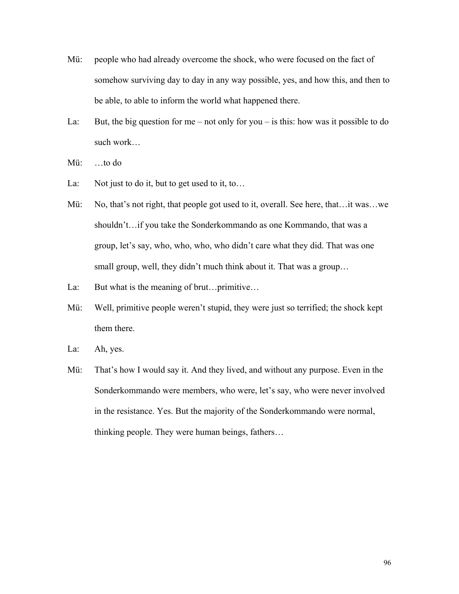- Mü: people who had already overcome the shock, who were focused on the fact of somehow surviving day to day in any way possible, yes, and how this, and then to be able, to able to inform the world what happened there.
- La: But, the big question for me not only for you is this: how was it possible to do such work…
- Mü: …to do
- La: Not just to do it, but to get used to it, to...
- Mü: No, that's not right, that people got used to it, overall. See here, that... it was...we shouldn't…if you take the Sonderkommando as one Kommando, that was a group, let's say, who, who, who, who didn't care what they did. That was one small group, well, they didn't much think about it. That was a group…
- La: But what is the meaning of brut...primitive...
- Mü: Well, primitive people weren't stupid, they were just so terrified; the shock kept them there.
- La: Ah, yes.
- Mü: That's how I would say it. And they lived, and without any purpose. Even in the Sonderkommando were members, who were, let's say, who were never involved in the resistance. Yes. But the majority of the Sonderkommando were normal, thinking people. They were human beings, fathers…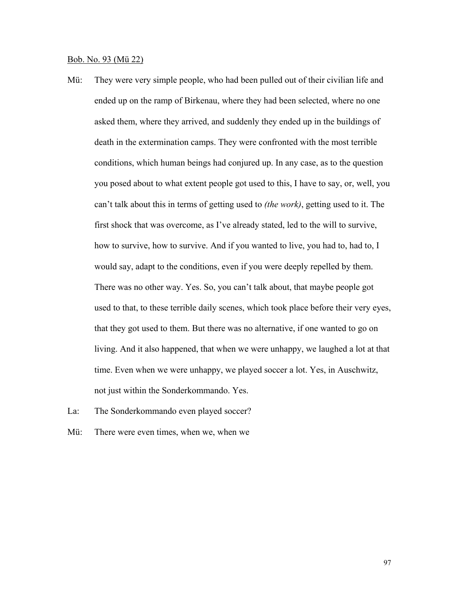### Bob. No. 93 (Mü 22)

Mü: They were very simple people, who had been pulled out of their civilian life and ended up on the ramp of Birkenau, where they had been selected, where no one asked them, where they arrived, and suddenly they ended up in the buildings of death in the extermination camps. They were confronted with the most terrible conditions, which human beings had conjured up. In any case, as to the question you posed about to what extent people got used to this, I have to say, or, well, you can't talk about this in terms of getting used to *(the work)*, getting used to it. The first shock that was overcome, as I've already stated, led to the will to survive, how to survive, how to survive. And if you wanted to live, you had to, had to, I would say, adapt to the conditions, even if you were deeply repelled by them. There was no other way. Yes. So, you can't talk about, that maybe people got used to that, to these terrible daily scenes, which took place before their very eyes, that they got used to them. But there was no alternative, if one wanted to go on living. And it also happened, that when we were unhappy, we laughed a lot at that time. Even when we were unhappy, we played soccer a lot. Yes, in Auschwitz, not just within the Sonderkommando. Yes.

La: The Sonderkommando even played soccer?

Mü: There were even times, when we, when we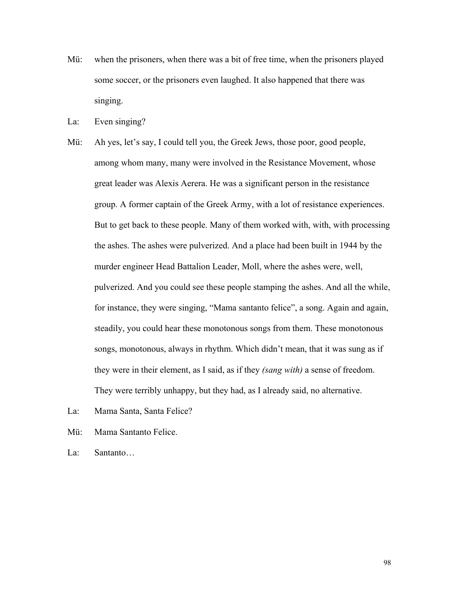- Mü: when the prisoners, when there was a bit of free time, when the prisoners played some soccer, or the prisoners even laughed. It also happened that there was singing.
- La: Even singing?
- Mü: Ah yes, let's say, I could tell you, the Greek Jews, those poor, good people, among whom many, many were involved in the Resistance Movement, whose great leader was Alexis Aerera. He was a significant person in the resistance group. A former captain of the Greek Army, with a lot of resistance experiences. But to get back to these people. Many of them worked with, with, with processing the ashes. The ashes were pulverized. And a place had been built in 1944 by the murder engineer Head Battalion Leader, Moll, where the ashes were, well, pulverized. And you could see these people stamping the ashes. And all the while, for instance, they were singing, "Mama santanto felice", a song. Again and again, steadily, you could hear these monotonous songs from them. These monotonous songs, monotonous, always in rhythm. Which didn't mean, that it was sung as if they were in their element, as I said, as if they *(sang with)* a sense of freedom. They were terribly unhappy, but they had, as I already said, no alternative.
- La: Mama Santa, Santa Felice?
- Mü: Mama Santanto Felice.
- La: Santanto…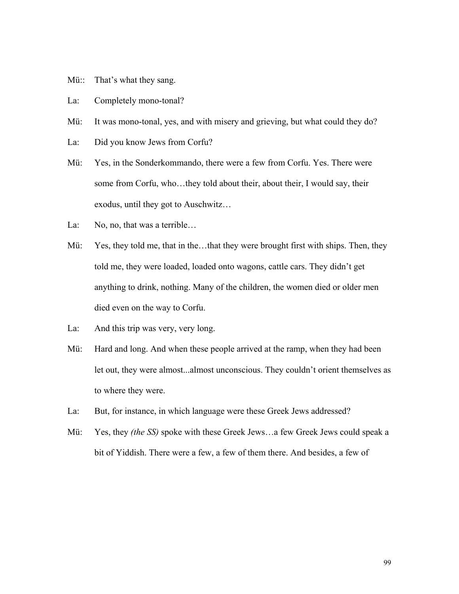- Mü:: That's what they sang.
- La: Completely mono-tonal?
- Mü: It was mono-tonal, yes, and with misery and grieving, but what could they do?
- La: Did you know Jews from Corfu?
- Mü: Yes, in the Sonderkommando, there were a few from Corfu. Yes. There were some from Corfu, who…they told about their, about their, I would say, their exodus, until they got to Auschwitz…
- La: No, no, that was a terrible...
- Mü: Yes, they told me, that in the...that they were brought first with ships. Then, they told me, they were loaded, loaded onto wagons, cattle cars. They didn't get anything to drink, nothing. Many of the children, the women died or older men died even on the way to Corfu.
- La: And this trip was very, very long.
- Mü: Hard and long. And when these people arrived at the ramp, when they had been let out, they were almost...almost unconscious. They couldn't orient themselves as to where they were.
- La: But, for instance, in which language were these Greek Jews addressed?
- Mü: Yes, they *(the SS)* spoke with these Greek Jews…a few Greek Jews could speak a bit of Yiddish. There were a few, a few of them there. And besides, a few of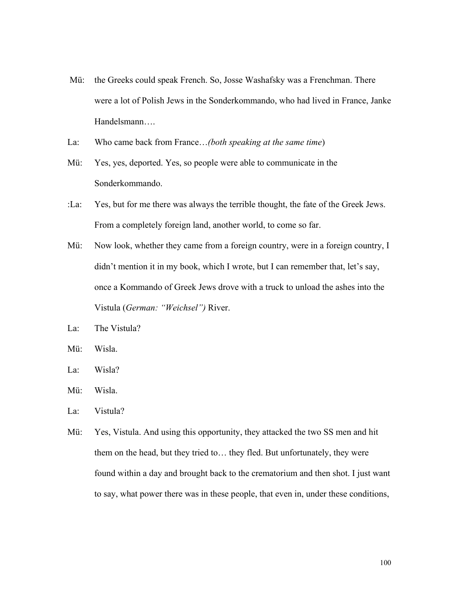- Mü: the Greeks could speak French. So, Josse Washafsky was a Frenchman. There were a lot of Polish Jews in the Sonderkommando, who had lived in France, Janke Handelsmann….
- La: Who came back from France…*(both speaking at the same time*)
- Mü: Yes, yes, deported. Yes, so people were able to communicate in the Sonderkommando.
- :La: Yes, but for me there was always the terrible thought, the fate of the Greek Jews. From a completely foreign land, another world, to come so far.
- Mü: Now look, whether they came from a foreign country, were in a foreign country, I didn't mention it in my book, which I wrote, but I can remember that, let's say, once a Kommando of Greek Jews drove with a truck to unload the ashes into the Vistula (*German: "Weichsel")* River.
- La: The Vistula?
- Mü: Wisla.
- La: Wisla?
- Mü: Wisla.
- La: Vistula?
- Mü: Yes, Vistula. And using this opportunity, they attacked the two SS men and hit them on the head, but they tried to… they fled. But unfortunately, they were found within a day and brought back to the crematorium and then shot. I just want to say, what power there was in these people, that even in, under these conditions,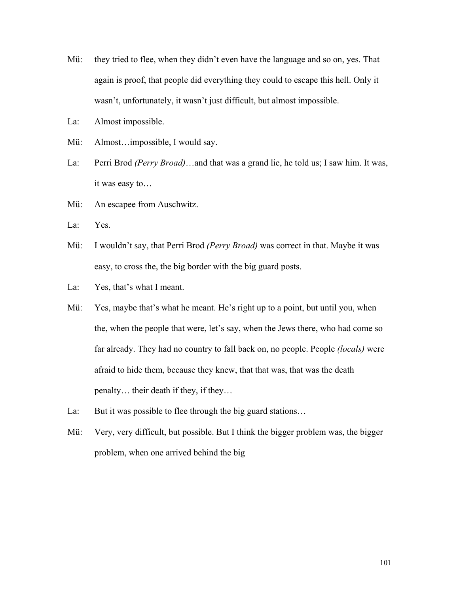- Mü: they tried to flee, when they didn't even have the language and so on, yes. That again is proof, that people did everything they could to escape this hell. Only it wasn't, unfortunately, it wasn't just difficult, but almost impossible.
- La: Almost impossible.
- Mü: Almost…impossible, I would say.
- La: Perri Brod *(Perry Broad)*…and that was a grand lie, he told us; I saw him. It was, it was easy to…
- Mü: An escapee from Auschwitz.
- La: Yes.
- Mü: I wouldn't say, that Perri Brod *(Perry Broad)* was correct in that. Maybe it was easy, to cross the, the big border with the big guard posts.
- La: Yes, that's what I meant.
- Mü: Yes, maybe that's what he meant. He's right up to a point, but until you, when the, when the people that were, let's say, when the Jews there, who had come so far already. They had no country to fall back on, no people. People *(locals)* were afraid to hide them, because they knew, that that was, that was the death penalty… their death if they, if they…
- La: But it was possible to flee through the big guard stations...
- Mü: Very, very difficult, but possible. But I think the bigger problem was, the bigger problem, when one arrived behind the big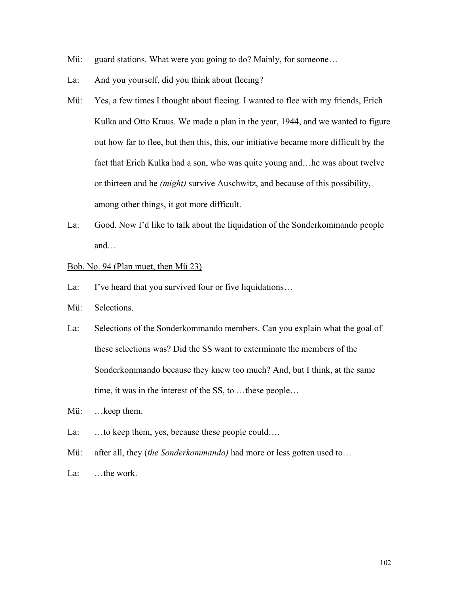- Mü: guard stations. What were you going to do? Mainly, for someone...
- La: And you yourself, did you think about fleeing?
- Mü: Yes, a few times I thought about fleeing. I wanted to flee with my friends, Erich Kulka and Otto Kraus. We made a plan in the year, 1944, and we wanted to figure out how far to flee, but then this, this, our initiative became more difficult by the fact that Erich Kulka had a son, who was quite young and…he was about twelve or thirteen and he *(might)* survive Auschwitz, and because of this possibility, among other things, it got more difficult.
- La: Good. Now I'd like to talk about the liquidation of the Sonderkommando people and…

### Bob. No. 94 (Plan muet, then Mü 23)

- La: I've heard that you survived four or five liquidations...
- Mü: Selections.
- La: Selections of the Sonderkommando members. Can you explain what the goal of these selections was? Did the SS want to exterminate the members of the Sonderkommando because they knew too much? And, but I think, at the same time, it was in the interest of the SS, to …these people…
- Mü: …keep them.
- La: ...to keep them, yes, because these people could....
- Mü: after all, they *(the Sonderkommando)* had more or less gotten used to...
- La: ...the work.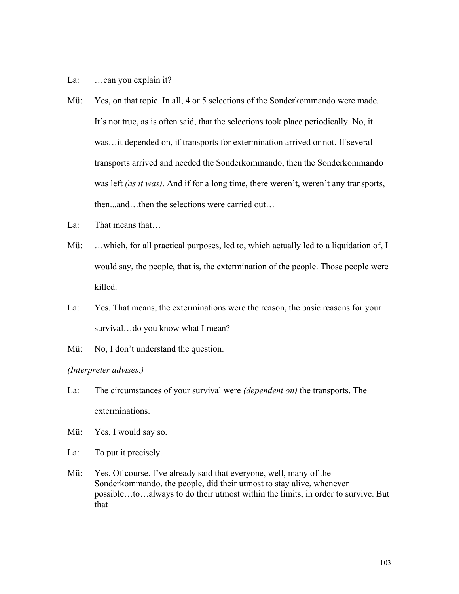### La: ...can you explain it?

- Mü: Yes, on that topic. In all, 4 or 5 selections of the Sonderkommando were made. It's not true, as is often said, that the selections took place periodically. No, it was…it depended on, if transports for extermination arrived or not. If several transports arrived and needed the Sonderkommando, then the Sonderkommando was left *(as it was)*. And if for a long time, there weren't, weren't any transports, then...and…then the selections were carried out…
- La: That means that...
- Mü: …which, for all practical purposes, led to, which actually led to a liquidation of, I would say, the people, that is, the extermination of the people. Those people were killed.
- La: Yes. That means, the exterminations were the reason, the basic reasons for your survival…do you know what I mean?
- Mü: No, I don't understand the question.

# *(Interpreter advises.)*

- La: The circumstances of your survival were *(dependent on)* the transports. The exterminations.
- Mü: Yes, I would say so.
- La: To put it precisely.
- Mü: Yes. Of course. I've already said that everyone, well, many of the Sonderkommando, the people, did their utmost to stay alive, whenever possible…to…always to do their utmost within the limits, in order to survive. But that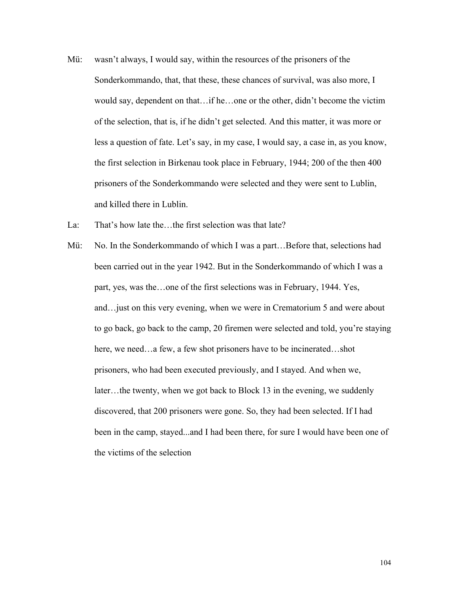- Mü: wasn't always, I would say, within the resources of the prisoners of the Sonderkommando, that, that these, these chances of survival, was also more, I would say, dependent on that…if he…one or the other, didn't become the victim of the selection, that is, if he didn't get selected. And this matter, it was more or less a question of fate. Let's say, in my case, I would say, a case in, as you know, the first selection in Birkenau took place in February, 1944; 200 of the then 400 prisoners of the Sonderkommando were selected and they were sent to Lublin, and killed there in Lublin.
- La: That's how late the...the first selection was that late?
- Mü: No. In the Sonderkommando of which I was a part…Before that, selections had been carried out in the year 1942. But in the Sonderkommando of which I was a part, yes, was the…one of the first selections was in February, 1944. Yes, and…just on this very evening, when we were in Crematorium 5 and were about to go back, go back to the camp, 20 firemen were selected and told, you're staying here, we need…a few, a few shot prisoners have to be incinerated…shot prisoners, who had been executed previously, and I stayed. And when we, later…the twenty, when we got back to Block 13 in the evening, we suddenly discovered, that 200 prisoners were gone. So, they had been selected. If I had been in the camp, stayed...and I had been there, for sure I would have been one of the victims of the selection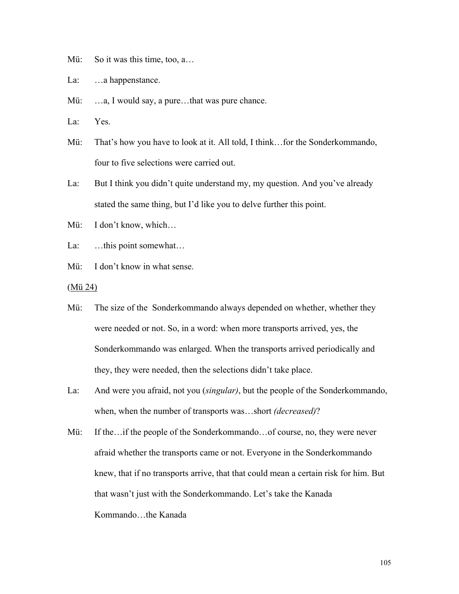Mü: So it was this time, too, a...

La: ...a happenstance.

- Mü: ...a, I would say, a pure...that was pure chance.
- La: Yes.
- Mü: That's how you have to look at it. All told, I think…for the Sonderkommando, four to five selections were carried out.
- La: But I think you didn't quite understand my, my question. And you've already stated the same thing, but I'd like you to delve further this point.
- Mü: I don't know, which…
- La: ...this point somewhat...
- Mü: I don't know in what sense.
- (Mü 24)
- Mü: The size of the Sonderkommando always depended on whether, whether they were needed or not. So, in a word: when more transports arrived, yes, the Sonderkommando was enlarged. When the transports arrived periodically and they, they were needed, then the selections didn't take place.
- La: And were you afraid, not you (*singular)*, but the people of the Sonderkommando, when, when the number of transports was…short *(decreased)*?
- Mü: If the…if the people of the Sonderkommando…of course, no, they were never afraid whether the transports came or not. Everyone in the Sonderkommando knew, that if no transports arrive, that that could mean a certain risk for him. But that wasn't just with the Sonderkommando. Let's take the Kanada Kommando…the Kanada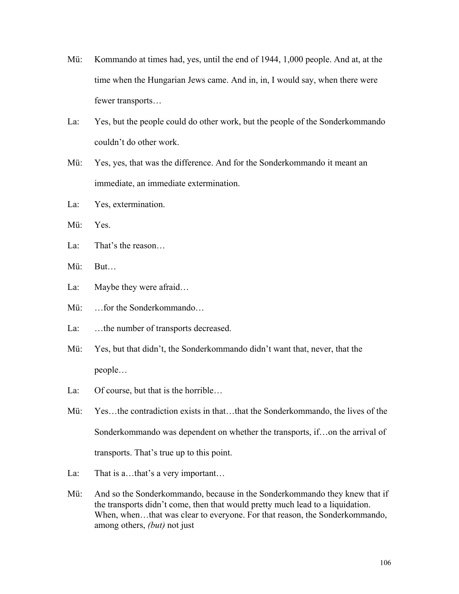- Mü: Kommando at times had, yes, until the end of 1944, 1,000 people. And at, at the time when the Hungarian Jews came. And in, in, I would say, when there were fewer transports…
- La: Yes, but the people could do other work, but the people of the Sonderkommando couldn't do other work.
- Mü: Yes, yes, that was the difference. And for the Sonderkommando it meant an immediate, an immediate extermination.
- La: Yes, extermination.
- Mü: Yes.
- La: That's the reason
- Mü: But…
- La: Maybe they were afraid...
- Mü: …for the Sonderkommando…
- La: ...the number of transports decreased.
- Mü: Yes, but that didn't, the Sonderkommando didn't want that, never, that the people…
- La: Of course, but that is the horrible...
- Mü: Yes…the contradiction exists in that…that the Sonderkommando, the lives of the Sonderkommando was dependent on whether the transports, if…on the arrival of transports. That's true up to this point.
- La: That is a...that's a very important...
- Mü: And so the Sonderkommando, because in the Sonderkommando they knew that if the transports didn't come, then that would pretty much lead to a liquidation. When, when...that was clear to everyone. For that reason, the Sonderkommando, among others, *(but)* not just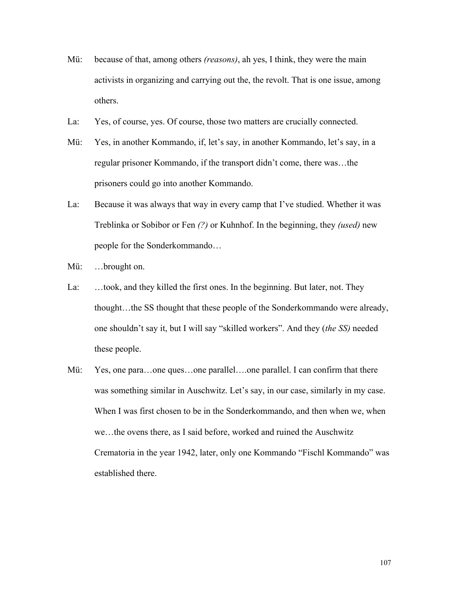- Mü: because of that, among others *(reasons)*, ah yes, I think, they were the main activists in organizing and carrying out the, the revolt. That is one issue, among others.
- La: Yes, of course, yes. Of course, those two matters are crucially connected.
- Mü: Yes, in another Kommando, if, let's say, in another Kommando, let's say, in a regular prisoner Kommando, if the transport didn't come, there was…the prisoners could go into another Kommando.
- La: Because it was always that way in every camp that I've studied. Whether it was Treblinka or Sobibor or Fen *(?)* or Kuhnhof. In the beginning, they *(used)* new people for the Sonderkommando…

Mü: …brought on.

- La: …took, and they killed the first ones. In the beginning. But later, not. They thought…the SS thought that these people of the Sonderkommando were already, one shouldn't say it, but I will say "skilled workers". And they (*the SS)* needed these people.
- Mü: Yes, one para…one ques…one parallel….one parallel. I can confirm that there was something similar in Auschwitz. Let's say, in our case, similarly in my case. When I was first chosen to be in the Sonderkommando, and then when we, when we…the ovens there, as I said before, worked and ruined the Auschwitz Crematoria in the year 1942, later, only one Kommando "Fischl Kommando" was established there.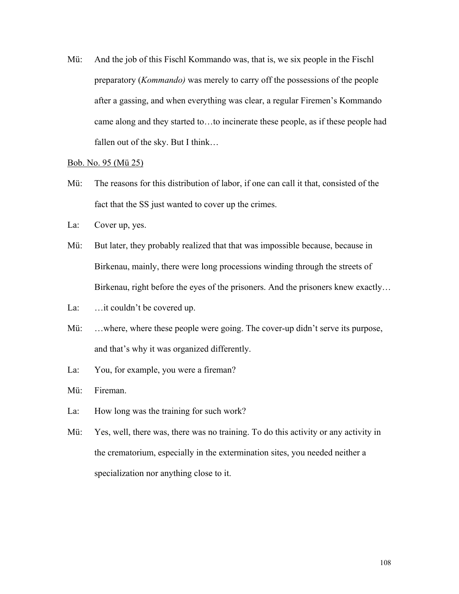Mü: And the job of this Fischl Kommando was, that is, we six people in the Fischl preparatory (*Kommando)* was merely to carry off the possessions of the people after a gassing, and when everything was clear, a regular Firemen's Kommando came along and they started to…to incinerate these people, as if these people had fallen out of the sky. But I think…

### Bob. No. 95 (Mü 25)

- Mü: The reasons for this distribution of labor, if one can call it that, consisted of the fact that the SS just wanted to cover up the crimes.
- La: Cover up, yes.
- Mü: But later, they probably realized that that was impossible because, because in Birkenau, mainly, there were long processions winding through the streets of Birkenau, right before the eyes of the prisoners. And the prisoners knew exactly…
- La: ... it couldn't be covered up.
- Mü: ...where, where these people were going. The cover-up didn't serve its purpose, and that's why it was organized differently.
- La: You, for example, you were a fireman?

Mü: Fireman.

- La: How long was the training for such work?
- Mü: Yes, well, there was, there was no training. To do this activity or any activity in the crematorium, especially in the extermination sites, you needed neither a specialization nor anything close to it.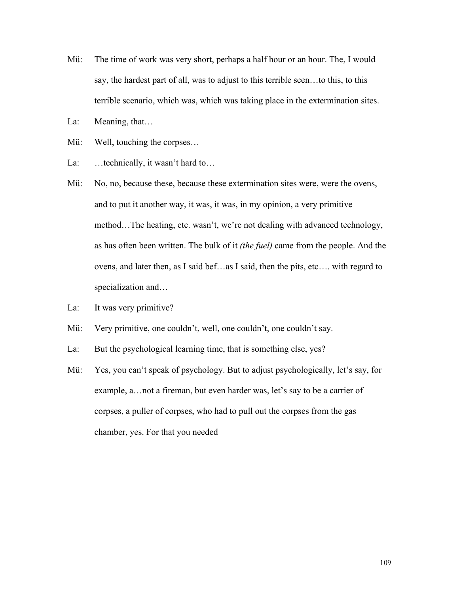- Mü: The time of work was very short, perhaps a half hour or an hour. The, I would say, the hardest part of all, was to adjust to this terrible scen…to this, to this terrible scenario, which was, which was taking place in the extermination sites.
- La: Meaning, that...
- Mü: Well, touching the corpses...
- La: ...technically, it wasn't hard to...
- Mü: No, no, because these, because these extermination sites were, were the ovens, and to put it another way, it was, it was, in my opinion, a very primitive method…The heating, etc. wasn't, we're not dealing with advanced technology, as has often been written. The bulk of it *(the fuel)* came from the people. And the ovens, and later then, as I said bef…as I said, then the pits, etc…. with regard to specialization and…
- La: It was very primitive?
- Mü: Very primitive, one couldn't, well, one couldn't, one couldn't say.
- La: But the psychological learning time, that is something else, yes?
- Mü: Yes, you can't speak of psychology. But to adjust psychologically, let's say, for example, a…not a fireman, but even harder was, let's say to be a carrier of corpses, a puller of corpses, who had to pull out the corpses from the gas chamber, yes. For that you needed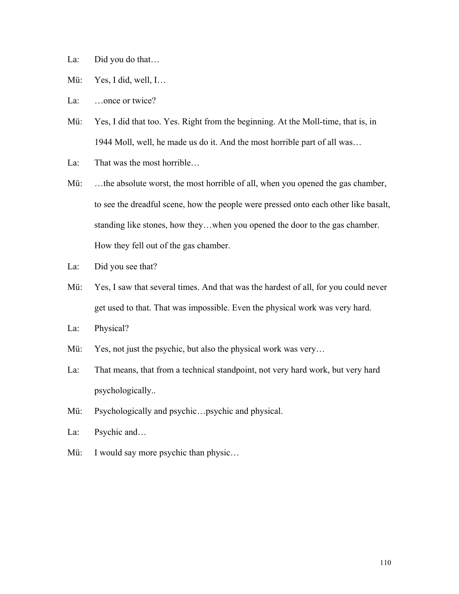La: Did you do that...

- Mü: Yes, I did, well, I…
- La: ...once or twice?
- Mü: Yes, I did that too. Yes. Right from the beginning. At the Moll-time, that is, in 1944 Moll, well, he made us do it. And the most horrible part of all was…
- La: That was the most horrible…
- Mü: ...the absolute worst, the most horrible of all, when you opened the gas chamber, to see the dreadful scene, how the people were pressed onto each other like basalt, standing like stones, how they…when you opened the door to the gas chamber. How they fell out of the gas chamber.
- La: Did you see that?
- Mü: Yes, I saw that several times. And that was the hardest of all, for you could never get used to that. That was impossible. Even the physical work was very hard.
- La: Physical?
- Mü: Yes, not just the psychic, but also the physical work was very...
- La: That means, that from a technical standpoint, not very hard work, but very hard psychologically..
- Mü: Psychologically and psychic…psychic and physical.
- La: Psychic and…
- Mü: I would say more psychic than physic...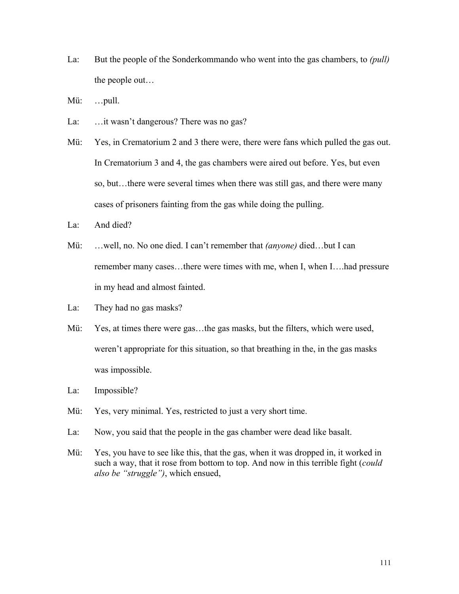- La: But the people of the Sonderkommando who went into the gas chambers, to *(pull)* the people out…
- Mü: …pull.
- La: ... it wasn't dangerous? There was no gas?
- Mü: Yes, in Crematorium 2 and 3 there were, there were fans which pulled the gas out. In Crematorium 3 and 4, the gas chambers were aired out before. Yes, but even so, but…there were several times when there was still gas, and there were many cases of prisoners fainting from the gas while doing the pulling.
- La: And died?
- Mü: …well, no. No one died. I can't remember that *(anyone)* died…but I can remember many cases...there were times with me, when I, when I....had pressure in my head and almost fainted.
- La: They had no gas masks?
- Mü: Yes, at times there were gas…the gas masks, but the filters, which were used, weren't appropriate for this situation, so that breathing in the, in the gas masks was impossible.
- La: Impossible?
- Mü: Yes, very minimal. Yes, restricted to just a very short time.
- La: Now, you said that the people in the gas chamber were dead like basalt.
- Mü: Yes, you have to see like this, that the gas, when it was dropped in, it worked in such a way, that it rose from bottom to top. And now in this terrible fight (*could also be "struggle")*, which ensued,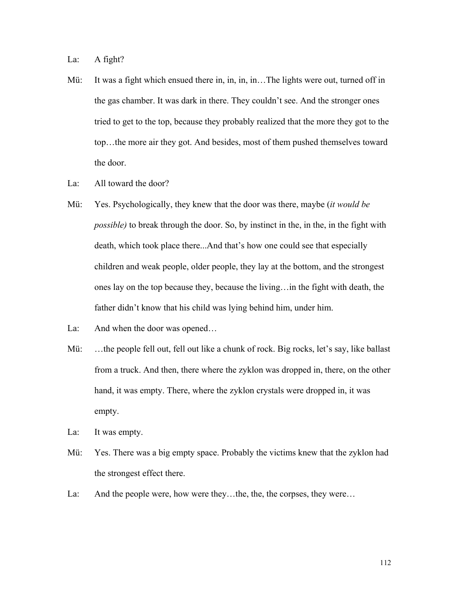La: A fight?

- Mü: It was a fight which ensued there in, in, in, in... The lights were out, turned off in the gas chamber. It was dark in there. They couldn't see. And the stronger ones tried to get to the top, because they probably realized that the more they got to the top…the more air they got. And besides, most of them pushed themselves toward the door.
- La: All toward the door?
- Mü: Yes. Psychologically, they knew that the door was there, maybe (*it would be possible*) to break through the door. So, by instinct in the, in the, in the fight with death, which took place there...And that's how one could see that especially children and weak people, older people, they lay at the bottom, and the strongest ones lay on the top because they, because the living…in the fight with death, the father didn't know that his child was lying behind him, under him.
- La: And when the door was opened…
- Mü: …the people fell out, fell out like a chunk of rock. Big rocks, let's say, like ballast from a truck. And then, there where the zyklon was dropped in, there, on the other hand, it was empty. There, where the zyklon crystals were dropped in, it was empty.
- La: It was empty.
- Mü: Yes. There was a big empty space. Probably the victims knew that the zyklon had the strongest effect there.
- La: And the people were, how were they...the, the, the corpses, they were...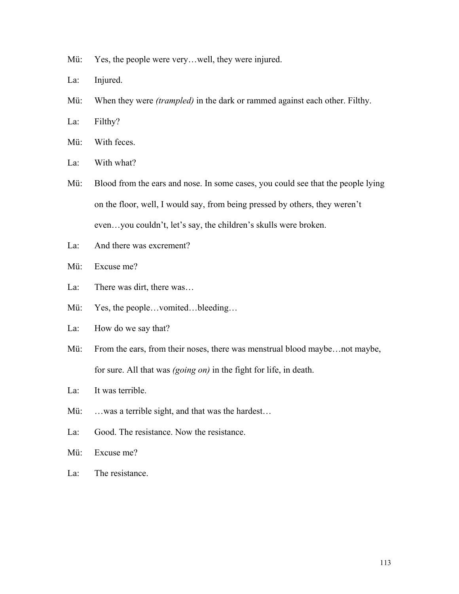- Mü: Yes, the people were very...well, they were injured.
- La: Injured.
- Mü: When they were *(trampled)* in the dark or rammed against each other. Filthy.
- La: Filthy?
- Mü: With feces.
- La: With what?
- Mü: Blood from the ears and nose. In some cases, you could see that the people lying on the floor, well, I would say, from being pressed by others, they weren't even…you couldn't, let's say, the children's skulls were broken.
- La: And there was excrement?
- Mü: Excuse me?
- La: There was dirt, there was...
- Mü: Yes, the people…vomited…bleeding…
- La: How do we say that?
- Mü: From the ears, from their noses, there was menstrual blood maybe... not maybe, for sure. All that was *(going on)* in the fight for life, in death.
- La: It was terrible.
- Mü: ...was a terrible sight, and that was the hardest...
- La: Good. The resistance. Now the resistance.
- Mü: Excuse me?
- La: The resistance.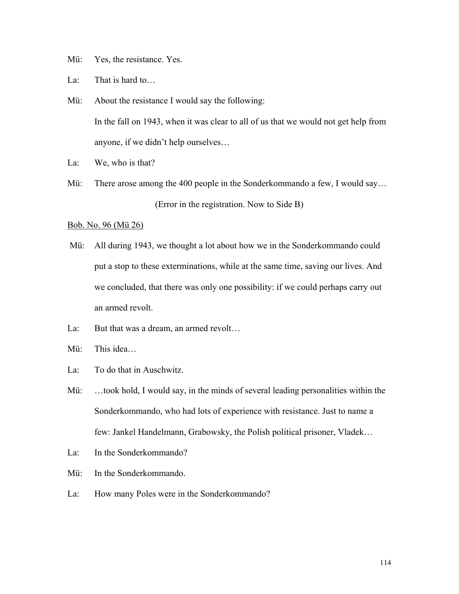Mü: Yes, the resistance. Yes.

La: That is hard to...

- Mü: About the resistance I would say the following: In the fall on 1943, when it was clear to all of us that we would not get help from anyone, if we didn't help ourselves…
- La: We, who is that?
- Mü: There arose among the 400 people in the Sonderkommando a few, I would say… (Error in the registration. Now to Side B)

### Bob. No. 96 (Mü 26)

- Mü: All during 1943, we thought a lot about how we in the Sonderkommando could put a stop to these exterminations, while at the same time, saving our lives. And we concluded, that there was only one possibility: if we could perhaps carry out an armed revolt.
- La: But that was a dream, an armed revolt...
- Mü: This idea…
- La: To do that in Auschwitz.
- Mü: …took hold, I would say, in the minds of several leading personalities within the Sonderkommando, who had lots of experience with resistance. Just to name a few: Jankel Handelmann, Grabowsky, the Polish political prisoner, Vladek…
- La: In the Sonderkommando?
- Mü: In the Sonderkommando.
- La: How many Poles were in the Sonderkommando?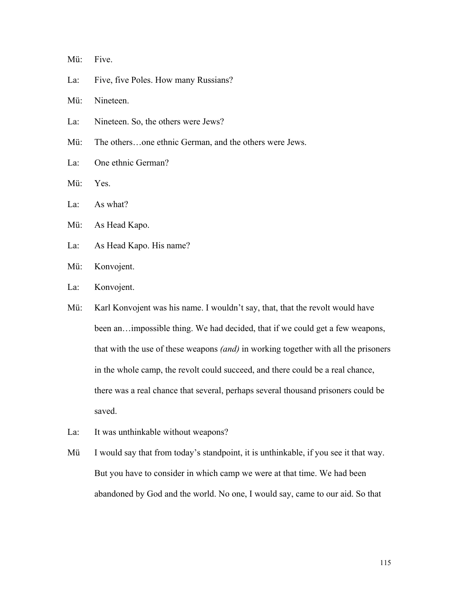Mü: Five.

La: Five, five Poles. How many Russians?

Mü: Nineteen.

- La: Nineteen. So, the others were Jews?
- Mü: The others…one ethnic German, and the others were Jews.
- La: One ethnic German?
- Mü: Yes.
- La: As what?
- Mü: As Head Kapo.
- La: As Head Kapo. His name?
- Mü: Konvojent.
- La: Konvojent.
- Mü: Karl Konvojent was his name. I wouldn't say, that, that the revolt would have been an…impossible thing. We had decided, that if we could get a few weapons, that with the use of these weapons *(and)* in working together with all the prisoners in the whole camp, the revolt could succeed, and there could be a real chance, there was a real chance that several, perhaps several thousand prisoners could be saved.
- La: It was unthinkable without weapons?
- Mü I would say that from today's standpoint, it is unthinkable, if you see it that way. But you have to consider in which camp we were at that time. We had been abandoned by God and the world. No one, I would say, came to our aid. So that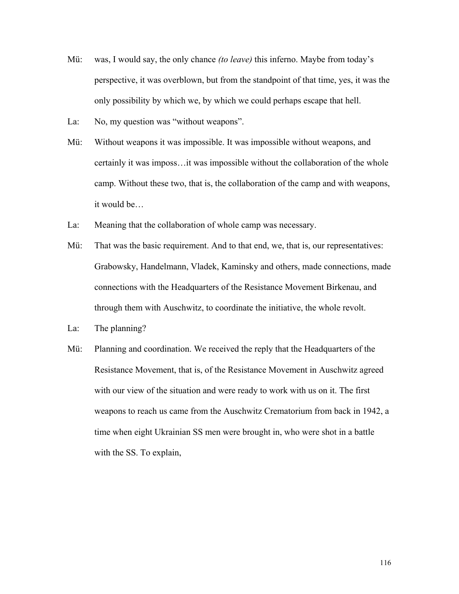- Mü: was, I would say, the only chance *(to leave)* this inferno. Maybe from today's perspective, it was overblown, but from the standpoint of that time, yes, it was the only possibility by which we, by which we could perhaps escape that hell.
- La: No, my question was "without weapons".
- Mü: Without weapons it was impossible. It was impossible without weapons, and certainly it was imposs…it was impossible without the collaboration of the whole camp. Without these two, that is, the collaboration of the camp and with weapons, it would be…
- La: Meaning that the collaboration of whole camp was necessary.
- Mü: That was the basic requirement. And to that end, we, that is, our representatives: Grabowsky, Handelmann, Vladek, Kaminsky and others, made connections, made connections with the Headquarters of the Resistance Movement Birkenau, and through them with Auschwitz, to coordinate the initiative, the whole revolt.
- La: The planning?
- Mü: Planning and coordination. We received the reply that the Headquarters of the Resistance Movement, that is, of the Resistance Movement in Auschwitz agreed with our view of the situation and were ready to work with us on it. The first weapons to reach us came from the Auschwitz Crematorium from back in 1942, a time when eight Ukrainian SS men were brought in, who were shot in a battle with the SS. To explain,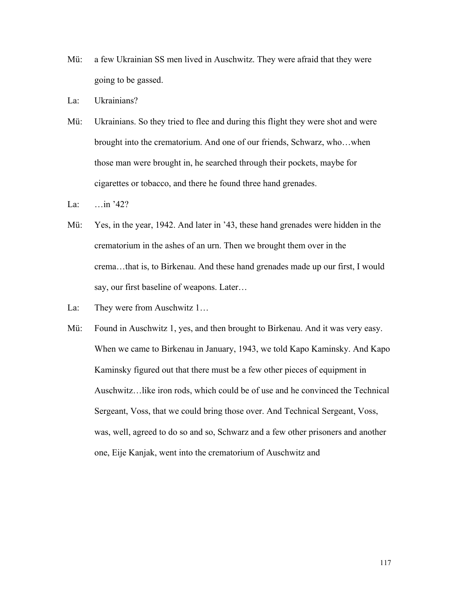- Mü: a few Ukrainian SS men lived in Auschwitz. They were afraid that they were going to be gassed.
- La: Ukrainians?
- Mü: Ukrainians. So they tried to flee and during this flight they were shot and were brought into the crematorium. And one of our friends, Schwarz, who…when those man were brought in, he searched through their pockets, maybe for cigarettes or tobacco, and there he found three hand grenades.
- La: …in '42?
- Mü: Yes, in the year, 1942. And later in '43, these hand grenades were hidden in the crematorium in the ashes of an urn. Then we brought them over in the crema…that is, to Birkenau. And these hand grenades made up our first, I would say, our first baseline of weapons. Later…
- La: They were from Auschwitz 1...
- Mü: Found in Auschwitz 1, yes, and then brought to Birkenau. And it was very easy. When we came to Birkenau in January, 1943, we told Kapo Kaminsky. And Kapo Kaminsky figured out that there must be a few other pieces of equipment in Auschwitz…like iron rods, which could be of use and he convinced the Technical Sergeant, Voss, that we could bring those over. And Technical Sergeant, Voss, was, well, agreed to do so and so, Schwarz and a few other prisoners and another one, Eije Kanjak, went into the crematorium of Auschwitz and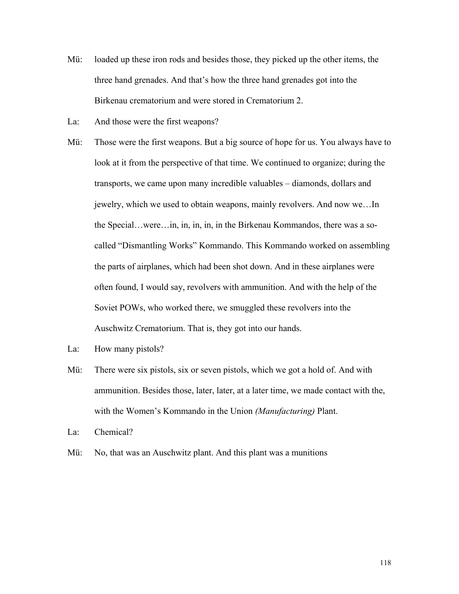- Mü: loaded up these iron rods and besides those, they picked up the other items, the three hand grenades. And that's how the three hand grenades got into the Birkenau crematorium and were stored in Crematorium 2.
- La: And those were the first weapons?
- Mü: Those were the first weapons. But a big source of hope for us. You always have to look at it from the perspective of that time. We continued to organize; during the transports, we came upon many incredible valuables – diamonds, dollars and jewelry, which we used to obtain weapons, mainly revolvers. And now we…In the Special…were…in, in, in, in, in the Birkenau Kommandos, there was a socalled "Dismantling Works" Kommando. This Kommando worked on assembling the parts of airplanes, which had been shot down. And in these airplanes were often found, I would say, revolvers with ammunition. And with the help of the Soviet POWs, who worked there, we smuggled these revolvers into the Auschwitz Crematorium. That is, they got into our hands.
- La: How many pistols?
- Mü: There were six pistols, six or seven pistols, which we got a hold of. And with ammunition. Besides those, later, later, at a later time, we made contact with the, with the Women's Kommando in the Union *(Manufacturing)* Plant.
- La: Chemical?
- Mü: No, that was an Auschwitz plant. And this plant was a munitions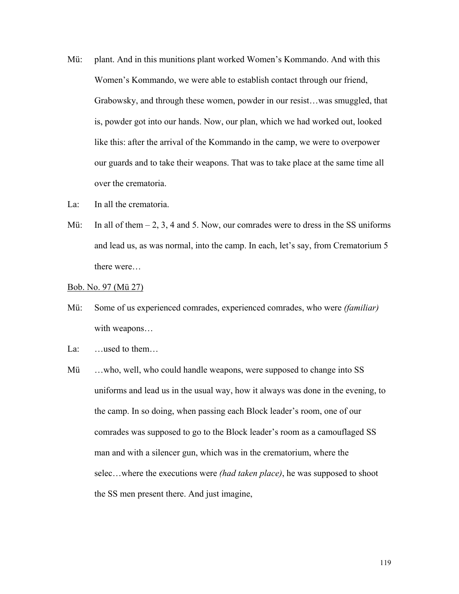- Mü: plant. And in this munitions plant worked Women's Kommando. And with this Women's Kommando, we were able to establish contact through our friend, Grabowsky, and through these women, powder in our resist…was smuggled, that is, powder got into our hands. Now, our plan, which we had worked out, looked like this: after the arrival of the Kommando in the camp, we were to overpower our guards and to take their weapons. That was to take place at the same time all over the crematoria.
- La: In all the crematoria.
- Mü: In all of them  $-2$ , 3, 4 and 5. Now, our comrades were to dress in the SS uniforms and lead us, as was normal, into the camp. In each, let's say, from Crematorium 5 there were…

Bob. No. 97 (Mü 27)

- Mü: Some of us experienced comrades, experienced comrades, who were *(familiar)* with weapons…
- La: …used to them…
- Mü …who, well, who could handle weapons, were supposed to change into SS uniforms and lead us in the usual way, how it always was done in the evening, to the camp. In so doing, when passing each Block leader's room, one of our comrades was supposed to go to the Block leader's room as a camouflaged SS man and with a silencer gun, which was in the crematorium, where the selec…where the executions were *(had taken place)*, he was supposed to shoot the SS men present there. And just imagine,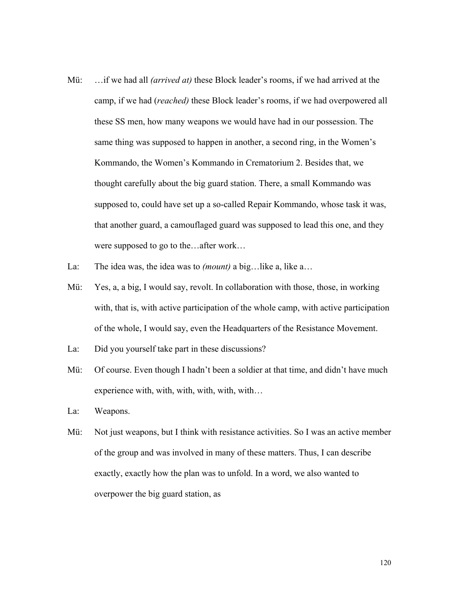- Mü: …if we had all *(arrived at)* these Block leader's rooms, if we had arrived at the camp, if we had (*reached)* these Block leader's rooms, if we had overpowered all these SS men, how many weapons we would have had in our possession. The same thing was supposed to happen in another, a second ring, in the Women's Kommando, the Women's Kommando in Crematorium 2. Besides that, we thought carefully about the big guard station. There, a small Kommando was supposed to, could have set up a so-called Repair Kommando, whose task it was, that another guard, a camouflaged guard was supposed to lead this one, and they were supposed to go to the…after work…
- La: The idea was, the idea was to *(mount)* a big…like a, like a…
- Mü: Yes, a, a big, I would say, revolt. In collaboration with those, those, in working with, that is, with active participation of the whole camp, with active participation of the whole, I would say, even the Headquarters of the Resistance Movement.
- La: Did you yourself take part in these discussions?
- Mü: Of course. Even though I hadn't been a soldier at that time, and didn't have much experience with, with, with, with, with, with…
- La: Weapons.
- Mü: Not just weapons, but I think with resistance activities. So I was an active member of the group and was involved in many of these matters. Thus, I can describe exactly, exactly how the plan was to unfold. In a word, we also wanted to overpower the big guard station, as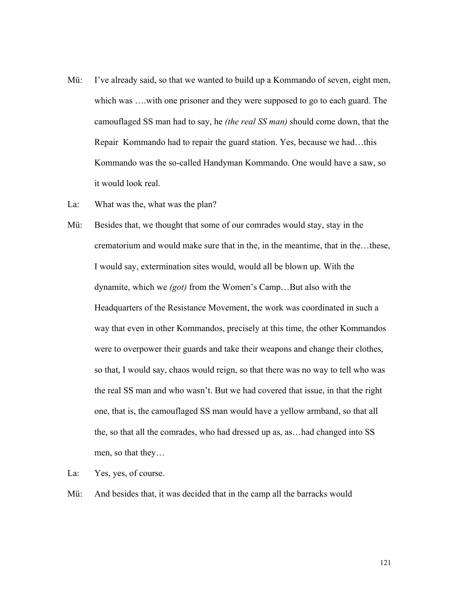- Mü: I've already said, so that we wanted to build up a Kommando of seven, eight men, which was ….with one prisoner and they were supposed to go to each guard. The camouflaged SS man had to say, he *(the real SS man)* should come down, that the Repair Kommando had to repair the guard station. Yes, because we had…this Kommando was the so-called Handyman Kommando. One would have a saw, so it would look real.
- La: What was the, what was the plan?
- Mü: Besides that, we thought that some of our comrades would stay, stay in the crematorium and would make sure that in the, in the meantime, that in the…these, I would say, extermination sites would, would all be blown up. With the dynamite, which we *(got)* from the Women's Camp…But also with the Headquarters of the Resistance Movement, the work was coordinated in such a way that even in other Kommandos, precisely at this time, the other Kommandos were to overpower their guards and take their weapons and change their clothes, so that, I would say, chaos would reign, so that there was no way to tell who was the real SS man and who wasn't. But we had covered that issue, in that the right one, that is, the camouflaged SS man would have a yellow armband, so that all the, so that all the comrades, who had dressed up as, as…had changed into SS men, so that they…
- La: Yes, yes, of course.
- Mü: And besides that, it was decided that in the camp all the barracks would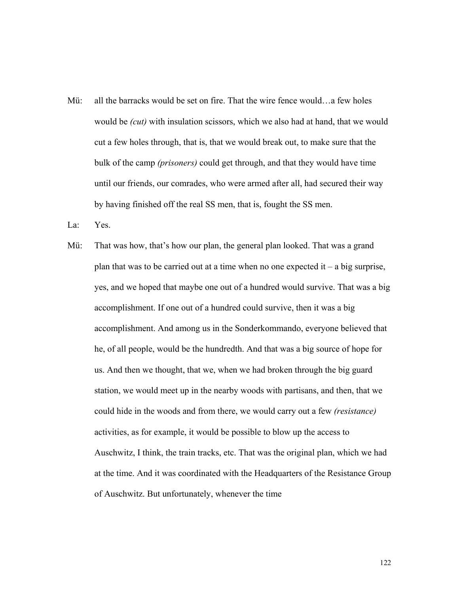Mü: all the barracks would be set on fire. That the wire fence would…a few holes would be *(cut)* with insulation scissors, which we also had at hand, that we would cut a few holes through, that is, that we would break out, to make sure that the bulk of the camp *(prisoners)* could get through, and that they would have time until our friends, our comrades, who were armed after all, had secured their way by having finished off the real SS men, that is, fought the SS men.

La: Yes.

Mü: That was how, that's how our plan, the general plan looked. That was a grand plan that was to be carried out at a time when no one expected it – a big surprise, yes, and we hoped that maybe one out of a hundred would survive. That was a big accomplishment. If one out of a hundred could survive, then it was a big accomplishment. And among us in the Sonderkommando, everyone believed that he, of all people, would be the hundredth. And that was a big source of hope for us. And then we thought, that we, when we had broken through the big guard station, we would meet up in the nearby woods with partisans, and then, that we could hide in the woods and from there, we would carry out a few *(resistance)*  activities, as for example, it would be possible to blow up the access to Auschwitz, I think, the train tracks, etc. That was the original plan, which we had at the time. And it was coordinated with the Headquarters of the Resistance Group of Auschwitz. But unfortunately, whenever the time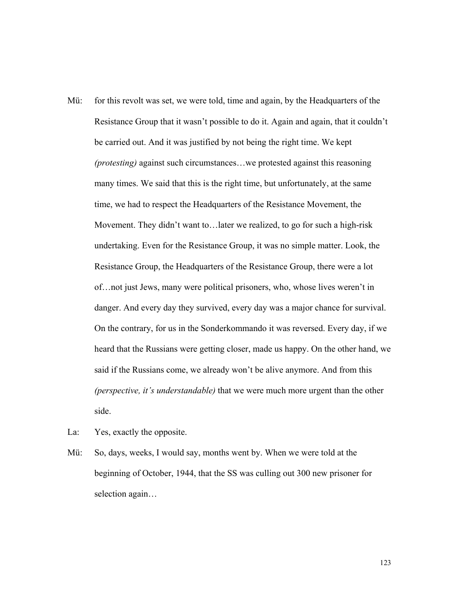- Mü: for this revolt was set, we were told, time and again, by the Headquarters of the Resistance Group that it wasn't possible to do it. Again and again, that it couldn't be carried out. And it was justified by not being the right time. We kept *(protesting)* against such circumstances…we protested against this reasoning many times. We said that this is the right time, but unfortunately, at the same time, we had to respect the Headquarters of the Resistance Movement, the Movement. They didn't want to…later we realized, to go for such a high-risk undertaking. Even for the Resistance Group, it was no simple matter. Look, the Resistance Group, the Headquarters of the Resistance Group, there were a lot of…not just Jews, many were political prisoners, who, whose lives weren't in danger. And every day they survived, every day was a major chance for survival. On the contrary, for us in the Sonderkommando it was reversed. Every day, if we heard that the Russians were getting closer, made us happy. On the other hand, we said if the Russians come, we already won't be alive anymore. And from this *(perspective, it's understandable)* that we were much more urgent than the other side.
- La: Yes, exactly the opposite.
- Mü: So, days, weeks, I would say, months went by. When we were told at the beginning of October, 1944, that the SS was culling out 300 new prisoner for selection again…

123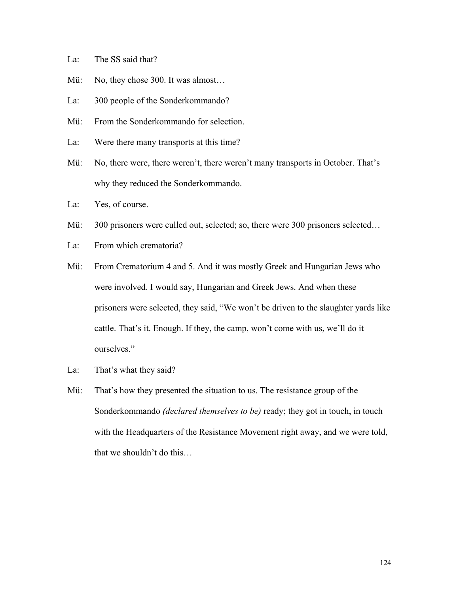- La: The SS said that?
- Mü: No, they chose 300. It was almost...
- La: 300 people of the Sonderkommando?
- Mü: From the Sonderkommando for selection.
- La: Were there many transports at this time?
- Mü: No, there were, there weren't, there weren't many transports in October. That's why they reduced the Sonderkommando.
- La: Yes, of course.
- Mü: 300 prisoners were culled out, selected; so, there were 300 prisoners selected...
- La: From which crematoria?
- Mü: From Crematorium 4 and 5. And it was mostly Greek and Hungarian Jews who were involved. I would say, Hungarian and Greek Jews. And when these prisoners were selected, they said, "We won't be driven to the slaughter yards like cattle. That's it. Enough. If they, the camp, won't come with us, we'll do it ourselves."
- La: That's what they said?
- Mü: That's how they presented the situation to us. The resistance group of the Sonderkommando *(declared themselves to be)* ready; they got in touch, in touch with the Headquarters of the Resistance Movement right away, and we were told, that we shouldn't do this…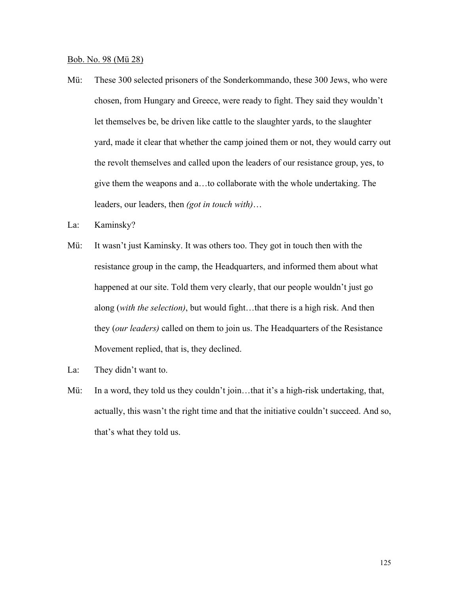Bob. No. 98 (Mü 28)

- Mü: These 300 selected prisoners of the Sonderkommando, these 300 Jews, who were chosen, from Hungary and Greece, were ready to fight. They said they wouldn't let themselves be, be driven like cattle to the slaughter yards, to the slaughter yard, made it clear that whether the camp joined them or not, they would carry out the revolt themselves and called upon the leaders of our resistance group, yes, to give them the weapons and a…to collaborate with the whole undertaking. The leaders, our leaders, then *(got in touch with)*…
- La: Kaminsky?
- Mü: It wasn't just Kaminsky. It was others too. They got in touch then with the resistance group in the camp, the Headquarters, and informed them about what happened at our site. Told them very clearly, that our people wouldn't just go along (*with the selection)*, but would fight…that there is a high risk. And then they (*our leaders)* called on them to join us. The Headquarters of the Resistance Movement replied, that is, they declined.
- La: They didn't want to.
- Mü: In a word, they told us they couldn't join...that it's a high-risk undertaking, that, actually, this wasn't the right time and that the initiative couldn't succeed. And so, that's what they told us.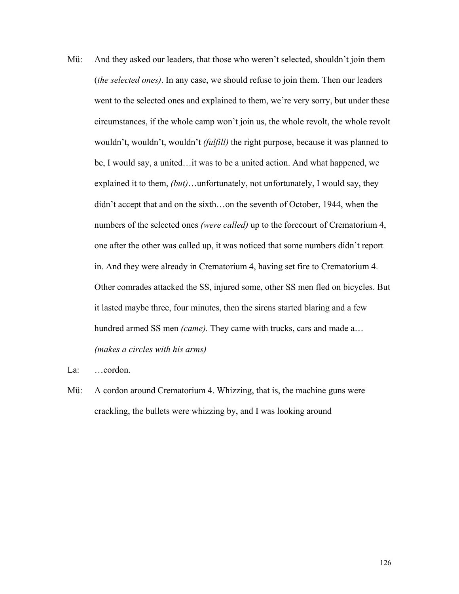Mü: And they asked our leaders, that those who weren't selected, shouldn't join them (*the selected ones)*. In any case, we should refuse to join them. Then our leaders went to the selected ones and explained to them, we're very sorry, but under these circumstances, if the whole camp won't join us, the whole revolt, the whole revolt wouldn't, wouldn't, wouldn't *(fulfill)* the right purpose, because it was planned to be, I would say, a united…it was to be a united action. And what happened, we explained it to them, *(but)*…unfortunately, not unfortunately, I would say, they didn't accept that and on the sixth…on the seventh of October, 1944, when the numbers of the selected ones *(were called)* up to the forecourt of Crematorium 4, one after the other was called up, it was noticed that some numbers didn't report in. And they were already in Crematorium 4, having set fire to Crematorium 4. Other comrades attacked the SS, injured some, other SS men fled on bicycles. But it lasted maybe three, four minutes, then the sirens started blaring and a few hundred armed SS men *(came).* They came with trucks, cars and made a… *(makes a circles with his arms)* 

La: ...cordon.

Mü: A cordon around Crematorium 4. Whizzing, that is, the machine guns were crackling, the bullets were whizzing by, and I was looking around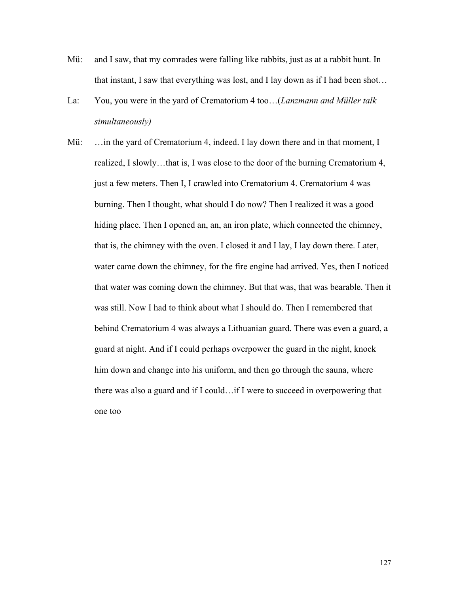- Mü: and I saw, that my comrades were falling like rabbits, just as at a rabbit hunt. In that instant, I saw that everything was lost, and I lay down as if I had been shot…
- La: You, you were in the yard of Crematorium 4 too…(*Lanzmann and Müller talk simultaneously)*
- Mü: ... in the yard of Crematorium 4, indeed. I lay down there and in that moment, I realized, I slowly…that is, I was close to the door of the burning Crematorium 4, just a few meters. Then I, I crawled into Crematorium 4. Crematorium 4 was burning. Then I thought, what should I do now? Then I realized it was a good hiding place. Then I opened an, an, an iron plate, which connected the chimney, that is, the chimney with the oven. I closed it and I lay, I lay down there. Later, water came down the chimney, for the fire engine had arrived. Yes, then I noticed that water was coming down the chimney. But that was, that was bearable. Then it was still. Now I had to think about what I should do. Then I remembered that behind Crematorium 4 was always a Lithuanian guard. There was even a guard, a guard at night. And if I could perhaps overpower the guard in the night, knock him down and change into his uniform, and then go through the sauna, where there was also a guard and if I could…if I were to succeed in overpowering that one too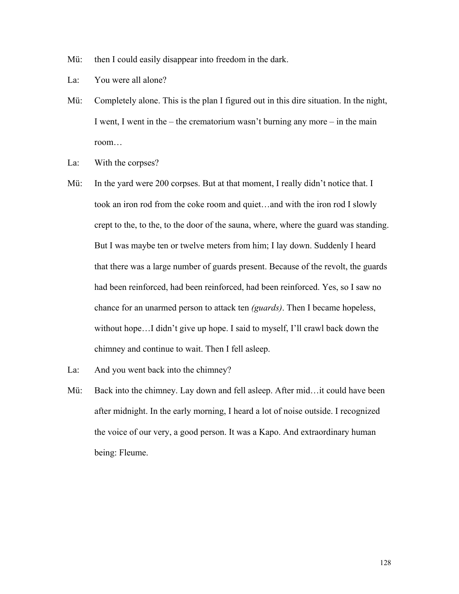Mü: then I could easily disappear into freedom in the dark.

- La: You were all alone?
- Mü: Completely alone. This is the plan I figured out in this dire situation. In the night, I went, I went in the – the crematorium wasn't burning any more – in the main room…
- La: With the corpses?
- Mü: In the yard were 200 corpses. But at that moment, I really didn't notice that. I took an iron rod from the coke room and quiet…and with the iron rod I slowly crept to the, to the, to the door of the sauna, where, where the guard was standing. But I was maybe ten or twelve meters from him; I lay down. Suddenly I heard that there was a large number of guards present. Because of the revolt, the guards had been reinforced, had been reinforced, had been reinforced. Yes, so I saw no chance for an unarmed person to attack ten *(guards)*. Then I became hopeless, without hope…I didn't give up hope. I said to myself, I'll crawl back down the chimney and continue to wait. Then I fell asleep.
- La: And you went back into the chimney?
- Mü: Back into the chimney. Lay down and fell asleep. After mid... it could have been after midnight. In the early morning, I heard a lot of noise outside. I recognized the voice of our very, a good person. It was a Kapo. And extraordinary human being: Fleume.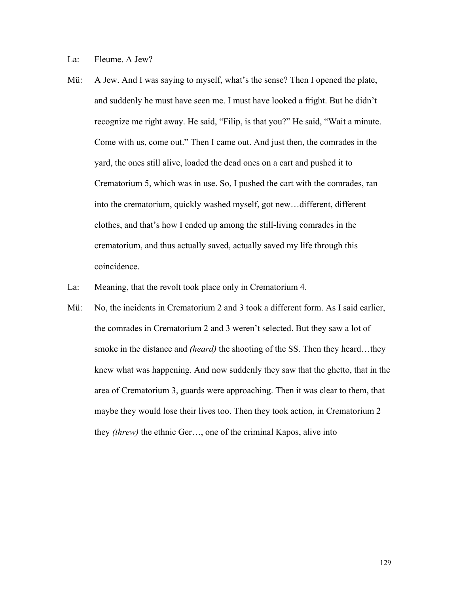La: Fleume. A Jew?

- Mü: A Jew. And I was saying to myself, what's the sense? Then I opened the plate, and suddenly he must have seen me. I must have looked a fright. But he didn't recognize me right away. He said, "Filip, is that you?" He said, "Wait a minute. Come with us, come out." Then I came out. And just then, the comrades in the yard, the ones still alive, loaded the dead ones on a cart and pushed it to Crematorium 5, which was in use. So, I pushed the cart with the comrades, ran into the crematorium, quickly washed myself, got new…different, different clothes, and that's how I ended up among the still-living comrades in the crematorium, and thus actually saved, actually saved my life through this coincidence.
- La: Meaning, that the revolt took place only in Crematorium 4.
- Mü: No, the incidents in Crematorium 2 and 3 took a different form. As I said earlier, the comrades in Crematorium 2 and 3 weren't selected. But they saw a lot of smoke in the distance and *(heard)* the shooting of the SS. Then they heard…they knew what was happening. And now suddenly they saw that the ghetto, that in the area of Crematorium 3, guards were approaching. Then it was clear to them, that maybe they would lose their lives too. Then they took action, in Crematorium 2 they *(threw)* the ethnic Ger…, one of the criminal Kapos, alive into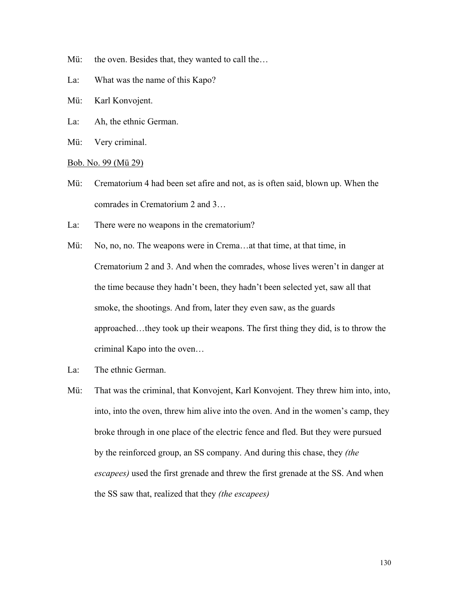- Mü: the oven. Besides that, they wanted to call the...
- La: What was the name of this Kapo?
- Mü: Karl Konvojent.
- La: Ah, the ethnic German.
- Mü: Very criminal.

#### Bob. No. 99 (Mü 29)

- Mü: Crematorium 4 had been set afire and not, as is often said, blown up. When the comrades in Crematorium 2 and 3…
- La: There were no weapons in the crematorium?
- Mü: No, no, no. The weapons were in Crema…at that time, at that time, in Crematorium 2 and 3. And when the comrades, whose lives weren't in danger at the time because they hadn't been, they hadn't been selected yet, saw all that smoke, the shootings. And from, later they even saw, as the guards approached…they took up their weapons. The first thing they did, is to throw the criminal Kapo into the oven…
- La: The ethnic German.
- Mü: That was the criminal, that Konvojent, Karl Konvojent. They threw him into, into, into, into the oven, threw him alive into the oven. And in the women's camp, they broke through in one place of the electric fence and fled. But they were pursued by the reinforced group, an SS company. And during this chase, they *(the escapees)* used the first grenade and threw the first grenade at the SS. And when the SS saw that, realized that they *(the escapees)*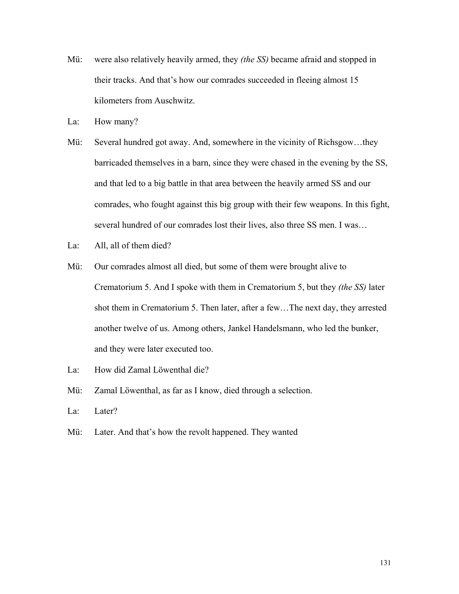- Mü: were also relatively heavily armed, they *(the SS)* became afraid and stopped in their tracks. And that's how our comrades succeeded in fleeing almost 15 kilometers from Auschwitz.
- La: How many?
- Mü: Several hundred got away. And, somewhere in the vicinity of Richsgow…they barricaded themselves in a barn, since they were chased in the evening by the SS, and that led to a big battle in that area between the heavily armed SS and our comrades, who fought against this big group with their few weapons. In this fight, several hundred of our comrades lost their lives, also three SS men. I was…
- La: All, all of them died?
- Mü: Our comrades almost all died, but some of them were brought alive to Crematorium 5. And I spoke with them in Crematorium 5, but they *(the SS)* later shot them in Crematorium 5. Then later, after a few…The next day, they arrested another twelve of us. Among others, Jankel Handelsmann, who led the bunker, and they were later executed too.
- La: How did Zamal Löwenthal die?
- Mü: Zamal Löwenthal, as far as I know, died through a selection.
- La: Later?
- Mü: Later. And that's how the revolt happened. They wanted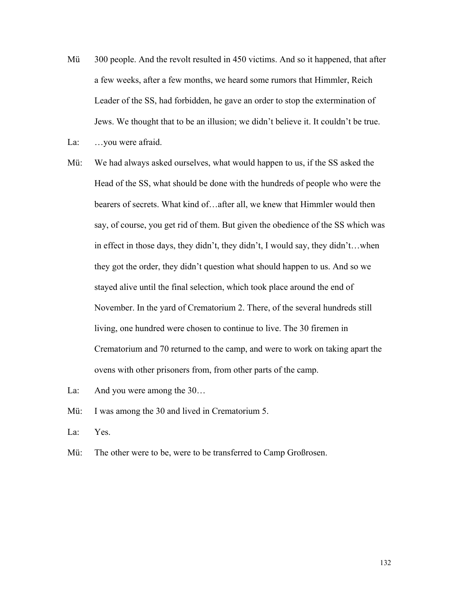- Mü 300 people. And the revolt resulted in 450 victims. And so it happened, that after a few weeks, after a few months, we heard some rumors that Himmler, Reich Leader of the SS, had forbidden, he gave an order to stop the extermination of Jews. We thought that to be an illusion; we didn't believe it. It couldn't be true.
- La: ...you were afraid.
- Mü: We had always asked ourselves, what would happen to us, if the SS asked the Head of the SS, what should be done with the hundreds of people who were the bearers of secrets. What kind of…after all, we knew that Himmler would then say, of course, you get rid of them. But given the obedience of the SS which was in effect in those days, they didn't, they didn't, I would say, they didn't…when they got the order, they didn't question what should happen to us. And so we stayed alive until the final selection, which took place around the end of November. In the yard of Crematorium 2. There, of the several hundreds still living, one hundred were chosen to continue to live. The 30 firemen in Crematorium and 70 returned to the camp, and were to work on taking apart the ovens with other prisoners from, from other parts of the camp.
- La: And you were among the 30...
- Mü: I was among the 30 and lived in Crematorium 5.
- La: Yes.
- Mü: The other were to be, were to be transferred to Camp Großrosen.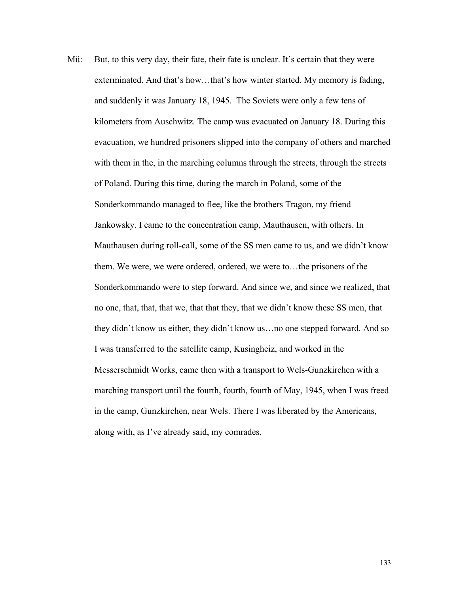Mü: But, to this very day, their fate, their fate is unclear. It's certain that they were exterminated. And that's how…that's how winter started. My memory is fading, and suddenly it was January 18, 1945. The Soviets were only a few tens of kilometers from Auschwitz. The camp was evacuated on January 18. During this evacuation, we hundred prisoners slipped into the company of others and marched with them in the, in the marching columns through the streets, through the streets of Poland. During this time, during the march in Poland, some of the Sonderkommando managed to flee, like the brothers Tragon, my friend Jankowsky. I came to the concentration camp, Mauthausen, with others. In Mauthausen during roll-call, some of the SS men came to us, and we didn't know them. We were, we were ordered, ordered, we were to…the prisoners of the Sonderkommando were to step forward. And since we, and since we realized, that no one, that, that, that we, that that they, that we didn't know these SS men, that they didn't know us either, they didn't know us…no one stepped forward. And so I was transferred to the satellite camp, Kusingheiz, and worked in the Messerschmidt Works, came then with a transport to Wels-Gunzkirchen with a marching transport until the fourth, fourth, fourth of May, 1945, when I was freed in the camp, Gunzkirchen, near Wels. There I was liberated by the Americans, along with, as I've already said, my comrades.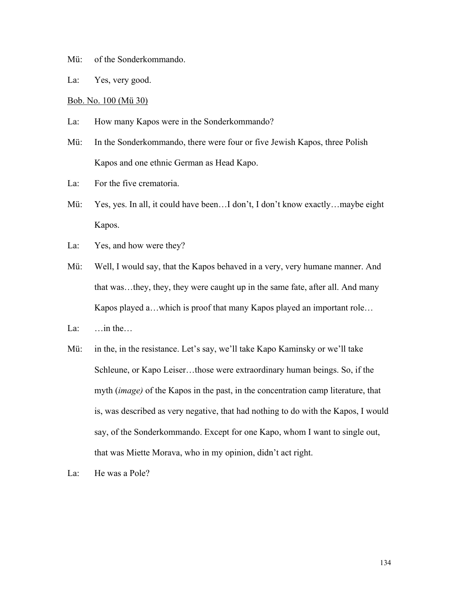- Mü: of the Sonderkommando.
- La: Yes, very good.

### Bob. No. 100 (Mü 30)

- La: How many Kapos were in the Sonderkommando?
- Mü: In the Sonderkommando, there were four or five Jewish Kapos, three Polish Kapos and one ethnic German as Head Kapo.
- La: For the five crematoria.
- Mü: Yes, yes. In all, it could have been...I don't, I don't know exactly...maybe eight Kapos.
- La: Yes, and how were they?
- Mü: Well, I would say, that the Kapos behaved in a very, very humane manner. And that was…they, they, they were caught up in the same fate, after all. And many Kapos played a…which is proof that many Kapos played an important role…
- La:  $\ldots$  in the...
- Mü: in the, in the resistance. Let's say, we'll take Kapo Kaminsky or we'll take Schleune, or Kapo Leiser…those were extraordinary human beings. So, if the myth (*image)* of the Kapos in the past, in the concentration camp literature, that is, was described as very negative, that had nothing to do with the Kapos, I would say, of the Sonderkommando. Except for one Kapo, whom I want to single out, that was Miette Morava, who in my opinion, didn't act right.
- La: He was a Pole?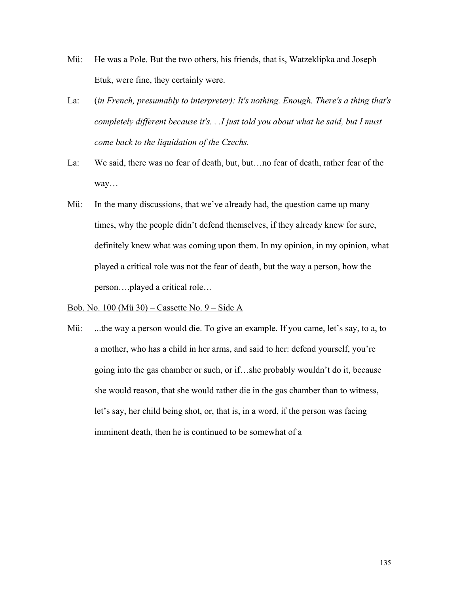- Mü: He was a Pole. But the two others, his friends, that is, Watzeklipka and Joseph Etuk, were fine, they certainly were.
- La: (*in French, presumably to interpreter): It's nothing. Enough. There's a thing that's completely different because it's. . .I just told you about what he said, but I must come back to the liquidation of the Czechs.*
- La: We said, there was no fear of death, but, but…no fear of death, rather fear of the way…
- Mü: In the many discussions, that we've already had, the question came up many times, why the people didn't defend themselves, if they already knew for sure, definitely knew what was coming upon them. In my opinion, in my opinion, what played a critical role was not the fear of death, but the way a person, how the person….played a critical role…

# Bob. No. 100 (Mü 30) – Cassette No. 9 – Side A

Mü: ...the way a person would die. To give an example. If you came, let's say, to a, to a mother, who has a child in her arms, and said to her: defend yourself, you're going into the gas chamber or such, or if…she probably wouldn't do it, because she would reason, that she would rather die in the gas chamber than to witness, let's say, her child being shot, or, that is, in a word, if the person was facing imminent death, then he is continued to be somewhat of a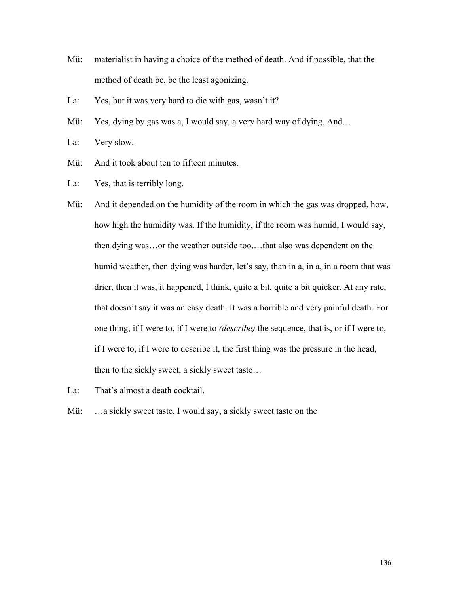- Mü: materialist in having a choice of the method of death. And if possible, that the method of death be, be the least agonizing.
- La: Yes, but it was very hard to die with gas, wasn't it?
- Mü: Yes, dying by gas was a, I would say, a very hard way of dying. And...
- La: Very slow.
- Mü: And it took about ten to fifteen minutes.
- La: Yes, that is terribly long.

Mü: And it depended on the humidity of the room in which the gas was dropped, how, how high the humidity was. If the humidity, if the room was humid, I would say, then dying was…or the weather outside too,…that also was dependent on the humid weather, then dying was harder, let's say, than in a, in a, in a room that was drier, then it was, it happened, I think, quite a bit, quite a bit quicker. At any rate, that doesn't say it was an easy death. It was a horrible and very painful death. For one thing, if I were to, if I were to *(describe)* the sequence, that is, or if I were to, if I were to, if I were to describe it, the first thing was the pressure in the head, then to the sickly sweet, a sickly sweet taste…

- La: That's almost a death cocktail.
- Mü: ...a sickly sweet taste, I would say, a sickly sweet taste on the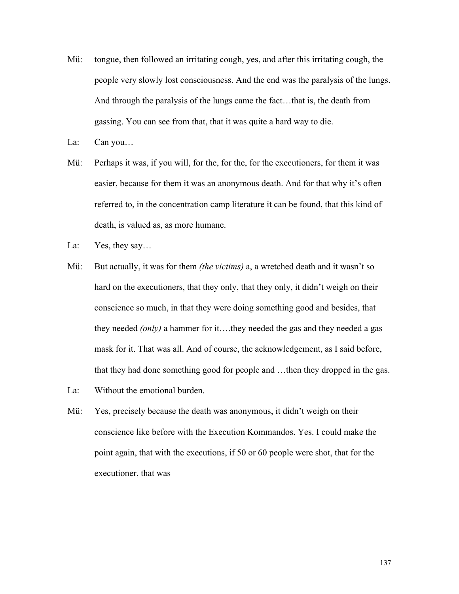- Mü: tongue, then followed an irritating cough, yes, and after this irritating cough, the people very slowly lost consciousness. And the end was the paralysis of the lungs. And through the paralysis of the lungs came the fact…that is, the death from gassing. You can see from that, that it was quite a hard way to die.
- La: Can you...
- Mü: Perhaps it was, if you will, for the, for the, for the executioners, for them it was easier, because for them it was an anonymous death. And for that why it's often referred to, in the concentration camp literature it can be found, that this kind of death, is valued as, as more humane.
- La: Yes, they say...
- Mü: But actually, it was for them *(the victims)* a, a wretched death and it wasn't so hard on the executioners, that they only, that they only, it didn't weigh on their conscience so much, in that they were doing something good and besides, that they needed *(only)* a hammer for it….they needed the gas and they needed a gas mask for it. That was all. And of course, the acknowledgement, as I said before, that they had done something good for people and …then they dropped in the gas.
- La: Without the emotional burden.
- Mü: Yes, precisely because the death was anonymous, it didn't weigh on their conscience like before with the Execution Kommandos. Yes. I could make the point again, that with the executions, if 50 or 60 people were shot, that for the executioner, that was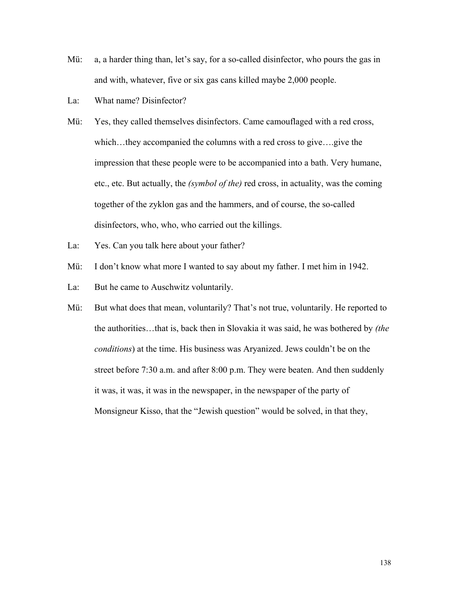- Mü: a, a harder thing than, let's say, for a so-called disinfector, who pours the gas in and with, whatever, five or six gas cans killed maybe 2,000 people.
- La: What name? Disinfector?
- Mü: Yes, they called themselves disinfectors. Came camouflaged with a red cross, which…they accompanied the columns with a red cross to give….give the impression that these people were to be accompanied into a bath. Very humane, etc., etc. But actually, the *(symbol of the)* red cross, in actuality, was the coming together of the zyklon gas and the hammers, and of course, the so-called disinfectors, who, who, who carried out the killings.
- La: Yes. Can you talk here about your father?
- Mü: I don't know what more I wanted to say about my father. I met him in 1942.
- La: But he came to Auschwitz voluntarily.
- Mü: But what does that mean, voluntarily? That's not true, voluntarily. He reported to the authorities…that is, back then in Slovakia it was said, he was bothered by *(the conditions*) at the time. His business was Aryanized. Jews couldn't be on the street before 7:30 a.m. and after 8:00 p.m. They were beaten. And then suddenly it was, it was, it was in the newspaper, in the newspaper of the party of Monsigneur Kisso, that the "Jewish question" would be solved, in that they,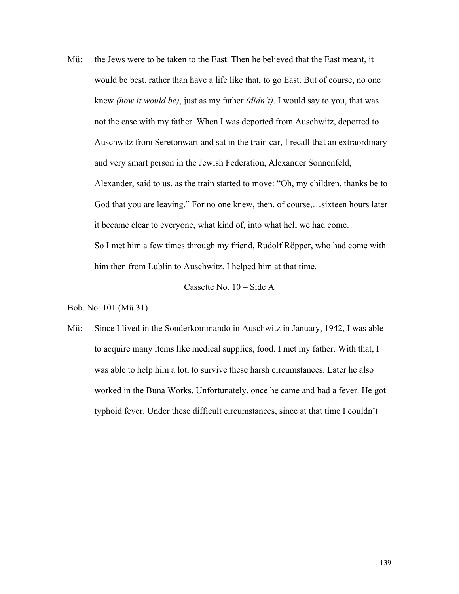Mü: the Jews were to be taken to the East. Then he believed that the East meant, it would be best, rather than have a life like that, to go East. But of course, no one knew *(how it would be)*, just as my father *(didn't)*. I would say to you, that was not the case with my father. When I was deported from Auschwitz, deported to Auschwitz from Seretonwart and sat in the train car, I recall that an extraordinary and very smart person in the Jewish Federation, Alexander Sonnenfeld, Alexander, said to us, as the train started to move: "Oh, my children, thanks be to God that you are leaving." For no one knew, then, of course,…sixteen hours later it became clear to everyone, what kind of, into what hell we had come. So I met him a few times through my friend, Rudolf Röpper, who had come with him then from Lublin to Auschwitz. I helped him at that time.

#### Cassette No. 10 – Side A

# Bob. No. 101 (Mü 31)

Mü: Since I lived in the Sonderkommando in Auschwitz in January, 1942, I was able to acquire many items like medical supplies, food. I met my father. With that, I was able to help him a lot, to survive these harsh circumstances. Later he also worked in the Buna Works. Unfortunately, once he came and had a fever. He got typhoid fever. Under these difficult circumstances, since at that time I couldn't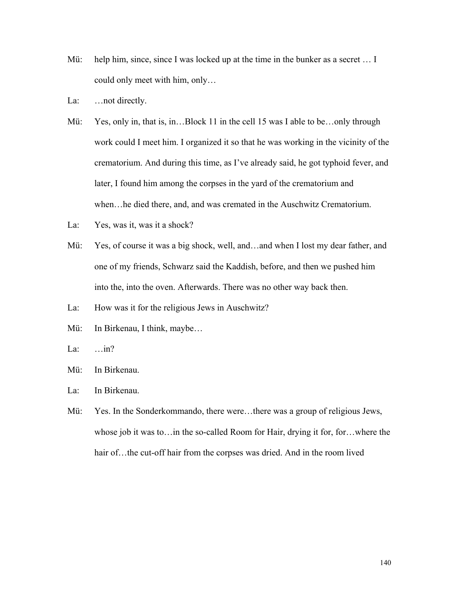- Mü: help him, since, since I was locked up at the time in the bunker as a secret ... I could only meet with him, only…
- La: ... not directly.
- Mü: Yes, only in, that is, in...Block 11 in the cell 15 was I able to be...only through work could I meet him. I organized it so that he was working in the vicinity of the crematorium. And during this time, as I've already said, he got typhoid fever, and later, I found him among the corpses in the yard of the crematorium and when…he died there, and, and was cremated in the Auschwitz Crematorium.
- La: Yes, was it, was it a shock?
- Mü: Yes, of course it was a big shock, well, and ... and when I lost my dear father, and one of my friends, Schwarz said the Kaddish, before, and then we pushed him into the, into the oven. Afterwards. There was no other way back then.
- La: How was it for the religious Jews in Auschwitz?
- Mü: In Birkenau, I think, maybe...
- La: …in?
- Mü: In Birkenau.
- La: In Birkenau.
- Mü: Yes. In the Sonderkommando, there were...there was a group of religious Jews, whose job it was to…in the so-called Room for Hair, drying it for, for…where the hair of... the cut-off hair from the corpses was dried. And in the room lived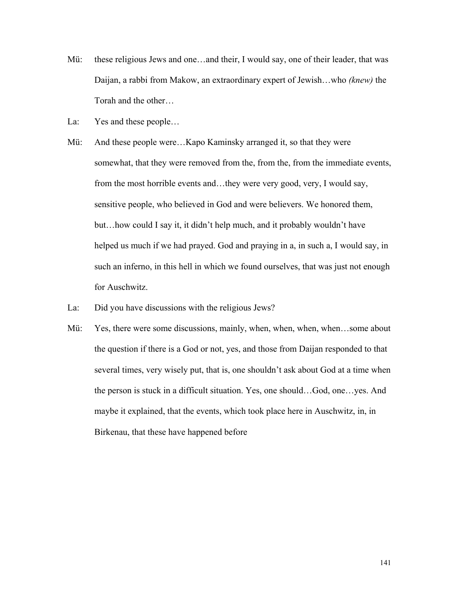- Mü: these religious Jews and one...and their, I would say, one of their leader, that was Daijan, a rabbi from Makow, an extraordinary expert of Jewish…who *(knew)* the Torah and the other…
- La: Yes and these people...
- Mü: And these people were…Kapo Kaminsky arranged it, so that they were somewhat, that they were removed from the, from the, from the immediate events, from the most horrible events and…they were very good, very, I would say, sensitive people, who believed in God and were believers. We honored them, but…how could I say it, it didn't help much, and it probably wouldn't have helped us much if we had prayed. God and praying in a, in such a, I would say, in such an inferno, in this hell in which we found ourselves, that was just not enough for Auschwitz.
- La: Did you have discussions with the religious Jews?
- Mü: Yes, there were some discussions, mainly, when, when, when, when...some about the question if there is a God or not, yes, and those from Daijan responded to that several times, very wisely put, that is, one shouldn't ask about God at a time when the person is stuck in a difficult situation. Yes, one should…God, one…yes. And maybe it explained, that the events, which took place here in Auschwitz, in, in Birkenau, that these have happened before